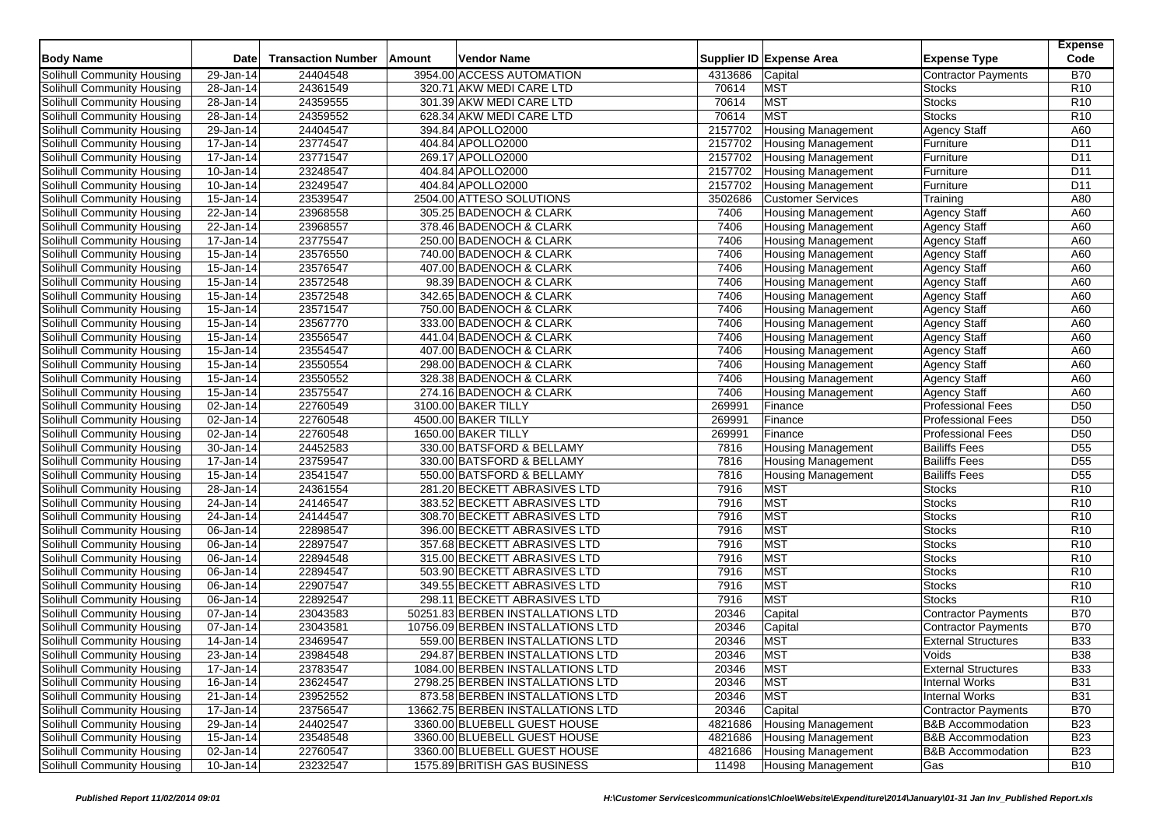| <b>Body Name</b>                  | <b>Date</b>             | <b>Transaction Number</b> | Amount | <b>Vendor Name</b>                |         | Supplier ID Expense Area  | <b>Expense Type</b>          | <b>Expense</b><br>Code |
|-----------------------------------|-------------------------|---------------------------|--------|-----------------------------------|---------|---------------------------|------------------------------|------------------------|
| Solihull Community Housing        | 29-Jan-14               | 24404548                  |        | 3954.00 ACCESS AUTOMATION         | 4313686 | Capital                   | <b>Contractor Payments</b>   | <b>B70</b>             |
| Solihull Community Housing        | 28-Jan-14               | 24361549                  |        | 320.71 AKW MEDI CARE LTD          | 70614   | <b>MST</b>                | <b>Stocks</b>                | R <sub>10</sub>        |
| Solihull Community Housing        | 28-Jan-14               | 24359555                  |        | 301.39 AKW MEDI CARE LTD          | 70614   | <b>MST</b>                | <b>Stocks</b>                | R <sub>10</sub>        |
| Solihull Community Housing        | 28-Jan-14               | 24359552                  |        | 628.34 AKW MEDI CARE LTD          | 70614   | <b>MST</b>                | <b>Stocks</b>                | R <sub>10</sub>        |
| Solihull Community Housing        | 29-Jan-14               | 24404547                  |        | 394.84 APOLLO2000                 | 2157702 | <b>Housing Management</b> | Agency Staff                 | A60                    |
| Solihull Community Housing        | 17-Jan-14               | 23774547                  |        | 404.84 APOLLO2000                 | 2157702 | <b>Housing Management</b> | Furniture                    | D11                    |
| Solihull Community Housing        | $\overline{17}$ -Jan-14 | 23771547                  |        | 269.17 APOLLO2000                 | 2157702 | Housing Management        | Furniture                    | D11                    |
| Solihull Community Housing        | 10-Jan-14               | 23248547                  |        | 404.84 APOLLO2000                 | 2157702 | <b>Housing Management</b> | Furniture                    | D11                    |
| Solihull Community Housing        | 10-Jan-14               | 23249547                  |        | 404.84 APOLLO2000                 | 2157702 | <b>Housing Management</b> | Furniture                    | D11                    |
| Solihull Community Housing        | 15-Jan-14               | 23539547                  |        | 2504.00 ATTESO SOLUTIONS          | 3502686 | <b>Customer Services</b>  | Training                     | A80                    |
| Solihull Community Housing        | 22-Jan-14               | 23968558                  |        | 305.25 BADENOCH & CLARK           | 7406    | <b>Housing Management</b> | <b>Agency Staff</b>          | A60                    |
| Solihull Community Housing        | 22-Jan-14               | 23968557                  |        | 378.46 BADENOCH & CLARK           | 7406    | <b>Housing Management</b> | <b>Agency Staff</b>          | A60                    |
| Solihull Community Housing        | 17-Jan-14               | 23775547                  |        | 250.00 BADENOCH & CLARK           | 7406    | <b>Housing Management</b> | <b>Agency Staff</b>          | A60                    |
| Solihull Community Housing        | 15-Jan-14               | 23576550                  |        | 740.00 BADENOCH & CLARK           | 7406    | <b>Housing Management</b> | <b>Agency Staff</b>          | A60                    |
| Solihull Community Housing        | 15-Jan-14               | 23576547                  |        | 407.00 BADENOCH & CLARK           | 7406    | <b>Housing Management</b> | <b>Agency Staff</b>          | A60                    |
| Solihull Community Housing        | 15-Jan-14               | 23572548                  |        | 98.39 BADENOCH & CLARK            | 7406    | <b>Housing Management</b> | <b>Agency Staff</b>          | A60                    |
| Solihull Community Housing        | 15-Jan-14               | 23572548                  |        | 342.65 BADENOCH & CLARK           | 7406    | <b>Housing Management</b> | <b>Agency Staff</b>          | A60                    |
| Solihull Community Housing        | 15-Jan-14               | 23571547                  |        | 750.00 BADENOCH & CLARK           | 7406    | <b>Housing Management</b> | <b>Agency Staff</b>          | A60                    |
| Solihull Community Housing        | 15-Jan-14               | 23567770                  |        | 333.00 BADENOCH & CLARK           | 7406    | <b>Housing Management</b> | <b>Agency Staff</b>          | A60                    |
| Solihull Community Housing        | 15-Jan-14               | 23556547                  |        | 441.04 BADENOCH & CLARK           | 7406    | <b>Housing Management</b> | <b>Agency Staff</b>          | A60                    |
| Solihull Community Housing        | 15-Jan-14               | 23554547                  |        | 407.00 BADENOCH & CLARK           | 7406    | <b>Housing Management</b> | <b>Agency Staff</b>          | A60                    |
| Solihull Community Housing        | 15-Jan-14               | 23550554                  |        | 298.00 BADENOCH & CLARK           | 7406    | <b>Housing Management</b> | Agency Staff                 | A60                    |
| Solihull Community Housing        | 15-Jan-14               | 23550552                  |        | 328.38 BADENOCH & CLARK           | 7406    | <b>Housing Management</b> | <b>Agency Staff</b>          | A60                    |
| Solihull Community Housing        | $15$ -Jan-14            | 23575547                  |        | 274.16 BADENOCH & CLARK           | 7406    | <b>Housing Management</b> | <b>Agency Staff</b>          | A60                    |
| Solihull Community Housing        | 02-Jan-14               | 22760549                  |        | 3100.00 BAKER TILLY               | 269991  | Finance                   | <b>Professional Fees</b>     | D <sub>50</sub>        |
| Solihull Community Housing        | 02-Jan-14               | 22760548                  |        | 4500.00 BAKER TILLY               | 269991  | Finance                   | <b>Professional Fees</b>     | D <sub>50</sub>        |
| Solihull Community Housing        | 02-Jan-14               | 22760548                  |        | 1650.00 BAKER TILLY               | 269991  | Finance                   | <b>Professional Fees</b>     | D <sub>50</sub>        |
| Solihull Community Housing        | 30-Jan-14               | 24452583                  |        | 330.00 BATSFORD & BELLAMY         | 7816    | <b>Housing Management</b> | <b>Bailiffs Fees</b>         | D <sub>55</sub>        |
| <b>Solihull Community Housing</b> | 17-Jan-14               | 23759547                  |        | 330.00 BATSFORD & BELLAMY         | 7816    | <b>Housing Management</b> | <b>Bailiffs Fees</b>         | D <sub>55</sub>        |
| Solihull Community Housing        | $15 - Jan-14$           | 23541547                  |        | 550.00 BATSFORD & BELLAMY         | 7816    | <b>Housing Management</b> | <b>Bailiffs Fees</b>         | D <sub>55</sub>        |
| Solihull Community Housing        | 28-Jan-14               | 24361554                  |        | 281.20 BECKETT ABRASIVES LTD      | 7916    | <b>MST</b>                | Stocks                       | R <sub>10</sub>        |
| Solihull Community Housing        | 24-Jan-14               | 24146547                  |        | 383.52 BECKETT ABRASIVES LTD      | 7916    | <b>MST</b>                | <b>Stocks</b>                | R <sub>10</sub>        |
| Solihull Community Housing        | $\overline{24}$ -Jan-14 | 24144547                  |        | 308.70 BECKETT ABRASIVES LTD      | 7916    | <b>MST</b>                | <b>Stocks</b>                | R <sub>10</sub>        |
| Solihull Community Housing        | 06-Jan-14               | 22898547                  |        | 396.00 BECKETT ABRASIVES LTD      | 7916    | <b>MST</b>                | <b>Stocks</b>                | R <sub>10</sub>        |
| Solihull Community Housing        | $\overline{06}$ -Jan-14 | 22897547                  |        | 357.68 BECKETT ABRASIVES LTD      | 7916    | <b>MST</b>                | <b>Stocks</b>                | R <sub>10</sub>        |
| Solihull Community Housing        | 06-Jan-14               | 22894548                  |        | 315.00 BECKETT ABRASIVES LTD      | 7916    | <b>MST</b>                | <b>Stocks</b>                | R10                    |
| Solihull Community Housing        | 06-Jan-14               | 22894547                  |        | 503.90 BECKETT ABRASIVES LTD      | 7916    | <b>MST</b>                | <b>Stocks</b>                | R <sub>10</sub>        |
| Solihull Community Housing        | $\overline{06}$ -Jan-14 | 22907547                  |        | 349.55 BECKETT ABRASIVES LTD      | 7916    | <b>MST</b>                | <b>Stocks</b>                | R10                    |
| Solihull Community Housing        | 06-Jan-14               | 22892547                  |        | 298.11 BECKETT ABRASIVES LTD      | 7916    | <b>MST</b>                | <b>Stocks</b>                | R <sub>10</sub>        |
| Solihull Community Housing        | 07-Jan-14               | 23043583                  |        | 50251.83 BERBEN INSTALLATIONS LTD | 20346   | Capital                   | <b>Contractor Payments</b>   | <b>B70</b>             |
| <b>Solihull Community Housing</b> | 07-Jan-14               | 23043581                  |        | 10756.09 BERBEN INSTALLATIONS LTD | 20346   | Capital                   | <b>Contractor Payments</b>   | <b>B70</b>             |
| Solihull Community Housing        | 14-Jan-14               | 23469547                  |        | 559.00 BERBEN INSTALLATIONS LTD   | 20346   | <b>MST</b>                | <b>External Structures</b>   | <b>B33</b>             |
| <b>Solihull Community Housing</b> | 23-Jan-14               | 23984548                  |        | 294.87 BERBEN INSTALLATIONS LTD   | 20346   | <b>MST</b>                | Voids                        | <b>B</b> 38            |
| Solihull Community Housing        | 17-Jan-14               | 23783547                  |        | 1084.00 BERBEN INSTALLATIONS LTD  | 20346   | <b>MST</b>                | <b>External Structures</b>   | <b>B33</b>             |
| Solihull Community Housing        | $16$ -Jan-14            | 23624547                  |        | 2798.25 BERBEN INSTALLATIONS LTD  | 20346   | <b>MST</b>                | Internal Works               | <b>B31</b>             |
| Solihull Community Housing        | 21-Jan-14               | 23952552                  |        | 873.58 BERBEN INSTALLATIONS LTD   | 20346   | <b>MST</b>                | <b>Internal Works</b>        | <b>B31</b>             |
| Solihull Community Housing        | 17-Jan-14               | 23756547                  |        | 13662.75 BERBEN INSTALLATIONS LTD | 20346   | Capital                   | Contractor Payments          | <b>B70</b>             |
| Solihull Community Housing        | 29-Jan-14               | 24402547                  |        | 3360.00 BLUEBELL GUEST HOUSE      | 4821686 | <b>Housing Management</b> | <b>B&amp;B Accommodation</b> | <b>B23</b>             |
| Solihull Community Housing        | 15-Jan-14               | 23548548                  |        | 3360.00 BLUEBELL GUEST HOUSE      | 4821686 | <b>Housing Management</b> | <b>B&amp;B</b> Accommodation | <b>B23</b>             |
| <b>Solihull Community Housing</b> | 02-Jan-14               | 22760547                  |        | 3360.00 BLUEBELL GUEST HOUSE      | 4821686 | <b>Housing Management</b> | <b>B&amp;B</b> Accommodation | <b>B23</b>             |
| Solihull Community Housing        | $10$ -Jan-14            | 23232547                  |        | 1575.89 BRITISH GAS BUSINESS      | 11498   | <b>Housing Management</b> | Gas                          | <b>B10</b>             |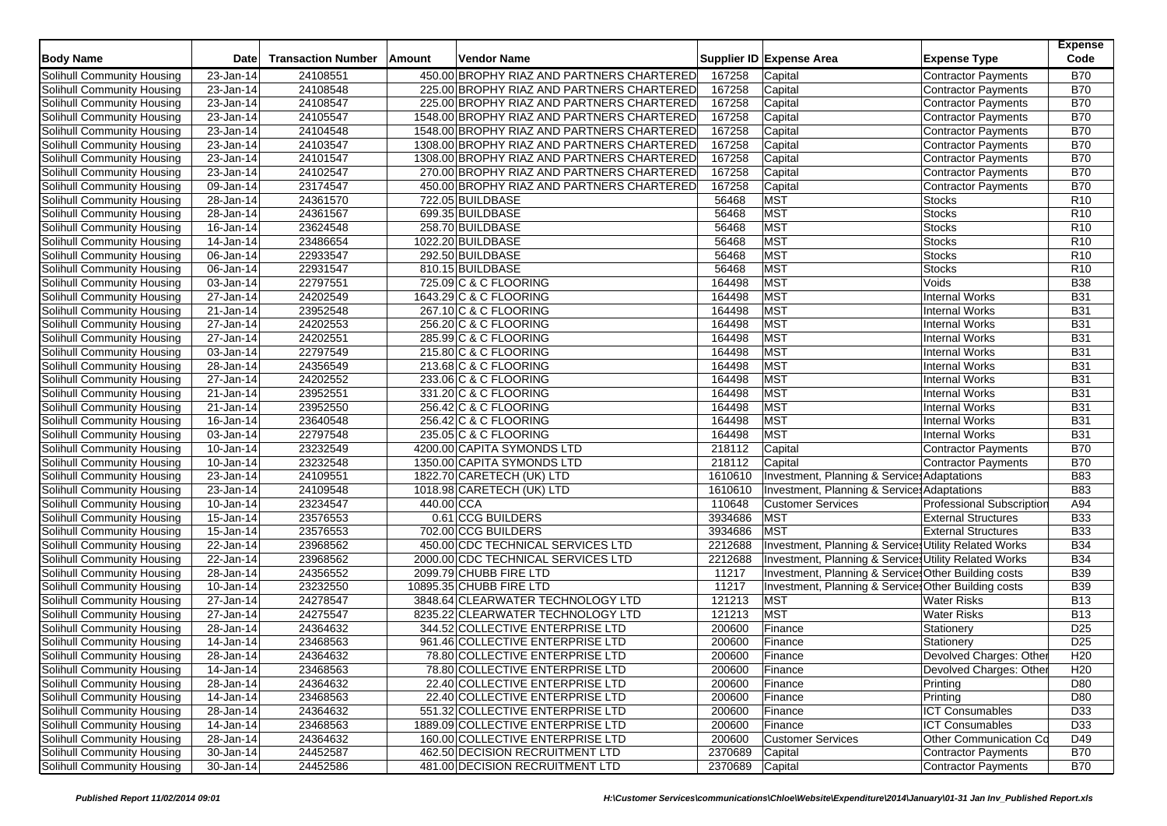| <b>Body Name</b>                                         | <b>Date</b>             | <b>Transaction Number</b> | Amount     | Vendor Name                                                           |                 | Supplier ID Expense Area<br><b>Expense Type</b>       | <b>Expense</b><br>Code   |
|----------------------------------------------------------|-------------------------|---------------------------|------------|-----------------------------------------------------------------------|-----------------|-------------------------------------------------------|--------------------------|
| Solihull Community Housing                               | 23-Jan-14               | 24108551                  |            | 450.00 BROPHY RIAZ AND PARTNERS CHARTERED                             | 167258          | <b>Contractor Payments</b><br>Capital                 | <b>B70</b>               |
| Solihull Community Housing                               | $\overline{23}$ -Jan-14 | 24108548                  |            | 225.00 BROPHY RIAZ AND PARTNERS CHARTERED                             | 167258          | Capital<br><b>Contractor Payments</b>                 | <b>B70</b>               |
| Solihull Community Housing                               | 23-Jan-14               | 24108547                  |            | 225.00 BROPHY RIAZ AND PARTNERS CHARTERED                             | 167258          | Capital<br><b>Contractor Payments</b>                 | <b>B70</b>               |
| Solihull Community Housing                               | $\overline{23}$ -Jan-14 | 24105547                  |            | 1548.00 BROPHY RIAZ AND PARTNERS CHARTERED                            | 167258          | Capital<br><b>Contractor Payments</b>                 | <b>B70</b>               |
| Solihull Community Housing                               | 23-Jan-14               | 24104548                  |            | 1548.00 BROPHY RIAZ AND PARTNERS CHARTERED                            | 167258          | Capital<br><b>Contractor Payments</b>                 | <b>B70</b>               |
| Solihull Community Housing                               | 23-Jan-14               | 24103547                  |            | 1308.00 BROPHY RIAZ AND PARTNERS CHARTERED                            | 167258          | Capital<br><b>Contractor Payments</b>                 | <b>B70</b>               |
| Solihull Community Housing                               | 23-Jan-14               | 24101547                  |            | 1308.00 BROPHY RIAZ AND PARTNERS CHARTERED                            | 167258          | Capital<br><b>Contractor Payments</b>                 | <b>B70</b>               |
| Solihull Community Housing                               | 23-Jan-14               | 24102547                  |            | 270.00 BROPHY RIAZ AND PARTNERS CHARTERED                             | 167258          | Capital<br><b>Contractor Payments</b>                 | <b>B70</b>               |
| Solihull Community Housing                               | 09-Jan-14               | 23174547                  |            | 450.00 BROPHY RIAZ AND PARTNERS CHARTERED                             | 167258          | Capital<br><b>Contractor Payments</b>                 | <b>B70</b>               |
| Solihull Community Housing                               | 28-Jan-14               | 24361570                  |            | 722.05 BUILDBASE                                                      | 56468           | <b>MST</b><br><b>Stocks</b>                           | R <sub>10</sub>          |
| Solihull Community Housing                               | 28-Jan-14               | 24361567                  |            | 699.35 BUILDBASE                                                      | 56468           | <b>MST</b><br><b>Stocks</b>                           | R <sub>10</sub>          |
| Solihull Community Housing                               | 16-Jan-14               | 23624548                  |            | 258.70 BUILDBASE                                                      | 56468           | <b>MST</b><br><b>Stocks</b>                           | R <sub>10</sub>          |
| Solihull Community Housing                               | 14-Jan-14               | 23486654                  |            | 1022.20 BUILDBASE                                                     | 56468           | MST<br><b>Stocks</b>                                  | R <sub>10</sub>          |
| Solihull Community Housing                               | 06-Jan-14               | 22933547                  |            | 292.50 BUILDBASE                                                      | 56468           | <b>MST</b><br><b>Stocks</b>                           | R <sub>10</sub>          |
| Solihull Community Housing                               | 06-Jan-14               | 22931547                  |            | 810.15 BUILDBASE                                                      | 56468           | <b>MST</b><br><b>Stocks</b>                           | R <sub>10</sub>          |
| Solihull Community Housing                               | 03-Jan-14               | 22797551                  |            | 725.09 C & C FLOORING                                                 | 164498          | <b>MST</b><br>Voids                                   | <b>B38</b>               |
| Solihull Community Housing                               | 27-Jan-14               | 24202549                  |            | 1643.29 C & C FLOORING                                                | 164498          | <b>MST</b><br><b>Internal Works</b>                   | <b>B31</b>               |
| Solihull Community Housing                               | 21-Jan-14               | 23952548                  |            | 267.10 C & C FLOORING                                                 | 164498          | <b>MST</b><br><b>Internal Works</b>                   | <b>B31</b>               |
| Solihull Community Housing                               | $\overline{27}$ -Jan-14 | 24202553                  |            | 256.20 C & C FLOORING                                                 | 164498          | <b>MST</b><br><b>Internal Works</b>                   | <b>B31</b>               |
| Solihull Community Housing                               | 27-Jan-14               | 24202551                  |            | 285.99 C & C FLOORING                                                 | 164498          | <b>MST</b><br><b>Internal Works</b>                   | <b>B31</b>               |
| Solihull Community Housing                               | 03-Jan-14               | 22797549                  |            | 215.80 C & C FLOORING                                                 | 164498          | <b>MST</b><br><b>Internal Works</b>                   | <b>B31</b>               |
| Solihull Community Housing                               | 28-Jan-14               | 24356549                  |            | 213.68 C & C FLOORING                                                 | 164498          | <b>MST</b><br><b>Internal Works</b>                   | <b>B31</b>               |
| Solihull Community Housing                               | 27-Jan-14               | 24202552                  |            | 233.06 C & C FLOORING                                                 | 164498          | <b>MST</b><br><b>Internal Works</b>                   | <b>B31</b>               |
| Solihull Community Housing                               | 21-Jan-14               | 23952551                  |            | 331.20 C & C FLOORING                                                 | 164498          | <b>MST</b><br><b>Internal Works</b>                   | <b>B31</b>               |
| Solihull Community Housing                               | $\overline{21}$ -Jan-14 | 23952550                  |            | 256.42 C & C FLOORING                                                 | 164498          | <b>MST</b><br><b>Internal Works</b>                   | <b>B31</b>               |
| Solihull Community Housing                               | 16-Jan-14               | 23640548                  |            | 256.42 C & C FLOORING                                                 | 164498          | MST<br><b>Internal Works</b>                          | <b>B31</b>               |
| Solihull Community Housing                               | $\overline{03}$ -Jan-14 | 22797548                  |            | 235.05 C & C FLOORING                                                 | 164498          | MST<br><b>Internal Works</b>                          | <b>B31</b>               |
| Solihull Community Housing                               | 10-Jan-14               | 23232549                  |            | 4200.00 CAPITA SYMONDS LTD                                            | 218112          | Capital<br><b>Contractor Payments</b>                 | <b>B70</b>               |
| Solihull Community Housing                               | 10-Jan-14               | 23232548                  |            | 1350.00 CAPITA SYMONDS LTD                                            | 218112          | Capital<br><b>Contractor Payments</b>                 | <b>B70</b>               |
| Solihull Community Housing                               | $23$ -Jan-14            | 24109551                  |            | 1822.70 CARETECH (UK) LTD                                             | 1610610         | Investment, Planning & Services Adaptations           | <b>B83</b>               |
| Solihull Community Housing                               | 23-Jan-14               | 24109548                  |            | 1018.98 CARETECH (UK) LTD                                             | 1610610         | Investment, Planning & Service: Adaptations           | <b>B83</b>               |
| Solihull Community Housing                               | 10-Jan-14               | 23234547                  | 440.00 CCA |                                                                       | 110648          | Professional Subscription<br><b>Customer Services</b> | A94                      |
| Solihull Community Housing                               | 15-Jan-14               | 23576553                  |            | 0.61 CCG BUILDERS                                                     | 3934686         | <b>MST</b><br><b>External Structures</b>              | <b>B33</b>               |
| Solihull Community Housing                               | 15-Jan-14               | 23576553                  |            | 702.00 CCG BUILDERS                                                   | 3934686         | MST<br><b>External Structures</b>                     | <b>B33</b>               |
| Solihull Community Housing                               | 22-Jan-14               | 23968562                  |            | 450.00 CDC TECHNICAL SERVICES LTD                                     | 2212688         | Investment, Planning & Services Utility Related Works | <b>B34</b>               |
|                                                          | $\overline{22}$ -Jan-14 | 23968562                  |            | 2000.00 CDC TECHNICAL SERVICES LTD                                    | 2212688         | Investment, Planning & Services Utility Related Works | <b>B34</b>               |
| Solihull Community Housing<br>Solihull Community Housing | 28-Jan-14               | 24356552                  |            | 2099.79 CHUBB FIRE LTD                                                | 11217           | Investment, Planning & Service: Other Building costs  | <b>B39</b>               |
|                                                          |                         | 23232550                  |            |                                                                       |                 |                                                       |                          |
| Solihull Community Housing<br>Solihull Community Housing | 10-Jan-14               | 24278547                  |            | 10895.35 CHUBB FIRE LTD                                               | 11217<br>121213 | Investment, Planning & Service: Other Building costs  | <b>B39</b><br><b>B13</b> |
|                                                          | 27-Jan-14               |                           |            | 3848.64 CLEARWATER TECHNOLOGY LTD                                     |                 | <b>MST</b><br><b>Water Risks</b><br><b>MST</b>        | <b>B13</b>               |
| Solihull Community Housing                               | 27-Jan-14<br>28-Jan-14  | 24275547<br>24364632      |            | 8235.22 CLEARWATER TECHNOLOGY LTD<br>344.52 COLLECTIVE ENTERPRISE LTD | 121213          | <b>Water Risks</b>                                    | D <sub>25</sub>          |
| Solihull Community Housing                               |                         |                           |            |                                                                       | 200600          | Finance<br>Stationery                                 |                          |
| Solihull Community Housing                               | 14-Jan-14               | 23468563                  |            | 961.46 COLLECTIVE ENTERPRISE LTD                                      | 200600          | Finance<br>Stationery                                 | D <sub>25</sub>          |
| Solihull Community Housing                               | 28-Jan-14               | 24364632                  |            | 78.80 COLLECTIVE ENTERPRISE LTD                                       | 200600          | Finance<br>Devolved Charges: Other                    | H <sub>20</sub>          |
| Solihull Community Housing                               | 14-Jan-14               | 23468563                  |            | 78.80 COLLECTIVE ENTERPRISE LTD                                       | 200600          | Devolved Charges: Other<br>Finance                    | H <sub>20</sub>          |
| Solihull Community Housing                               | 28-Jan-14               | 24364632                  |            | 22.40 COLLECTIVE ENTERPRISE LTD                                       | 200600          | Printing<br>Finance                                   | D80                      |
| Solihull Community Housing                               | 14-Jan-14               | 23468563                  |            | 22.40 COLLECTIVE ENTERPRISE LTD                                       | 200600          | Finance<br>Printing                                   | D80                      |
| Solihull Community Housing                               | 28-Jan-14               | 24364632                  |            | 551.32 COLLECTIVE ENTERPRISE LTD                                      | 200600          | <b>ICT Consumables</b><br>Finance                     | D33                      |
| Solihull Community Housing                               | 14-Jan-14               | 23468563                  |            | 1889.09 COLLECTIVE ENTERPRISE LTD                                     | 200600          | <b>ICT Consumables</b><br>Finance                     | D33                      |
| Solihull Community Housing                               | 28-Jan-14               | 24364632                  |            | 160.00 COLLECTIVE ENTERPRISE LTD                                      | 200600          | <b>Customer Services</b><br>Other Communication Co    | D49                      |
| <b>Solihull Community Housing</b>                        | 30-Jan-14               | 24452587                  |            | 462.50 DECISION RECRUITMENT LTD                                       | 2370689         | <b>Contractor Payments</b><br>Capital                 | <b>B70</b>               |
| Solihull Community Housing                               | 30-Jan-14               | 24452586                  |            | 481.00 DECISION RECRUITMENT LTD                                       | 2370689         | Contractor Payments<br>Capital                        | <b>B70</b>               |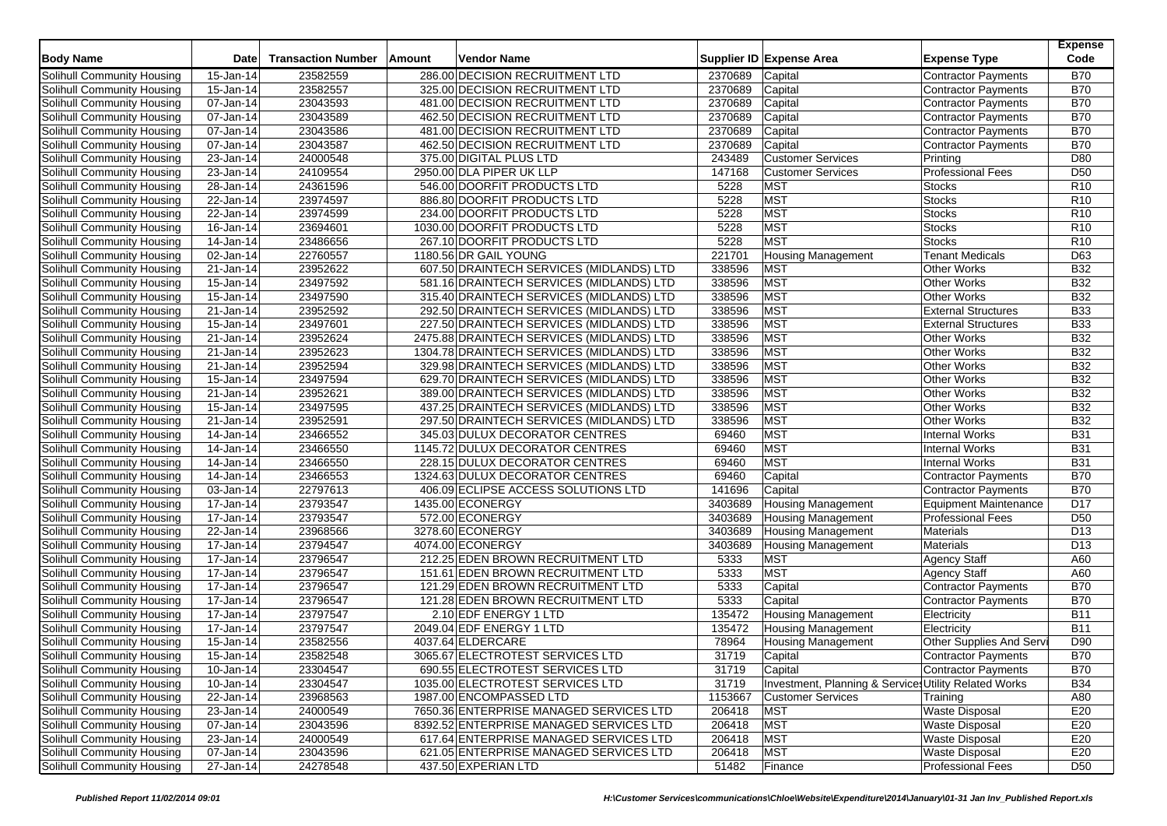| <b>Body Name</b>                  | <b>Date</b>             | <b>Transaction Number</b> | Amount | Vendor Name                               |         | Supplier ID Expense Area                              | <b>Expense Type</b>        | <b>Expense</b><br>Code |
|-----------------------------------|-------------------------|---------------------------|--------|-------------------------------------------|---------|-------------------------------------------------------|----------------------------|------------------------|
| Solihull Community Housing        | 15-Jan-14               | 23582559                  |        | 286.00 DECISION RECRUITMENT LTD           | 2370689 | Capital                                               | Contractor Payments        | <b>B70</b>             |
| Solihull Community Housing        | 15-Jan-14               | 23582557                  |        | 325.00 DECISION RECRUITMENT LTD           | 2370689 | Capital                                               | <b>Contractor Payments</b> | <b>B70</b>             |
| Solihull Community Housing        | 07-Jan-14               | 23043593                  |        | 481.00 DECISION RECRUITMENT LTD           | 2370689 | Capital                                               | Contractor Payments        | <b>B70</b>             |
| Solihull Community Housing        | 07-Jan-14               | 23043589                  |        | 462.50 DECISION RECRUITMENT LTD           | 2370689 | Capital                                               | Contractor Payments        | <b>B70</b>             |
| Solihull Community Housing        | 07-Jan-14               | 23043586                  |        | 481.00 DECISION RECRUITMENT LTD           | 2370689 | Capital                                               | <b>Contractor Payments</b> | <b>B70</b>             |
| Solihull Community Housing        | 07-Jan-14               | 23043587                  |        | 462.50 DECISION RECRUITMENT LTD           | 2370689 | Capital                                               | <b>Contractor Payments</b> | <b>B70</b>             |
| Solihull Community Housing        | 23-Jan-14               | 24000548                  |        | 375.00 DIGITAL PLUS LTD                   | 243489  | <b>Customer Services</b>                              | Printing                   | D80                    |
| Solihull Community Housing        | 23-Jan-14               | 24109554                  |        | 2950.00 DLA PIPER UK LLP                  | 147168  | <b>Customer Services</b>                              | <b>Professional Fees</b>   | D <sub>50</sub>        |
| Solihull Community Housing        | 28-Jan-14               | 24361596                  |        | 546.00 DOORFIT PRODUCTS LTD               | 5228    | <b>MST</b>                                            | <b>Stocks</b>              | R <sub>10</sub>        |
| Solihull Community Housing        | 22-Jan-14               | 23974597                  |        | 886.80 DOORFIT PRODUCTS LTD               | 5228    | MST                                                   | <b>Stocks</b>              | R <sub>10</sub>        |
| Solihull Community Housing        | 22-Jan-14               | 23974599                  |        | 234.00 DOORFIT PRODUCTS LTD               | 5228    | <b>MST</b>                                            | <b>Stocks</b>              | R <sub>10</sub>        |
| Solihull Community Housing        | 16-Jan-14               | 23694601                  |        | 1030.00 DOORFIT PRODUCTS LTD              | 5228    | <b>MST</b>                                            | <b>Stocks</b>              | R <sub>10</sub>        |
| Solihull Community Housing        | 14-Jan-14               | 23486656                  |        | 267.10 DOORFIT PRODUCTS LTD               | 5228    | MST                                                   | <b>Stocks</b>              | R10                    |
| Solihull Community Housing        | 02-Jan-14               | 22760557                  |        | 1180.56 DR GAIL YOUNG                     | 221701  | <b>Housing Management</b>                             | <b>Tenant Medicals</b>     | D63                    |
| Solihull Community Housing        | 21-Jan-14               | 23952622                  |        | 607.50 DRAINTECH SERVICES (MIDLANDS) LTD  | 338596  | <b>MST</b>                                            | <b>Other Works</b>         | <b>B32</b>             |
| Solihull Community Housing        | 15-Jan-14               | 23497592                  |        | 581.16 DRAINTECH SERVICES (MIDLANDS) LTD  | 338596  | <b>MST</b>                                            | <b>Other Works</b>         | <b>B32</b>             |
| Solihull Community Housing        | 15-Jan-14               | 23497590                  |        | 315.40 DRAINTECH SERVICES (MIDLANDS) LTD  | 338596  | <b>MST</b>                                            | <b>Other Works</b>         | <b>B32</b>             |
| Solihull Community Housing        | 21-Jan-14               | 23952592                  |        | 292.50 DRAINTECH SERVICES (MIDLANDS) LTD  | 338596  | MST                                                   | <b>External Structures</b> | <b>B33</b>             |
| Solihull Community Housing        | 15-Jan-14               | 23497601                  |        | 227.50 DRAINTECH SERVICES (MIDLANDS) LTD  | 338596  | <b>MST</b>                                            | <b>External Structures</b> | <b>B33</b>             |
| Solihull Community Housing        | 21-Jan-14               | 23952624                  |        | 2475.88 DRAINTECH SERVICES (MIDLANDS) LTD | 338596  | <b>MST</b>                                            | <b>Other Works</b>         | <b>B32</b>             |
| Solihull Community Housing        | 21-Jan-14               | 23952623                  |        | 1304.78 DRAINTECH SERVICES (MIDLANDS) LTD | 338596  | MST                                                   | <b>Other Works</b>         | <b>B32</b>             |
| Solihull Community Housing        | 21-Jan-14               | 23952594                  |        | 329.98 DRAINTECH SERVICES (MIDLANDS) LTD  | 338596  | <b>MST</b>                                            | <b>Other Works</b>         | <b>B32</b>             |
| Solihull Community Housing        | 15-Jan-14               | 23497594                  |        | 629.70 DRAINTECH SERVICES (MIDLANDS) LTD  | 338596  | <b>MST</b>                                            | Other Works                | <b>B32</b>             |
| Solihull Community Housing        | $\overline{21}$ -Jan-14 | 23952621                  |        | 389.00 DRAINTECH SERVICES (MIDLANDS) LTD  | 338596  | <b>MST</b>                                            | <b>Other Works</b>         | <b>B32</b>             |
| Solihull Community Housing        | 15-Jan-14               | 23497595                  |        | 437.25 DRAINTECH SERVICES (MIDLANDS) LTD  | 338596  | <b>MST</b>                                            | Other Works                | <b>B32</b>             |
| Solihull Community Housing        | 21-Jan-14               | 23952591                  |        | 297.50 DRAINTECH SERVICES (MIDLANDS) LTD  | 338596  | <b>MST</b>                                            | <b>Other Works</b>         | <b>B32</b>             |
| Solihull Community Housing        | $\overline{14}$ -Jan-14 | 23466552                  |        | 345.03 DULUX DECORATOR CENTRES            | 69460   | MST                                                   | Internal Works             | <b>B31</b>             |
| Solihull Community Housing        | $\overline{1}$ 4-Jan-14 | 23466550                  |        | 1145.72 DULUX DECORATOR CENTRES           | 69460   | <b>MST</b>                                            | <b>Internal Works</b>      | <b>B31</b>             |
| Solihull Community Housing        | 14-Jan-14               | 23466550                  |        | 228.15 DULUX DECORATOR CENTRES            | 69460   | <b>MST</b>                                            | <b>Internal Works</b>      | <b>B31</b>             |
| Solihull Community Housing        | $14$ -Jan-14            | 23466553                  |        | 1324.63 DULUX DECORATOR CENTRES           | 69460   | Capital                                               | Contractor Payments        | <b>B70</b>             |
| Solihull Community Housing        | 03-Jan-14               | 22797613                  |        | 406.09 ECLIPSE ACCESS SOLUTIONS LTD       | 141696  | Capital                                               | Contractor Payments        | <b>B70</b>             |
| Solihull Community Housing        | 17-Jan-14               | 23793547                  |        | 1435.00 ECONERGY                          | 3403689 | <b>Housing Management</b>                             | Equipment Maintenance      | D <sub>17</sub>        |
| Solihull Community Housing        | $17 - Jan-14$           | 23793547                  |        | 572.00 ECONERGY                           | 3403689 | <b>Housing Management</b>                             | <b>Professional Fees</b>   | D <sub>50</sub>        |
| Solihull Community Housing        | 22-Jan-14               | 23968566                  |        | 3278.60 ECONERGY                          | 3403689 | <b>Housing Management</b>                             | Materials                  | D <sub>13</sub>        |
| Solihull Community Housing        | 17-Jan-14               | 23794547                  |        | 4074.00 ECONERGY                          | 3403689 | <b>Housing Management</b>                             | Materials                  | D <sub>13</sub>        |
| <b>Solihull Community Housing</b> | 17-Jan-14               | 23796547                  |        | 212.25 EDEN BROWN RECRUITMENT LTD         | 5333    | <b>MST</b>                                            | <b>Agency Staff</b>        | A60                    |
| Solihull Community Housing        | 17-Jan-14               | 23796547                  |        | 151.61 EDEN BROWN RECRUITMENT LTD         | 5333    | <b>MST</b>                                            | <b>Agency Staff</b>        | A60                    |
| Solihull Community Housing        | 17-Jan-14               | 23796547                  |        | 121.29 EDEN BROWN RECRUITMENT LTD         | 5333    | Capital                                               | <b>Contractor Payments</b> | <b>B70</b>             |
| Solihull Community Housing        | 17-Jan-14               | 23796547                  |        | 121.28 EDEN BROWN RECRUITMENT LTD         | 5333    | Capital                                               | Contractor Payments        | <b>B70</b>             |
| Solihull Community Housing        | 17-Jan-14               | 23797547                  |        | 2.10 EDF ENERGY 1 LTD                     | 135472  | <b>Housing Management</b>                             | Electricity                | <b>B11</b>             |
| Solihull Community Housing        | 17-Jan-14               | 23797547                  |        | 2049.04 EDF ENERGY 1 LTD                  | 135472  | <b>Housing Management</b>                             | Electricity                | <b>B11</b>             |
| Solihull Community Housing        | 15-Jan-14               | 23582556                  |        | 4037.64 ELDERCARE                         | 78964   | <b>Housing Management</b>                             | Other Supplies And Serv    | D90                    |
| Solihull Community Housing        | 15-Jan-14               | 23582548                  |        | 3065.67 ELECTROTEST SERVICES LTD          | 31719   | Capital                                               | Contractor Payments        | <b>B70</b>             |
| Solihull Community Housing        | 10-Jan-14               | 23304547                  |        | 690.55 ELECTROTEST SERVICES LTD           | 31719   | Capital                                               | Contractor Payments        | <b>B70</b>             |
| Solihull Community Housing        | 10-Jan-14               | 23304547                  |        | 1035.00 ELECTROTEST SERVICES LTD          | 31719   | Investment, Planning & Services Utility Related Works |                            | <b>B34</b>             |
| Solihull Community Housing        | 22-Jan-14               | 23968563                  |        | 1987.00 ENCOMPASSED LTD                   | 1153667 | <b>Customer Services</b>                              | Training                   | A80                    |
| Solihull Community Housing        | 23-Jan-14               | 24000549                  |        | 7650.36 ENTERPRISE MANAGED SERVICES LTD   | 206418  | <b>MST</b>                                            | <b>Waste Disposal</b>      | E20                    |
| Solihull Community Housing        | 07-Jan-14               | 23043596                  |        | 8392.52 ENTERPRISE MANAGED SERVICES LTD   | 206418  | <b>MST</b>                                            | <b>Waste Disposal</b>      | E20                    |
| Solihull Community Housing        | 23-Jan-14               | 24000549                  |        | 617.64 ENTERPRISE MANAGED SERVICES LTD    | 206418  | <b>MST</b>                                            | <b>Waste Disposal</b>      | E20                    |
| <b>Solihull Community Housing</b> | 07-Jan-14               | 23043596                  |        | 621.05 ENTERPRISE MANAGED SERVICES LTD    | 206418  | <b>MST</b>                                            | <b>Waste Disposal</b>      | E20                    |
| Solihull Community Housing        | 27-Jan-14               | 24278548                  |        | 437.50 EXPERIAN LTD                       | 51482   | Finance                                               | <b>Professional Fees</b>   | D <sub>50</sub>        |
|                                   |                         |                           |        |                                           |         |                                                       |                            |                        |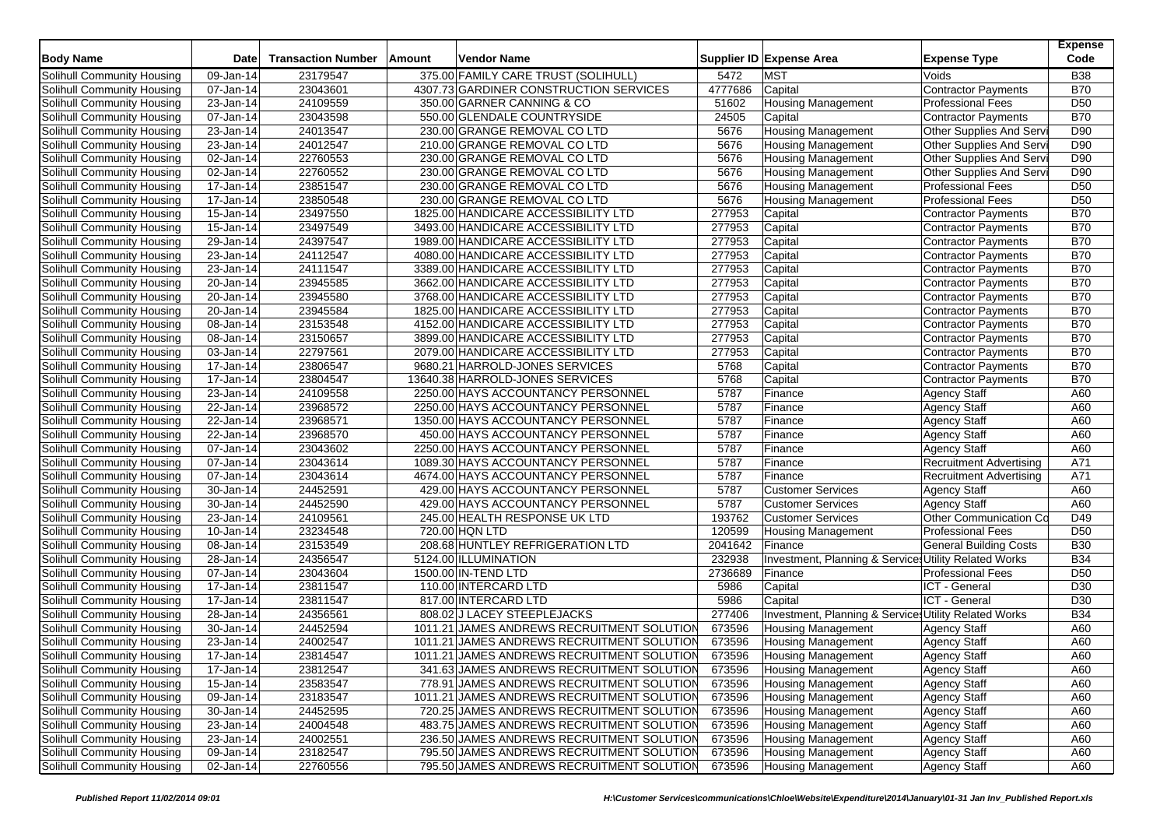| <b>Body Name</b>           | <b>Date</b>             | <b>Transaction Number</b> | Amount | <b>Vendor Name</b>                         |         | Supplier ID Expense Area                              | <b>Expense Type</b>            | <b>Expense</b><br>Code |
|----------------------------|-------------------------|---------------------------|--------|--------------------------------------------|---------|-------------------------------------------------------|--------------------------------|------------------------|
| Solihull Community Housing | 09-Jan-14               | 23179547                  |        | 375.00 FAMILY CARE TRUST (SOLIHULL)        | 5472    | <b>MST</b>                                            | Voids                          | <b>B38</b>             |
| Solihull Community Housing | 07-Jan-14               | 23043601                  |        | 4307.73 GARDINER CONSTRUCTION SERVICES     | 4777686 | Capital                                               | <b>Contractor Payments</b>     | <b>B70</b>             |
| Solihull Community Housing | 23-Jan-14               | 24109559                  |        | 350.00 GARNER CANNING & CO                 | 51602   | <b>Housing Management</b>                             | <b>Professional Fees</b>       | D <sub>50</sub>        |
| Solihull Community Housing | 07-Jan-14               | 23043598                  |        | 550.00 GLENDALE COUNTRYSIDE                | 24505   | Capital                                               | <b>Contractor Payments</b>     | <b>B70</b>             |
| Solihull Community Housing | 23-Jan-14               | 24013547                  |        | 230.00 GRANGE REMOVAL CO LTD               | 5676    | <b>Housing Management</b>                             | Other Supplies And Serv        | D90                    |
| Solihull Community Housing | 23-Jan-14               | 24012547                  |        | 210.00 GRANGE REMOVAL CO LTD               | 5676    | <b>Housing Management</b>                             | Other Supplies And Serv        | D90                    |
| Solihull Community Housing | 02-Jan-14               | 22760553                  |        | 230.00 GRANGE REMOVAL CO LTD               | 5676    | <b>Housing Management</b>                             | Other Supplies And Serv        | D90                    |
| Solihull Community Housing | 02-Jan-14               | 22760552                  |        | 230.00 GRANGE REMOVAL CO LTD               | 5676    | <b>Housing Management</b>                             | Other Supplies And Serv        | D90                    |
| Solihull Community Housing | 17-Jan-14               | 23851547                  |        | 230.00 GRANGE REMOVAL CO LTD               | 5676    | <b>Housing Management</b>                             | <b>Professional Fees</b>       | D <sub>50</sub>        |
| Solihull Community Housing | $\overline{17}$ -Jan-14 | 23850548                  |        | 230.00 GRANGE REMOVAL CO LTD               | 5676    | <b>Housing Management</b>                             | <b>Professional Fees</b>       | D <sub>50</sub>        |
| Solihull Community Housing | 15-Jan-14               | 23497550                  |        | 1825.00 HANDICARE ACCESSIBILITY LTD        | 277953  | Capital                                               | <b>Contractor Payments</b>     | <b>B70</b>             |
| Solihull Community Housing | $15 - Jan-14$           | 23497549                  |        | 3493.00 HANDICARE ACCESSIBILITY LTD        | 277953  | Capital                                               | <b>Contractor Payments</b>     | <b>B70</b>             |
| Solihull Community Housing | 29-Jan-14               | 24397547                  |        | 1989.00 HANDICARE ACCESSIBILITY LTD        | 277953  | Capital                                               | Contractor Payments            | <b>B70</b>             |
| Solihull Community Housing | 23-Jan-14               | 24112547                  |        | 4080.00 HANDICARE ACCESSIBILITY LTD        | 277953  | Capital                                               | <b>Contractor Payments</b>     | <b>B70</b>             |
| Solihull Community Housing | 23-Jan-14               | 24111547                  |        | 3389.00 HANDICARE ACCESSIBILITY LTD        | 277953  | Capital                                               | Contractor Payments            | <b>B70</b>             |
| Solihull Community Housing | 20-Jan-14               | 23945585                  |        | 3662.00 HANDICARE ACCESSIBILITY LTD        | 277953  | Capital                                               | Contractor Payments            | <b>B70</b>             |
| Solihull Community Housing | 20-Jan-14               | 23945580                  |        | 3768.00 HANDICARE ACCESSIBILITY LTD        | 277953  | Capital                                               | Contractor Payments            | <b>B70</b>             |
| Solihull Community Housing | 20-Jan-14               | 23945584                  |        | 1825.00 HANDICARE ACCESSIBILITY LTD        | 277953  | Capital                                               | <b>Contractor Payments</b>     | <b>B70</b>             |
| Solihull Community Housing | 08-Jan-14               | 23153548                  |        | 4152.00 HANDICARE ACCESSIBILITY LTD        | 277953  | Capital                                               | Contractor Payments            | <b>B70</b>             |
| Solihull Community Housing | 08-Jan-14               | 23150657                  |        | 3899.00 HANDICARE ACCESSIBILITY LTD        | 277953  | Capital                                               | <b>Contractor Payments</b>     | <b>B70</b>             |
| Solihull Community Housing | 03-Jan-14               | 22797561                  |        | 2079.00 HANDICARE ACCESSIBILITY LTD        | 277953  | Capital                                               | <b>Contractor Payments</b>     | <b>B70</b>             |
| Solihull Community Housing | 17-Jan-14               | 23806547                  |        | 9680.21 HARROLD-JONES SERVICES             | 5768    | Capital                                               | <b>Contractor Payments</b>     | <b>B70</b>             |
| Solihull Community Housing | 17-Jan-14               | 23804547                  |        | 13640.38 HARROLD-JONES SERVICES            | 5768    | Capital                                               | <b>Contractor Payments</b>     | <b>B70</b>             |
| Solihull Community Housing | 23-Jan-14               | 24109558                  |        | 2250.00 HAYS ACCOUNTANCY PERSONNEL         | 5787    | Finance                                               | <b>Agency Staff</b>            | A60                    |
| Solihull Community Housing | 22-Jan-14               | 23968572                  |        | 2250.00 HAYS ACCOUNTANCY PERSONNEL         | 5787    | Finance                                               | <b>Agency Staff</b>            | A60                    |
| Solihull Community Housing | 22-Jan-14               | 23968571                  |        | 1350.00 HAYS ACCOUNTANCY PERSONNEL         | 5787    | Finance                                               | <b>Agency Staff</b>            | A60                    |
| Solihull Community Housing | 22-Jan-14               | 23968570                  |        | 450.00 HAYS ACCOUNTANCY PERSONNEL          | 5787    | Finance                                               | Agency Staff                   | A60                    |
| Solihull Community Housing | 07-Jan-14               | 23043602                  |        | 2250.00 HAYS ACCOUNTANCY PERSONNEL         | 5787    | Finance                                               | <b>Agency Staff</b>            | A60                    |
| Solihull Community Housing | 07-Jan-14               | 23043614                  |        | 1089.30 HAYS ACCOUNTANCY PERSONNEL         | 5787    | Finance                                               | <b>Recruitment Advertising</b> | A71                    |
| Solihull Community Housing | 07-Jan-14               | 23043614                  |        | 4674.00 HAYS ACCOUNTANCY PERSONNEL         | 5787    | Finance                                               | <b>Recruitment Advertising</b> | A71                    |
| Solihull Community Housing | $\overline{30}$ -Jan-14 | 24452591                  |        | 429.00 HAYS ACCOUNTANCY PERSONNEL          | 5787    | <b>Customer Services</b>                              | <b>Agency Staff</b>            | A60                    |
| Solihull Community Housing | 30-Jan-14               | 24452590                  |        | 429.00 HAYS ACCOUNTANCY PERSONNEL          | 5787    | <b>Customer Services</b>                              | <b>Agency Staff</b>            | A60                    |
| Solihull Community Housing | 23-Jan-14               | 24109561                  |        | 245.00 HEALTH RESPONSE UK LTD              | 193762  | <b>Customer Services</b>                              | Other Communication Co         | D49                    |
| Solihull Community Housing | 10-Jan-14               | 23234548                  |        | 720.00 HQN LTD                             | 120599  | <b>Housing Management</b>                             | <b>Professional Fees</b>       | D <sub>50</sub>        |
| Solihull Community Housing | 08-Jan-14               | 23153549                  |        | 208.68 HUNTLEY REFRIGERATION LTD           | 2041642 | Finance                                               | <b>General Building Costs</b>  | <b>B30</b>             |
| Solihull Community Housing | 28-Jan-14               | 24356547                  |        | 5124.00 ILLUMINATION                       | 232938  | Investment, Planning & Services Utility Related Works |                                | <b>B34</b>             |
| Solihull Community Housing | 07-Jan-14               | 23043604                  |        | 1500.00 IN-TEND LTD                        | 2736689 | Finance                                               | <b>Professional Fees</b>       | D <sub>50</sub>        |
| Solihull Community Housing | 17-Jan-14               | 23811547                  |        | 110.00 INTERCARD LTD                       | 5986    | Capital                                               | ICT - General                  | D <sub>30</sub>        |
| Solihull Community Housing | 17-Jan-14               | 23811547                  |        | 817.00 INTERCARD LTD                       | 5986    | Capital                                               | ICT - General                  | D30                    |
| Solihull Community Housing | 28-Jan-14               | 24356561                  |        | 808.02 J LACEY STEEPLEJACKS                | 277406  | Investment, Planning & Services Utility Related Works |                                | <b>B34</b>             |
| Solihull Community Housing | 30-Jan-14               | 24452594                  |        | 1011.21 JAMES ANDREWS RECRUITMENT SOLUTION | 673596  | <b>Housing Management</b>                             | <b>Agency Staff</b>            | A60                    |
| Solihull Community Housing | 23-Jan-14               | 24002547                  |        | 1011.21 JAMES ANDREWS RECRUITMENT SOLUTION | 673596  | <b>Housing Management</b>                             | <b>Agency Staff</b>            | A60                    |
| Solihull Community Housing | 17-Jan-14               | 23814547                  |        | 1011.21 JAMES ANDREWS RECRUITMENT SOLUTION | 673596  | <b>Housing Management</b>                             | <b>Agency Staff</b>            | A60                    |
| Solihull Community Housing | 17-Jan-14               | 23812547                  |        | 341.63 JAMES ANDREWS RECRUITMENT SOLUTION  | 673596  | <b>Housing Management</b>                             | <b>Agency Staff</b>            | A60                    |
| Solihull Community Housing | 15-Jan-14               | 23583547                  |        | 778.91 JAMES ANDREWS RECRUITMENT SOLUTION  | 673596  | <b>Housing Management</b>                             | <b>Agency Staff</b>            | A60                    |
| Solihull Community Housing | 09-Jan-14               | 23183547                  |        | 1011.21 JAMES ANDREWS RECRUITMENT SOLUTION | 673596  | <b>Housing Management</b>                             | <b>Agency Staff</b>            | A60                    |
| Solihull Community Housing | 30-Jan-14               | 24452595                  |        | 720.25 JAMES ANDREWS RECRUITMENT SOLUTION  | 673596  | <b>Housing Management</b>                             | <b>Agency Staff</b>            | A60                    |
| Solihull Community Housing | 23-Jan-14               | 24004548                  |        | 483.75 JAMES ANDREWS RECRUITMENT SOLUTION  | 673596  | <b>Housing Management</b>                             | <b>Agency Staff</b>            | A60                    |
| Solihull Community Housing | 23-Jan-14               | 24002551                  |        | 236.50 JAMES ANDREWS RECRUITMENT SOLUTION  | 673596  | <b>Housing Management</b>                             | <b>Agency Staff</b>            | A60                    |
| Solihull Community Housing | 09-Jan-14               | 23182547                  |        | 795.50 JAMES ANDREWS RECRUITMENT SOLUTION  | 673596  | <b>Housing Management</b>                             | <b>Agency Staff</b>            | A60                    |
| Solihull Community Housing | 02-Jan-14               | 22760556                  |        | 795.50 JAMES ANDREWS RECRUITMENT SOLUTION  | 673596  | <b>Housing Management</b>                             | <b>Agency Staff</b>            | A60                    |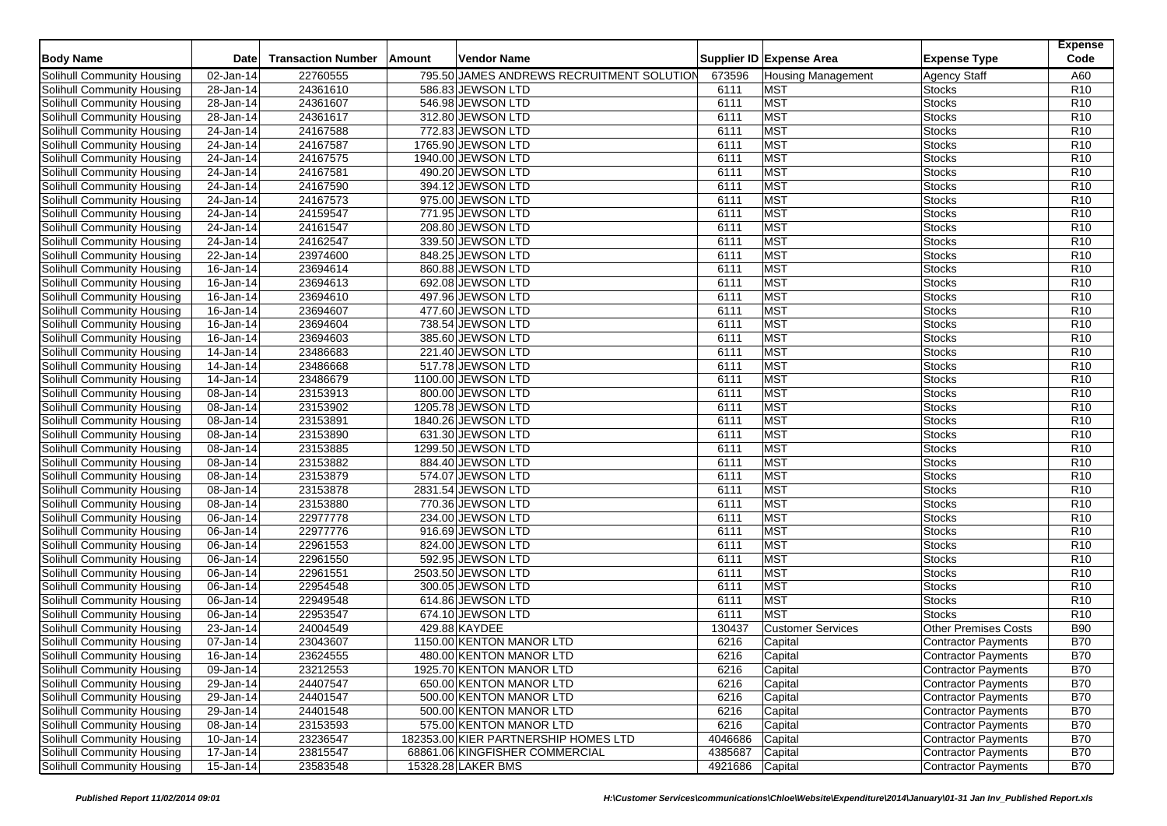| <b>Body Name</b>           | <b>Date</b>     | <b>Transaction Number</b> | Amount | <b>Vendor Name</b>                        |                 | Supplier ID Expense Area  | <b>Expense Type</b>         | <b>Expense</b><br>Code |
|----------------------------|-----------------|---------------------------|--------|-------------------------------------------|-----------------|---------------------------|-----------------------------|------------------------|
| Solihull Community Housing | 02-Jan-14       | 22760555                  |        | 795.50 JAMES ANDREWS RECRUITMENT SOLUTION | 673596          | <b>Housing Management</b> | <b>Agency Staff</b>         | A60                    |
| Solihull Community Housing | $28 - Jan - 14$ | 24361610                  |        | 586.83 JEWSON LTD                         | 6111            | <b>MST</b>                | <b>Stocks</b>               | R <sub>10</sub>        |
| Solihull Community Housing | 28-Jan-14       | 24361607                  |        | 546.98 JEWSON LTD                         | 6111            | <b>MST</b>                | <b>Stocks</b>               | R <sub>10</sub>        |
| Solihull Community Housing | 28-Jan-14       | 24361617                  |        | 312.80 JEWSON LTD                         | 6111            | <b>MST</b>                | <b>Stocks</b>               | R <sub>10</sub>        |
| Solihull Community Housing | 24-Jan-14       | 24167588                  |        | 772.83 JEWSON LTD                         | 6111            | <b>MST</b>                | <b>Stocks</b>               | R <sub>10</sub>        |
| Solihull Community Housing | 24-Jan-14       | 24167587                  |        | 1765.90 JEWSON LTD                        | 6111            | <b>MST</b>                | <b>Stocks</b>               | R10                    |
| Solihull Community Housing | 24-Jan-14       | 24167575                  |        | 1940.00 JEWSON LTD                        | 6111            | <b>MST</b>                | <b>Stocks</b>               | R <sub>10</sub>        |
| Solihull Community Housing | 24-Jan-14       | 24167581                  |        | 490.20 JEWSON LTD                         | 6111            | <b>MST</b>                | <b>Stocks</b>               | R <sub>10</sub>        |
| Solihull Community Housing | 24-Jan-14       | 24167590                  |        | 394.12 JEWSON LTD                         | 6111            | <b>MST</b>                | <b>Stocks</b>               | R <sub>10</sub>        |
| Solihull Community Housing | 24-Jan-14       | 24167573                  |        | 975.00 JEWSON LTD                         | 6111            | <b>MST</b>                | <b>Stocks</b>               | R <sub>10</sub>        |
| Solihull Community Housing | 24-Jan-14       | 24159547                  |        | 771.95 JEWSON LTD                         | 6111            | <b>MST</b>                | <b>Stocks</b>               | R <sub>10</sub>        |
| Solihull Community Housing | 24-Jan-14       | 24161547                  |        | 208.80 JEWSON LTD                         | 6111            | <b>MST</b>                | <b>Stocks</b>               | R <sub>10</sub>        |
| Solihull Community Housing | 24-Jan-14       | 24162547                  |        | 339.50 JEWSON LTD                         | 6111            | MST                       | <b>Stocks</b>               | R <sub>10</sub>        |
| Solihull Community Housing | 22-Jan-14       | 23974600                  |        | 848.25 JEWSON LTD                         | 6111            | <b>MST</b>                | <b>Stocks</b>               | R <sub>10</sub>        |
| Solihull Community Housing | 16-Jan-14       | 23694614                  |        | 860.88 JEWSON LTD                         | 6111            | <b>MST</b>                | <b>Stocks</b>               | R10                    |
| Solihull Community Housing | $16$ -Jan-14    | 23694613                  |        | 692.08 JEWSON LTD                         | 6111            | <b>MST</b>                | <b>Stocks</b>               | R <sub>10</sub>        |
| Solihull Community Housing | 16-Jan-14       | 23694610                  |        | 497.96 JEWSON LTD                         | 6111            | <b>MST</b>                | <b>Stocks</b>               | R <sub>10</sub>        |
| Solihull Community Housing | $16$ -Jan-14    | 23694607                  |        | 477.60 JEWSON LTD                         | 6111            | <b>MST</b>                | <b>Stocks</b>               | R <sub>10</sub>        |
| Solihull Community Housing | 16-Jan-14       | 23694604                  |        | 738.54 JEWSON LTD                         | 6111            | <b>MST</b>                | <b>Stocks</b>               | R10                    |
| Solihull Community Housing | 16-Jan-14       | 23694603                  |        | 385.60 JEWSON LTD                         | 6111            | <b>MST</b>                | <b>Stocks</b>               | R <sub>10</sub>        |
| Solihull Community Housing | 14-Jan-14       | 23486683                  |        | 221.40 JEWSON LTD                         | 6111            | <b>MST</b>                | <b>Stocks</b>               | R <sub>10</sub>        |
| Solihull Community Housing | 14-Jan-14       | 23486668                  |        | 517.78 JEWSON LTD                         | 6111            | <b>MST</b>                | <b>Stocks</b>               | R <sub>10</sub>        |
| Solihull Community Housing | 14-Jan-14       | 23486679                  |        | 1100.00 JEWSON LTD                        | 6111            | <b>MST</b>                | <b>Stocks</b>               | R <sub>10</sub>        |
| Solihull Community Housing | 08-Jan-14       | 23153913                  |        | 800.00 JEWSON LTD                         | 6111            | <b>MST</b>                | <b>Stocks</b>               | R <sub>10</sub>        |
| Solihull Community Housing | $08 - Jan - 14$ | 23153902                  |        | 1205.78 JEWSON LTD                        | 6111            | <b>MST</b>                | <b>Stocks</b>               | R <sub>10</sub>        |
| Solihull Community Housing | 08-Jan-14       | 23153891                  |        | 1840.26 JEWSON LTD                        | 6111            | <b>MST</b>                | <b>Stocks</b>               | R <sub>10</sub>        |
| Solihull Community Housing | 08-Jan-14       | 23153890                  |        | 631.30 JEWSON LTD                         | 6111            | <b>MST</b>                | <b>Stocks</b>               | R <sub>10</sub>        |
| Solihull Community Housing | 08-Jan-14       | 23153885                  |        | 1299.50 JEWSON LTD                        | 6111            | <b>MST</b>                | <b>Stocks</b>               | R <sub>10</sub>        |
| Solihull Community Housing | 08-Jan-14       | 23153882                  |        | 884.40 JEWSON LTD                         | 6111            | <b>MST</b>                | <b>Stocks</b>               | R <sub>10</sub>        |
| Solihull Community Housing | 08-Jan-14       | 23153879                  |        | 574.07 JEWSON LTD                         | 6111            | <b>MST</b>                | <b>Stocks</b>               | R <sub>10</sub>        |
| Solihull Community Housing | 08-Jan-14       | 23153878                  |        | 2831.54 JEWSON LTD                        | 6111            | <b>MST</b>                | <b>Stocks</b>               | R <sub>10</sub>        |
| Solihull Community Housing | 08-Jan-14       | 23153880                  |        | 770.36 JEWSON LTD                         | 6111            | <b>MST</b>                | Stocks                      | R <sub>10</sub>        |
| Solihull Community Housing | 06-Jan-14       | 22977778                  |        | 234.00 JEWSON LTD                         | 6111            | <b>MST</b>                | <b>Stocks</b>               | R <sub>10</sub>        |
| Solihull Community Housing | 06-Jan-14       | 22977776                  |        | 916.69 JEWSON LTD                         | 6111            | <b>MST</b>                | <b>Stocks</b>               | R <sub>10</sub>        |
| Solihull Community Housing | 06-Jan-14       | 22961553                  |        | 824.00 JEWSON LTD                         | 6111            | <b>MST</b>                | <b>Stocks</b>               | R <sub>10</sub>        |
| Solihull Community Housing | 06-Jan-14       | 22961550                  |        | 592.95 JEWSON LTD                         | 6111            | <b>MST</b>                | <b>Stocks</b>               | R <sub>10</sub>        |
| Solihull Community Housing | 06-Jan-14       | 22961551                  |        | 2503.50 JEWSON LTD                        | 6111            | <b>MST</b>                | <b>Stocks</b>               | R <sub>10</sub>        |
| Solihull Community Housing | 06-Jan-14       | 22954548                  |        | 300.05 JEWSON LTD                         | 6111            | <b>MST</b>                | <b>Stocks</b>               | R <sub>10</sub>        |
| Solihull Community Housing | 06-Jan-14       | 22949548                  |        | 614.86 JEWSON LTD                         | 6111            | <b>MST</b>                | <b>Stocks</b>               | R <sub>10</sub>        |
| Solihull Community Housing | 06-Jan-14       | 22953547                  |        | 674.10 JEWSON LTD                         | 6111            | <b>MST</b>                | <b>Stocks</b>               | R <sub>10</sub>        |
| Solihull Community Housing | 23-Jan-14       | 24004549                  |        | 429.88 KAYDEE                             | 130437          | <b>Customer Services</b>  | <b>Other Premises Costs</b> | <b>B90</b>             |
| Solihull Community Housing | 07-Jan-14       | 23043607                  |        | 1150.00 KENTON MANOR LTD                  | 6216            | Capital                   | <b>Contractor Payments</b>  | <b>B70</b>             |
| Solihull Community Housing | 16-Jan-14       | 23624555                  |        | 480.00 KENTON MANOR LTD                   | 6216            | Capital                   | Contractor Payments         | <b>B70</b>             |
| Solihull Community Housing | 09-Jan-14       | 23212553                  |        | 1925.70 KENTON MANOR LTD                  | 6216            | Capital                   | <b>Contractor Payments</b>  | <b>B70</b>             |
| Solihull Community Housing | 29-Jan-14       | 24407547                  |        | 650.00 KENTON MANOR LTD                   | 6216            | Capital                   | Contractor Payments         | <b>B70</b>             |
| Solihull Community Housing | 29-Jan-14       | 24401547                  |        | 500.00 KENTON MANOR LTD                   | 6216            | Capital                   | Contractor Payments         | <b>B70</b>             |
| Solihull Community Housing | 29-Jan-14       | 24401548                  |        | 500.00 KENTON MANOR LTD                   | 6216            | Capital                   | Contractor Payments         | <b>B70</b>             |
| Solihull Community Housing | 08-Jan-14       | 23153593                  |        | 575.00 KENTON MANOR LTD                   | 6216            | Capital                   | Contractor Payments         | <b>B70</b>             |
| Solihull Community Housing | 10-Jan-14       | 23236547                  |        | 182353.00 KIER PARTNERSHIP HOMES LTD      | 4046686         | Capital                   | Contractor Payments         | <b>B70</b>             |
| Solihull Community Housing | 17-Jan-14       | 23815547                  |        | 68861.06 KINGFISHER COMMERCIAL            | 4385687         | Capital                   | Contractor Payments         | <b>B70</b>             |
| Solihull Community Housing | 15-Jan-14       | 23583548                  |        | 15328.28 LAKER BMS                        | 4921686 Capital |                           | Contractor Payments         | <b>B70</b>             |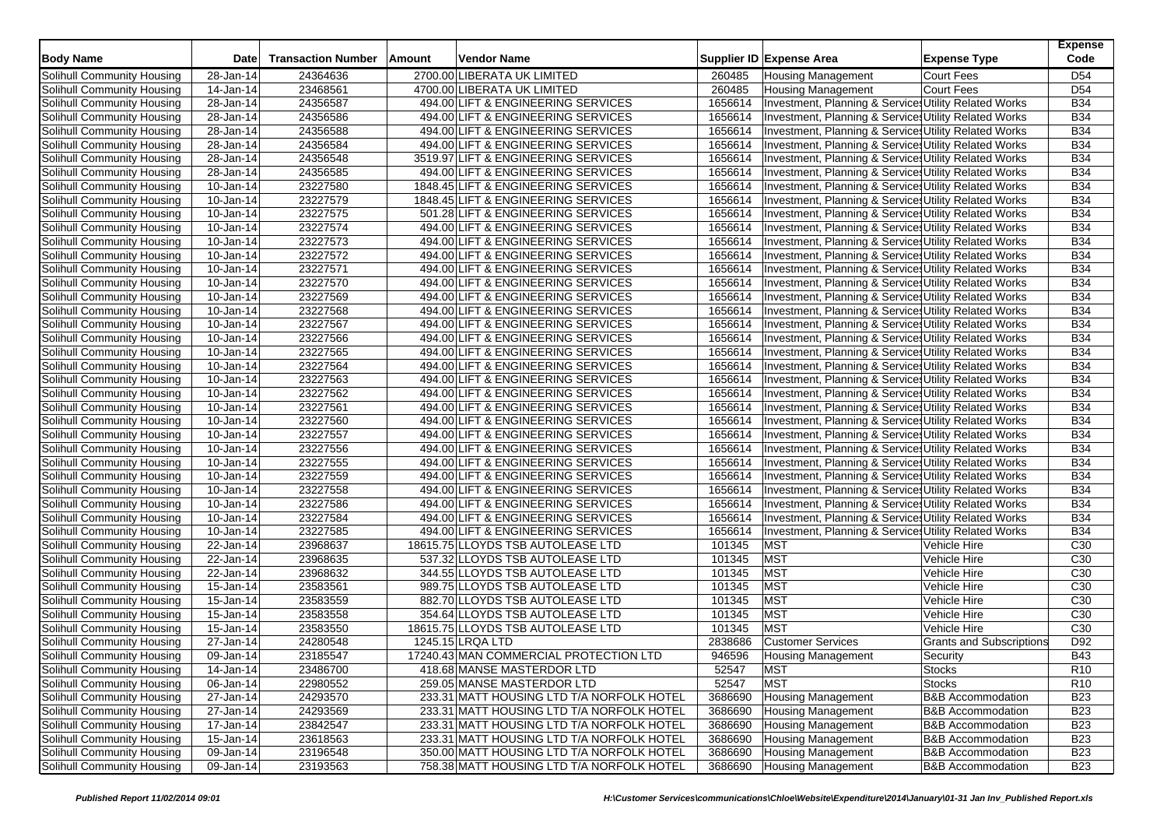| <b>Body Name</b>                  | <b>Date</b>             | <b>Transaction Number</b> | Amount | Vendor Name                               |         | Supplier ID Expense Area                              | <b>Expense Type</b>             | <b>Expense</b><br>Code |
|-----------------------------------|-------------------------|---------------------------|--------|-------------------------------------------|---------|-------------------------------------------------------|---------------------------------|------------------------|
| Solihull Community Housing        | 28-Jan-14               | 24364636                  |        | 2700.00 LIBERATA UK LIMITED               | 260485  | <b>Housing Management</b>                             | Court Fees                      | D <sub>54</sub>        |
| Solihull Community Housing        | 14-Jan-14               | 23468561                  |        | 4700.00 LIBERATA UK LIMITED               | 260485  | <b>Housing Management</b>                             | Court Fees                      | D <sub>54</sub>        |
| Solihull Community Housing        | 28-Jan-14               | 24356587                  |        | 494.00 LIFT & ENGINEERING SERVICES        | 1656614 | Investment, Planning & Services Utility Related Works |                                 | <b>B34</b>             |
| Solihull Community Housing        | 28-Jan-14               | 24356586                  |        | 494.00 LIFT & ENGINEERING SERVICES        | 1656614 | Investment, Planning & Services Utility Related Works |                                 | <b>B34</b>             |
| Solihull Community Housing        | 28-Jan-14               | 24356588                  |        | 494.00 LIFT & ENGINEERING SERVICES        | 1656614 | Investment, Planning & Services Utility Related Works |                                 | <b>B34</b>             |
| Solihull Community Housing        | 28-Jan-14               | 24356584                  |        | 494.00 LIFT & ENGINEERING SERVICES        | 1656614 | Investment, Planning & Services Utility Related Works |                                 | <b>B34</b>             |
| Solihull Community Housing        | 28-Jan-14               | 24356548                  |        | 3519.97 LIFT & ENGINEERING SERVICES       | 1656614 | Investment, Planning & Services Utility Related Works |                                 | <b>B34</b>             |
| Solihull Community Housing        | 28-Jan-14               | 24356585                  |        | 494.00 LIFT & ENGINEERING SERVICES        | 1656614 | Investment, Planning & Services Utility Related Works |                                 | <b>B34</b>             |
| Solihull Community Housing        | 10-Jan-14               | 23227580                  |        | 1848.45 LIFT & ENGINEERING SERVICES       | 1656614 | Investment, Planning & Services Utility Related Works |                                 | <b>B34</b>             |
| Solihull Community Housing        | 10-Jan-14               | 23227579                  |        | 1848.45 LIFT & ENGINEERING SERVICES       | 1656614 | Investment, Planning & Services Utility Related Works |                                 | <b>B34</b>             |
| Solihull Community Housing        | 10-Jan-14               | 23227575                  |        | 501.28 LIFT & ENGINEERING SERVICES        | 1656614 | Investment, Planning & Services Utility Related Works |                                 | <b>B34</b>             |
| Solihull Community Housing        | 10-Jan-14               | 23227574                  |        | 494.00 LIFT & ENGINEERING SERVICES        | 1656614 | Investment, Planning & Services Utility Related Works |                                 | <b>B34</b>             |
| Solihull Community Housing        | 10-Jan-14               | 23227573                  |        | 494.00 LIFT & ENGINEERING SERVICES        | 1656614 | Investment, Planning & Services Utility Related Works |                                 | <b>B34</b>             |
| Solihull Community Housing        | 10-Jan-14               | 23227572                  |        | 494.00 LIFT & ENGINEERING SERVICES        | 1656614 | Investment, Planning & Services Utility Related Works |                                 | <b>B34</b>             |
| Solihull Community Housing        | 10-Jan-14               | 23227571                  |        | 494.00 LIFT & ENGINEERING SERVICES        | 1656614 | Investment, Planning & Services Utility Related Works |                                 | <b>B34</b>             |
| Solihull Community Housing        | 10-Jan-14               | 23227570                  |        | 494.00 LIFT & ENGINEERING SERVICES        | 1656614 | Investment, Planning & Services Utility Related Works |                                 | <b>B34</b>             |
| Solihull Community Housing        | 10-Jan-14               | 23227569                  |        | 494.00 LIFT & ENGINEERING SERVICES        | 1656614 | Investment, Planning & Services Utility Related Works |                                 | <b>B34</b>             |
| Solihull Community Housing        | 10-Jan-14               | 23227568                  |        | 494.00 LIFT & ENGINEERING SERVICES        | 1656614 | Investment, Planning & Services Utility Related Works |                                 | <b>B34</b>             |
| Solihull Community Housing        | 10-Jan-14               | 23227567                  |        | 494.00 LIFT & ENGINEERING SERVICES        | 1656614 | Investment, Planning & Services Utility Related Works |                                 | <b>B34</b>             |
| Solihull Community Housing        | 10-Jan-14               | 23227566                  |        | 494.00 LIFT & ENGINEERING SERVICES        | 1656614 | Investment, Planning & Services Utility Related Works |                                 | <b>B34</b>             |
| Solihull Community Housing        | 10-Jan-14               | 23227565                  |        | 494.00 LIFT & ENGINEERING SERVICES        | 1656614 | Investment, Planning & Services Utility Related Works |                                 | <b>B34</b>             |
| Solihull Community Housing        | 10-Jan-14               | 23227564                  |        | 494.00 LIFT & ENGINEERING SERVICES        | 1656614 | Investment, Planning & Services Utility Related Works |                                 | <b>B34</b>             |
| Solihull Community Housing        | 10-Jan-14               | 23227563                  |        | 494.00 LIFT & ENGINEERING SERVICES        | 1656614 | Investment, Planning & Services Utility Related Works |                                 | <b>B34</b>             |
| Solihull Community Housing        | $\overline{10}$ -Jan-14 | 23227562                  |        | 494.00 LIFT & ENGINEERING SERVICES        | 1656614 | Investment, Planning & Services Utility Related Works |                                 | <b>B34</b>             |
| Solihull Community Housing        | 10-Jan-14               | 23227561                  |        | 494.00 LIFT & ENGINEERING SERVICES        | 1656614 | Investment, Planning & Services Utility Related Works |                                 | <b>B34</b>             |
| Solihull Community Housing        | 10-Jan-14               | 23227560                  |        | 494.00 LIFT & ENGINEERING SERVICES        | 1656614 | Investment, Planning & Services Utility Related Works |                                 | <b>B34</b>             |
| Solihull Community Housing        | 10-Jan-14               | 23227557                  |        | 494.00 LIFT & ENGINEERING SERVICES        | 1656614 | Investment, Planning & Services Utility Related Works |                                 | <b>B34</b>             |
| Solihull Community Housing        | 10-Jan-14               | 23227556                  |        | 494.00 LIFT & ENGINEERING SERVICES        | 1656614 | Investment, Planning & Services Utility Related Works |                                 | <b>B34</b>             |
| Solihull Community Housing        | 10-Jan-14               | 23227555                  |        | 494.00 LIFT & ENGINEERING SERVICES        | 1656614 | Investment, Planning & Services Utility Related Works |                                 | <b>B34</b>             |
| Solihull Community Housing        | 10-Jan-14               | 23227559                  |        | 494.00 LIFT & ENGINEERING SERVICES        | 1656614 | Investment, Planning & Services Utility Related Works |                                 | <b>B34</b>             |
| Solihull Community Housing        | 10-Jan-14               | 23227558                  |        | 494.00 LIFT & ENGINEERING SERVICES        | 1656614 | Investment, Planning & Services Utility Related Works |                                 | <b>B34</b>             |
| Solihull Community Housing        | 10-Jan-14               | 23227586                  |        | 494.00 LIFT & ENGINEERING SERVICES        | 1656614 | Investment, Planning & Services Utility Related Works |                                 | <b>B34</b>             |
| Solihull Community Housing        | 10-Jan-14               | 23227584                  |        | 494.00 LIFT & ENGINEERING SERVICES        | 1656614 | Investment, Planning & Services Utility Related Works |                                 | <b>B34</b>             |
| Solihull Community Housing        | 10-Jan-14               | 23227585                  |        | 494.00 LIFT & ENGINEERING SERVICES        | 1656614 | Investment, Planning & Services Utility Related Works |                                 | <b>B34</b>             |
| Solihull Community Housing        | 22-Jan-14               | 23968637                  |        | 18615.75 LLOYDS TSB AUTOLEASE LTD         | 101345  | <b>MST</b>                                            | Vehicle Hire                    | C30                    |
| <b>Solihull Community Housing</b> | 22-Jan-14               | 23968635                  |        | 537.32 LLOYDS TSB AUTOLEASE LTD           | 101345  | <b>MST</b>                                            | Vehicle Hire                    | C30                    |
| Solihull Community Housing        | 22-Jan-14               | 23968632                  |        | 344.55 LLOYDS TSB AUTOLEASE LTD           | 101345  | <b>MST</b>                                            | Vehicle Hire                    | C30                    |
| Solihull Community Housing        | 15-Jan-14               | 23583561                  |        | 989.75 LLOYDS TSB AUTOLEASE LTD           | 101345  | MST                                                   | Vehicle Hire                    | C30                    |
| Solihull Community Housing        | 15-Jan-14               | 23583559                  |        | 882.70 LLOYDS TSB AUTOLEASE LTD           | 101345  | <b>MST</b>                                            | Vehicle Hire                    | C30                    |
| Solihull Community Housing        | 15-Jan-14               | 23583558                  |        | 354.64 LLOYDS TSB AUTOLEASE LTD           | 101345  | <b>MST</b>                                            | Vehicle Hire                    | C30                    |
| Solihull Community Housing        | 15-Jan-14               | 23583550                  |        | 18615.75 LLOYDS TSB AUTOLEASE LTD         | 101345  | <b>MST</b>                                            | Vehicle Hire                    | C <sub>30</sub>        |
| Solihull Community Housing        | 27-Jan-14               | 24280548                  |        | 1245.15 LRQA LTD                          | 2838686 | <b>Customer Services</b>                              | <b>Grants and Subscriptions</b> | D92                    |
| Solihull Community Housing        | 09-Jan-14               | 23185547                  |        | 17240.43 MAN COMMERCIAL PROTECTION LTD    | 946596  | <b>Housing Management</b>                             | Security                        | <b>B43</b>             |
| Solihull Community Housing        | 14-Jan-14               | 23486700                  |        | 418.68 MANSE MASTERDOR LTD                | 52547   | <b>MST</b>                                            | <b>Stocks</b>                   | R <sub>10</sub>        |
| Solihull Community Housing        | 06-Jan-14               | 22980552                  |        | 259.05 MANSE MASTERDOR LTD                | 52547   | <b>MST</b>                                            | <b>Stocks</b>                   | R <sub>10</sub>        |
| Solihull Community Housing        | 27-Jan-14               | 24293570                  |        | 233.31 MATT HOUSING LTD T/A NORFOLK HOTEL | 3686690 | <b>Housing Management</b>                             | <b>B&amp;B Accommodation</b>    | <b>B23</b>             |
| Solihull Community Housing        | 27-Jan-14               | 24293569                  |        | 233.31 MATT HOUSING LTD T/A NORFOLK HOTEL | 3686690 | <b>Housing Management</b>                             | <b>B&amp;B Accommodation</b>    | <b>B23</b>             |
| Solihull Community Housing        | 17-Jan-14               | 23842547                  |        | 233.31 MATT HOUSING LTD T/A NORFOLK HOTEL | 3686690 | <b>Housing Management</b>                             | <b>B&amp;B Accommodation</b>    | <b>B23</b>             |
| Solihull Community Housing        | 15-Jan-14               | 23618563                  |        | 233.31 MATT HOUSING LTD T/A NORFOLK HOTEL | 3686690 | <b>Housing Management</b>                             | <b>B&amp;B Accommodation</b>    | <b>B23</b>             |
| <b>Solihull Community Housing</b> | 09-Jan-14               | 23196548                  |        | 350.00 MATT HOUSING LTD T/A NORFOLK HOTEL | 3686690 | <b>Housing Management</b>                             | <b>B&amp;B Accommodation</b>    | <b>B23</b>             |
| Solihull Community Housing        | 09-Jan-14               | 23193563                  |        | 758.38 MATT HOUSING LTD T/A NORFOLK HOTEL | 3686690 | <b>Housing Management</b>                             | <b>B&amp;B Accommodation</b>    | <b>B23</b>             |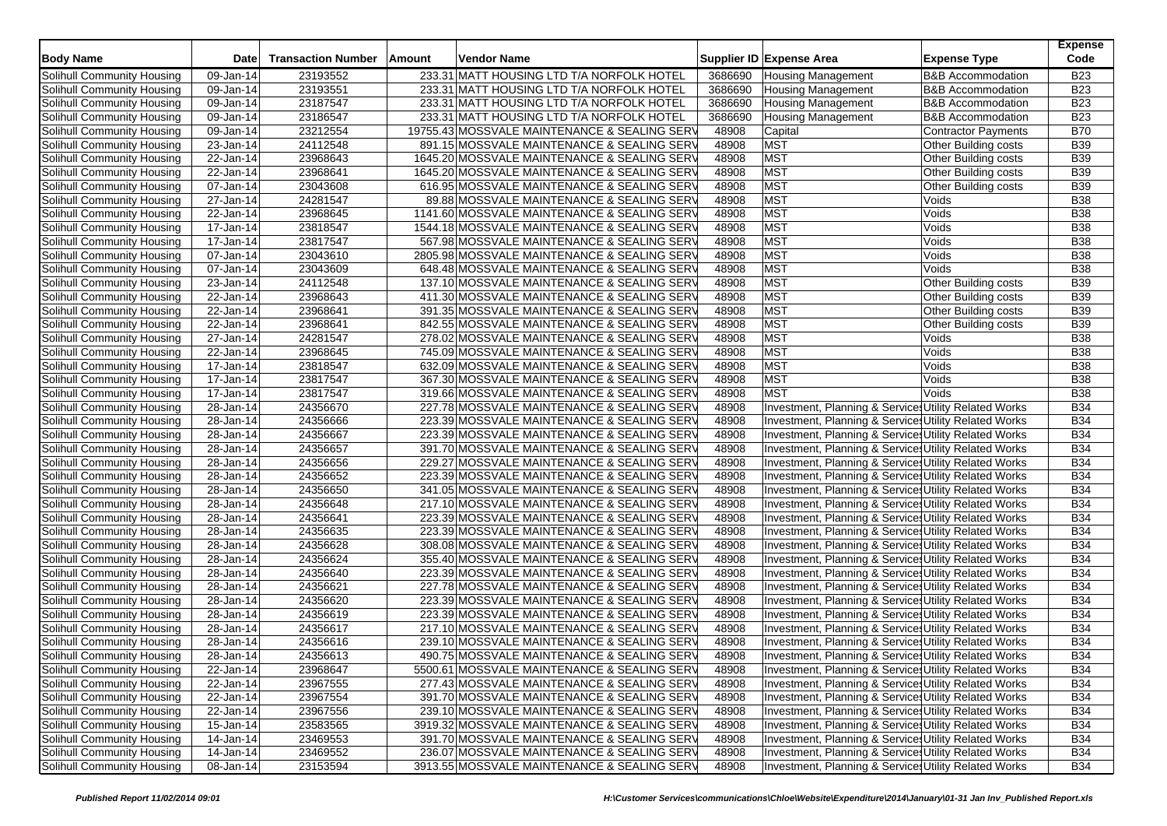| <b>Body Name</b>                  | <b>Date</b> | <b>Transaction Number</b> | Amount | Vendor Name                                  |         | Supplier ID Expense Area                              | <b>Expense Type</b>          | <b>Expense</b><br>Code |
|-----------------------------------|-------------|---------------------------|--------|----------------------------------------------|---------|-------------------------------------------------------|------------------------------|------------------------|
| Solihull Community Housing        | 09-Jan-14   | 23193552                  |        | 233.31 MATT HOUSING LTD T/A NORFOLK HOTEL    | 3686690 | <b>Housing Management</b>                             | <b>B&amp;B Accommodation</b> | <b>B23</b>             |
| Solihull Community Housing        | 09-Jan-14   | 23193551                  |        | 233.31 MATT HOUSING LTD T/A NORFOLK HOTEL    | 3686690 | <b>Housing Management</b>                             | <b>B&amp;B Accommodation</b> | <b>B23</b>             |
| Solihull Community Housing        | 09-Jan-14   | 23187547                  |        | 233.31 MATT HOUSING LTD T/A NORFOLK HOTEL    | 3686690 | <b>Housing Management</b>                             | <b>B&amp;B Accommodation</b> | <b>B23</b>             |
| Solihull Community Housing        | 09-Jan-14   | 23186547                  |        | 233.31 MATT HOUSING LTD T/A NORFOLK HOTEL    | 3686690 | <b>Housing Management</b>                             | <b>B&amp;B Accommodation</b> | <b>B23</b>             |
| Solihull Community Housing        | 09-Jan-14   | 23212554                  |        | 19755.43 MOSSVALE MAINTENANCE & SEALING SERV | 48908   | Capital                                               | <b>Contractor Payments</b>   | <b>B70</b>             |
| Solihull Community Housing        | 23-Jan-14   | 24112548                  |        | 891.15 MOSSVALE MAINTENANCE & SEALING SERV   | 48908   | <b>MST</b>                                            | Other Building costs         | <b>B39</b>             |
| Solihull Community Housing        | 22-Jan-14   | 23968643                  |        | 1645.20 MOSSVALE MAINTENANCE & SEALING SERV  | 48908   | <b>MST</b>                                            | Other Building costs         | <b>B39</b>             |
| Solihull Community Housing        | 22-Jan-14   | 23968641                  |        | 1645.20 MOSSVALE MAINTENANCE & SEALING SERV  | 48908   | <b>MST</b>                                            | Other Building costs         | <b>B39</b>             |
| Solihull Community Housing        | 07-Jan-14   | 23043608                  |        | 616.95 MOSSVALE MAINTENANCE & SEALING SERV   | 48908   | MST                                                   | Other Building costs         | <b>B39</b>             |
| Solihull Community Housing        | 27-Jan-14   | 24281547                  |        | 89.88 MOSSVALE MAINTENANCE & SEALING SERV    | 48908   | MST                                                   | Voids                        | <b>B38</b>             |
| Solihull Community Housing        | 22-Jan-14   | 23968645                  |        | 1141.60 MOSSVALE MAINTENANCE & SEALING SERV  | 48908   | <b>MST</b>                                            | Voids                        | <b>B38</b>             |
| Solihull Community Housing        | 17-Jan-14   | 23818547                  |        | 1544.18 MOSSVALE MAINTENANCE & SEALING SERV  | 48908   | MST                                                   | Voids                        | <b>B38</b>             |
| Solihull Community Housing        | 17-Jan-14   | 23817547                  |        | 567.98 MOSSVALE MAINTENANCE & SEALING SERV   | 48908   | <b>MST</b>                                            | Voids                        | <b>B38</b>             |
| Solihull Community Housing        | 07-Jan-14   | 23043610                  |        | 2805.98 MOSSVALE MAINTENANCE & SEALING SERV  | 48908   | <b>MST</b>                                            | Voids                        | <b>B38</b>             |
| Solihull Community Housing        | 07-Jan-14   | 23043609                  |        | 648.48 MOSSVALE MAINTENANCE & SEALING SERV   | 48908   | <b>MST</b>                                            | Voids                        | <b>B38</b>             |
| Solihull Community Housing        | 23-Jan-14   | 24112548                  |        | 137.10 MOSSVALE MAINTENANCE & SEALING SERV   | 48908   | <b>MST</b>                                            | <b>Other Building costs</b>  | <b>B39</b>             |
| Solihull Community Housing        | 22-Jan-14   | 23968643                  |        | 411.30 MOSSVALE MAINTENANCE & SEALING SERV   | 48908   | <b>MST</b>                                            | <b>Other Building costs</b>  | <b>B39</b>             |
| Solihull Community Housing        | 22-Jan-14   | 23968641                  |        | 391.35 MOSSVALE MAINTENANCE & SEALING SERV   | 48908   | <b>MST</b>                                            | Other Building costs         | <b>B39</b>             |
| Solihull Community Housing        | 22-Jan-14   | 23968641                  |        | 842.55 MOSSVALE MAINTENANCE & SEALING SERV   | 48908   | <b>MST</b>                                            | Other Building costs         | <b>B39</b>             |
| Solihull Community Housing        | 27-Jan-14   | 24281547                  |        | 278.02 MOSSVALE MAINTENANCE & SEALING SERV   | 48908   | <b>MST</b>                                            | Voids                        | <b>B38</b>             |
| Solihull Community Housing        | 22-Jan-14   | 23968645                  |        | 745.09 MOSSVALE MAINTENANCE & SEALING SERV   | 48908   | MST                                                   | Voids                        | <b>B38</b>             |
| Solihull Community Housing        | 17-Jan-14   | 23818547                  |        | 632.09 MOSSVALE MAINTENANCE & SEALING SERV   | 48908   | <b>MST</b>                                            | Voids                        | <b>B38</b>             |
| Solihull Community Housing        | 17-Jan-14   | 23817547                  |        | 367.30 MOSSVALE MAINTENANCE & SEALING SERV   | 48908   | MST                                                   | Voids                        | <b>B38</b>             |
| Solihull Community Housing        | 17-Jan-14   | 23817547                  |        | 319.66 MOSSVALE MAINTENANCE & SEALING SERV   | 48908   | MST                                                   | Voids                        | <b>B38</b>             |
| Solihull Community Housing        | 28-Jan-14   | 24356670                  |        | 227.78 MOSSVALE MAINTENANCE & SEALING SERV   | 48908   | Investment, Planning & Services Utility Related Works |                              | <b>B34</b>             |
| Solihull Community Housing        | 28-Jan-14   | 24356666                  |        | 223.39 MOSSVALE MAINTENANCE & SEALING SERV   | 48908   | Investment, Planning & Services Utility Related Works |                              | <b>B34</b>             |
| Solihull Community Housing        | 28-Jan-14   | 24356667                  |        | 223.39 MOSSVALE MAINTENANCE & SEALING SERV   | 48908   | Investment, Planning & Service Utility Related Works  |                              | <b>B34</b>             |
| Solihull Community Housing        | 28-Jan-14   | 24356657                  |        | 391.70 MOSSVALE MAINTENANCE & SEALING SERV   | 48908   | Investment, Planning & Services Utility Related Works |                              | <b>B34</b>             |
| Solihull Community Housing        | 28-Jan-14   | 24356656                  |        | 229.27 MOSSVALE MAINTENANCE & SEALING SERV   | 48908   | Investment, Planning & Services Utility Related Works |                              | <b>B34</b>             |
| Solihull Community Housing        | 28-Jan-14   | 24356652                  |        | 223.39 MOSSVALE MAINTENANCE & SEALING SERV   | 48908   | Investment, Planning & Services Utility Related Works |                              | <b>B34</b>             |
| Solihull Community Housing        | 28-Jan-14   | 24356650                  |        | 341.05 MOSSVALE MAINTENANCE & SEALING SERV   | 48908   | Investment, Planning & Service Utility Related Works  |                              | <b>B34</b>             |
| Solihull Community Housing        | 28-Jan-14   | 24356648                  |        | 217.10 MOSSVALE MAINTENANCE & SEALING SERV   | 48908   | Investment, Planning & Services Utility Related Works |                              | <b>B34</b>             |
| Solihull Community Housing        | 28-Jan-14   | 24356641                  |        | 223.39 MOSSVALE MAINTENANCE & SEALING SERV   | 48908   | Investment, Planning & Services Utility Related Works |                              | <b>B34</b>             |
| Solihull Community Housing        | 28-Jan-14   | 24356635                  |        | 223.39 MOSSVALE MAINTENANCE & SEALING SERV   | 48908   | Investment, Planning & Services Utility Related Works |                              | <b>B34</b>             |
| Solihull Community Housing        | 28-Jan-14   | 24356628                  |        | 308.08 MOSSVALE MAINTENANCE & SEALING SERV   | 48908   | Investment, Planning & Services Utility Related Works |                              | <b>B34</b>             |
| Solihull Community Housing        | 28-Jan-14   | 24356624                  |        | 355.40 MOSSVALE MAINTENANCE & SEALING SERV   | 48908   | Investment, Planning & Services Utility Related Works |                              | <b>B34</b>             |
| Solihull Community Housing        | 28-Jan-14   | 24356640                  |        | 223.39 MOSSVALE MAINTENANCE & SEALING SERV   | 48908   | Investment, Planning & Services Utility Related Works |                              | <b>B34</b>             |
| Solihull Community Housing        | 28-Jan-14   | 24356621                  |        | 227.78 MOSSVALE MAINTENANCE & SEALING SERV   | 48908   | Investment, Planning & Services Utility Related Works |                              | <b>B34</b>             |
| Solihull Community Housing        | 28-Jan-14   | 24356620                  |        | 223.39 MOSSVALE MAINTENANCE & SEALING SERV   | 48908   | Investment, Planning & Services Utility Related Works |                              | <b>B34</b>             |
| Solihull Community Housing        | 28-Jan-14   | 24356619                  |        | 223.39 MOSSVALE MAINTENANCE & SEALING SERV   | 48908   | Investment, Planning & Services Utility Related Works |                              | <b>B34</b>             |
| Solihull Community Housing        | 28-Jan-14   | 24356617                  |        | 217.10 MOSSVALE MAINTENANCE & SEALING SERV   | 48908   | Investment, Planning & Services Utility Related Works |                              | <b>B34</b>             |
| Solihull Community Housing        | 28-Jan-14   | 24356616                  |        | 239.10 MOSSVALE MAINTENANCE & SEALING SERV   | 48908   | Investment, Planning & Services Utility Related Works |                              | <b>B34</b>             |
| Solihull Community Housing        | 28-Jan-14   | 24356613                  |        | 490.75 MOSSVALE MAINTENANCE & SEALING SERV   | 48908   | Investment, Planning & Services Utility Related Works |                              | <b>B34</b>             |
| Solihull Community Housing        | 22-Jan-14   | 23968647                  |        | 5500.61 MOSSVALE MAINTENANCE & SEALING SERV  | 48908   | Investment, Planning & Services Utility Related Works |                              | <b>B34</b>             |
| Solihull Community Housing        | 22-Jan-14   | 23967555                  |        | 277.43 MOSSVALE MAINTENANCE & SEALING SERV   | 48908   | Investment, Planning & Services Utility Related Works |                              | <b>B34</b>             |
| Solihull Community Housing        | 22-Jan-14   | 23967554                  |        | 391.70 MOSSVALE MAINTENANCE & SEALING SERV   | 48908   | Investment, Planning & Services Utility Related Works |                              | <b>B34</b>             |
| Solihull Community Housing        | 22-Jan-14   | 23967556                  |        | 239.10 MOSSVALE MAINTENANCE & SEALING SERV   | 48908   | Investment, Planning & Services Utility Related Works |                              | <b>B34</b>             |
| Solihull Community Housing        | 15-Jan-14   | 23583565                  |        | 3919.32 MOSSVALE MAINTENANCE & SEALING SERV  | 48908   | Investment, Planning & Services Utility Related Works |                              | <b>B34</b>             |
| Solihull Community Housing        | 14-Jan-14   | 23469553                  |        | 391.70 MOSSVALE MAINTENANCE & SEALING SERV   | 48908   | Investment, Planning & Services Utility Related Works |                              | <b>B34</b>             |
| <b>Solihull Community Housing</b> | 14-Jan-14   | 23469552                  |        | 236.07 MOSSVALE MAINTENANCE & SEALING SERV   | 48908   | Investment, Planning & Services Utility Related Works |                              | <b>B34</b>             |
| Solihull Community Housing        | 08-Jan-14   | 23153594                  |        | 3913.55 MOSSVALE MAINTENANCE & SEALING SERV  | 48908   | Investment, Planning & Services Utility Related Works |                              | <b>B34</b>             |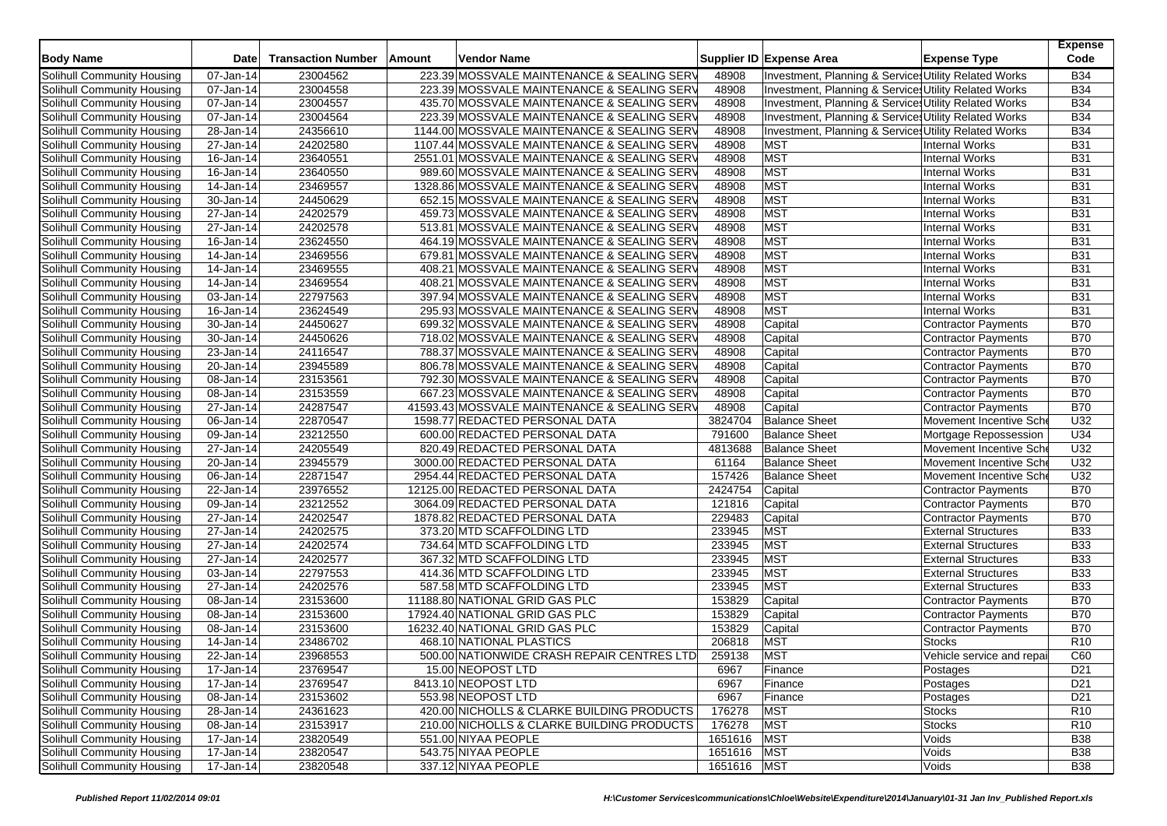| <b>Body Name</b>           | <b>Date</b>             | <b>Transaction Number</b> | Amount | <b>Vendor Name</b>                           |             | Supplier ID Expense Area                              | <b>Expense Type</b>        | <b>Expense</b><br>Code |
|----------------------------|-------------------------|---------------------------|--------|----------------------------------------------|-------------|-------------------------------------------------------|----------------------------|------------------------|
| Solihull Community Housing | 07-Jan-14               | 23004562                  |        | 223.39 MOSSVALE MAINTENANCE & SEALING SERV   | 48908       | Investment, Planning & Services Utility Related Works |                            | <b>B34</b>             |
| Solihull Community Housing | 07-Jan-14               | 23004558                  |        | 223.39 MOSSVALE MAINTENANCE & SEALING SERV   | 48908       | Investment, Planning & Services Utility Related Works |                            | <b>B34</b>             |
| Solihull Community Housing | 07-Jan-14               | 23004557                  |        | 435.70 MOSSVALE MAINTENANCE & SEALING SERV   | 48908       | Investment, Planning & Services Utility Related Works |                            | <b>B34</b>             |
| Solihull Community Housing | 07-Jan-14               | 23004564                  |        | 223.39 MOSSVALE MAINTENANCE & SEALING SERV   | 48908       | Investment, Planning & Services Utility Related Works |                            | <b>B34</b>             |
| Solihull Community Housing | 28-Jan-14               | 24356610                  |        | 1144.00 MOSSVALE MAINTENANCE & SEALING SERV  | 48908       | Investment, Planning & Services Utility Related Works |                            | <b>B34</b>             |
| Solihull Community Housing | 27-Jan-14               | 24202580                  |        | 1107.44 MOSSVALE MAINTENANCE & SEALING SERV  | 48908       | <b>MST</b>                                            | <b>Internal Works</b>      | <b>B31</b>             |
| Solihull Community Housing | 16-Jan-14               | 23640551                  |        | 2551.01 MOSSVALE MAINTENANCE & SEALING SERV  | 48908       | <b>MST</b>                                            | Internal Works             | <b>B31</b>             |
| Solihull Community Housing | 16-Jan-14               | 23640550                  |        | 989.60 MOSSVALE MAINTENANCE & SEALING SERV   | 48908       | <b>MST</b>                                            | <b>Internal Works</b>      | <b>B31</b>             |
| Solihull Community Housing | 14-Jan-14               | 23469557                  |        | 1328.86 MOSSVALE MAINTENANCE & SEALING SERV  | 48908       | <b>MST</b>                                            | <b>Internal Works</b>      | <b>B31</b>             |
| Solihull Community Housing | 30-Jan-14               | 24450629                  |        | 652.15 MOSSVALE MAINTENANCE & SEALING SERV   | 48908       | <b>MST</b>                                            | <b>Internal Works</b>      | <b>B31</b>             |
| Solihull Community Housing | 27-Jan-14               | 24202579                  |        | 459.73 MOSSVALE MAINTENANCE & SEALING SERV   | 48908       | <b>MST</b>                                            | <b>Internal Works</b>      | <b>B31</b>             |
| Solihull Community Housing | 27-Jan-14               | 24202578                  |        | 513.81 MOSSVALE MAINTENANCE & SEALING SERV   | 48908       | <b>MST</b>                                            | <b>Internal Works</b>      | <b>B31</b>             |
| Solihull Community Housing | 16-Jan-14               | 23624550                  |        | 464.19 MOSSVALE MAINTENANCE & SEALING SERV   | 48908       | <b>MST</b>                                            | <b>Internal Works</b>      | <b>B31</b>             |
| Solihull Community Housing | 14-Jan-14               | 23469556                  |        | 679.81 MOSSVALE MAINTENANCE & SEALING SERV   | 48908       | <b>MST</b>                                            | <b>Internal Works</b>      | <b>B31</b>             |
| Solihull Community Housing | 14-Jan-14               | 23469555                  |        | 408.21 MOSSVALE MAINTENANCE & SEALING SERV   | 48908       | <b>MST</b>                                            | <b>Internal Works</b>      | <b>B31</b>             |
| Solihull Community Housing | 14-Jan-14               | 23469554                  |        | 408.21 MOSSVALE MAINTENANCE & SEALING SERV   | 48908       | <b>MST</b>                                            | Internal Works             | <b>B31</b>             |
| Solihull Community Housing | 03-Jan-14               | 22797563                  |        | 397.94 MOSSVALE MAINTENANCE & SEALING SERV   | 48908       | <b>MST</b>                                            | <b>Internal Works</b>      | <b>B31</b>             |
| Solihull Community Housing | 16-Jan-14               | 23624549                  |        | 295.93 MOSSVALE MAINTENANCE & SEALING SERV   | 48908       | <b>MST</b>                                            | <b>Internal Works</b>      | <b>B31</b>             |
| Solihull Community Housing | 30-Jan-14               | 24450627                  |        | 699.32 MOSSVALE MAINTENANCE & SEALING SERV   | 48908       | Capital                                               | Contractor Payments        | <b>B70</b>             |
| Solihull Community Housing | 30-Jan-14               | 24450626                  |        | 718.02 MOSSVALE MAINTENANCE & SEALING SERV   | 48908       | Capital                                               | <b>Contractor Payments</b> | <b>B70</b>             |
| Solihull Community Housing | 23-Jan-14               | 24116547                  |        | 788.37 MOSSVALE MAINTENANCE & SEALING SERV   | 48908       | Capital                                               | <b>Contractor Payments</b> | <b>B70</b>             |
| Solihull Community Housing | $20 - Jan-14$           | 23945589                  |        | 806.78 MOSSVALE MAINTENANCE & SEALING SERV   | 48908       | Capital                                               | <b>Contractor Payments</b> | <b>B70</b>             |
| Solihull Community Housing | 08-Jan-14               | 23153561                  |        | 792.30 MOSSVALE MAINTENANCE & SEALING SERV   | 48908       | Capital                                               | <b>Contractor Payments</b> | <b>B70</b>             |
| Solihull Community Housing | $08 - Jan-14$           | 23153559                  |        | 667.23 MOSSVALE MAINTENANCE & SEALING SERV   | 48908       | Capital                                               | Contractor Payments        | <b>B70</b>             |
| Solihull Community Housing | 27-Jan-14               | 24287547                  |        | 41593.43 MOSSVALE MAINTENANCE & SEALING SERV | 48908       | Capital                                               | Contractor Payments        | <b>B70</b>             |
| Solihull Community Housing | 06-Jan-14               | 22870547                  |        | 1598.77 REDACTED PERSONAL DATA               | 3824704     | <b>Balance Sheet</b>                                  | Movement Incentive Sche    | U32                    |
| Solihull Community Housing | 09-Jan-14               | 23212550                  |        | 600.00 REDACTED PERSONAL DATA                | 791600      | <b>Balance Sheet</b>                                  | Mortgage Repossession      | U34                    |
| Solihull Community Housing | $\overline{27}$ -Jan-14 | 24205549                  |        | 820.49 REDACTED PERSONAL DATA                | 4813688     | <b>Balance Sheet</b>                                  | Movement Incentive Sche    | U32                    |
| Solihull Community Housing | 20-Jan-14               | 23945579                  |        | 3000.00 REDACTED PERSONAL DATA               | 61164       | <b>Balance Sheet</b>                                  | Movement Incentive Sche    | U32                    |
| Solihull Community Housing | 06-Jan-14               | 22871547                  |        | 2954.44 REDACTED PERSONAL DATA               | 157426      | <b>Balance Sheet</b>                                  | Movement Incentive Sch     | U32                    |
| Solihull Community Housing | 22-Jan-14               | 23976552                  |        | 12125.00 REDACTED PERSONAL DATA              | 2424754     | Capital                                               | Contractor Payments        | <b>B70</b>             |
| Solihull Community Housing | 09-Jan-14               | 23212552                  |        | 3064.09 REDACTED PERSONAL DATA               | 121816      | Capital                                               | <b>Contractor Payments</b> | <b>B70</b>             |
| Solihull Community Housing | 27-Jan-14               | 24202547                  |        | 1878.82 REDACTED PERSONAL DATA               | 229483      | Capital                                               | <b>Contractor Payments</b> | <b>B70</b>             |
| Solihull Community Housing | 27-Jan-14               | 24202575                  |        | 373.20 MTD SCAFFOLDING LTD                   | 233945      | <b>MST</b>                                            | <b>External Structures</b> | <b>B33</b>             |
| Solihull Community Housing | 27-Jan-14               | 24202574                  |        | 734.64 MTD SCAFFOLDING LTD                   | 233945      | <b>MST</b>                                            | <b>External Structures</b> | <b>B33</b>             |
| Solihull Community Housing | 27-Jan-14               | 24202577                  |        | 367.32 MTD SCAFFOLDING LTD                   | 233945      | <b>MST</b>                                            | <b>External Structures</b> | <b>B33</b>             |
| Solihull Community Housing | 03-Jan-14               | 22797553                  |        | 414.36 MTD SCAFFOLDING LTD                   | 233945      | <b>MST</b>                                            | <b>External Structures</b> | <b>B33</b>             |
| Solihull Community Housing | 27-Jan-14               | 24202576                  |        | 587.58 MTD SCAFFOLDING LTD                   | 233945      | <b>MST</b>                                            | <b>External Structures</b> | <b>B33</b>             |
| Solihull Community Housing | 08-Jan-14               | 23153600                  |        | 11188.80 NATIONAL GRID GAS PLC               | 153829      | Capital                                               | <b>Contractor Payments</b> | <b>B70</b>             |
| Solihull Community Housing | 08-Jan-14               | 23153600                  |        | 17924.40 NATIONAL GRID GAS PLC               | 153829      | Capital                                               | Contractor Payments        | <b>B70</b>             |
| Solihull Community Housing | 08-Jan-14               | 23153600                  |        | 16232.40 NATIONAL GRID GAS PLC               | 153829      | Capital                                               | Contractor Payments        | <b>B70</b>             |
| Solihull Community Housing | 14-Jan-14               | 23486702                  |        | 468.10 NATIONAL PLASTICS                     | 206818      | <b>MST</b>                                            | <b>Stocks</b>              | R <sub>10</sub>        |
| Solihull Community Housing | 22-Jan-14               | 23968553                  |        | 500.00 NATIONWIDE CRASH REPAIR CENTRES LTD   | 259138      | <b>MST</b>                                            | Vehicle service and repai  | C60                    |
| Solihull Community Housing | 17-Jan-14               | 23769547                  |        | 15.00 NEOPOST LTD                            | 6967        | Finance                                               | Postages                   | D <sub>21</sub>        |
| Solihull Community Housing | $17 - Jan-14$           | 23769547                  |        | 8413.10 NEOPOST LTD                          | 6967        | Finance                                               | Postages                   | D <sub>21</sub>        |
| Solihull Community Housing | 08-Jan-14               | 23153602                  |        | 553.98 NEOPOST LTD                           | 6967        | Finance                                               | Postages                   | D <sub>21</sub>        |
| Solihull Community Housing | 28-Jan-14               | 24361623                  |        | 420.00 NICHOLLS & CLARKE BUILDING PRODUCTS   | 176278      | <b>MST</b>                                            | <b>Stocks</b>              | R <sub>10</sub>        |
| Solihull Community Housing | 08-Jan-14               | 23153917                  |        | 210.00 NICHOLLS & CLARKE BUILDING PRODUCTS   | 176278      | <b>MST</b>                                            | <b>Stocks</b>              | R <sub>10</sub>        |
| Solihull Community Housing | 17-Jan-14               | 23820549                  |        | 551.00 NIYAA PEOPLE                          | 1651616     | <b>MST</b>                                            | Voids                      | <b>B38</b>             |
| Solihull Community Housing | 17-Jan-14               | 23820547                  |        | 543.75 NIYAA PEOPLE                          | 1651616 MST |                                                       | Voids                      | <b>B</b> 38            |
| Solihull Community Housing | 17-Jan-14               | 23820548                  |        | 337.12 NIYAA PEOPLE                          | 1651616 MST |                                                       | Voids                      | <b>B38</b>             |
|                            |                         |                           |        |                                              |             |                                                       |                            |                        |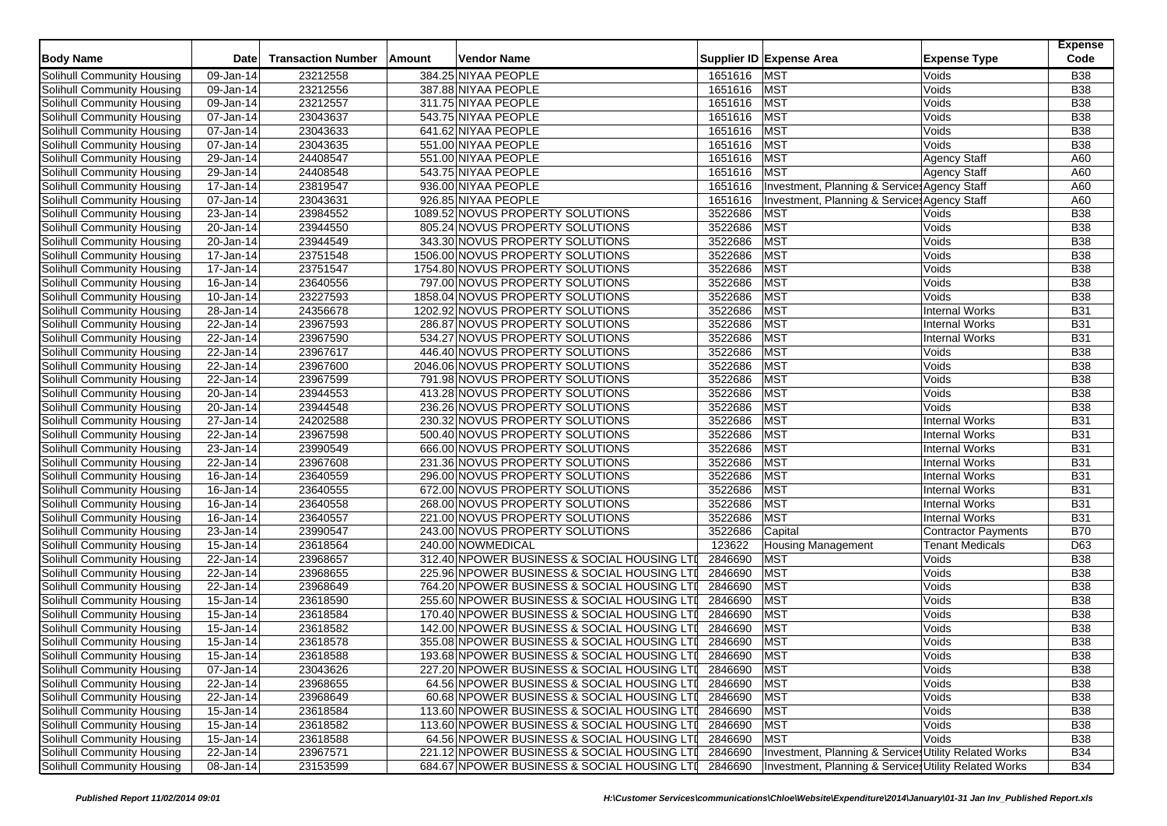| <b>Body Name</b>                  | <b>Date</b>             | <b>Transaction Number</b> | Amount | <b>Vendor Name</b>  |                                             |             | Supplier ID Expense Area                              | <b>Expense Type</b>    | <b>Expense</b><br>Code |
|-----------------------------------|-------------------------|---------------------------|--------|---------------------|---------------------------------------------|-------------|-------------------------------------------------------|------------------------|------------------------|
| Solihull Community Housing        | $\overline{09}$ -Jan-14 | 23212558                  |        | 384.25 NIYAA PEOPLE |                                             | 1651616 MST |                                                       | Voids                  | <b>B38</b>             |
| Solihull Community Housing        | 09-Jan-14               | 23212556                  |        | 387.88 NIYAA PEOPLE |                                             | 1651616     | MST                                                   | Voids                  | <b>B38</b>             |
| Solihull Community Housing        | 09-Jan-14               | 23212557                  |        | 311.75 NIYAA PEOPLE |                                             | 1651616     | <b>MST</b>                                            | Voids                  | <b>B38</b>             |
| Solihull Community Housing        | 07-Jan-14               | 23043637                  |        | 543.75 NIYAA PEOPLE |                                             | 1651616     | <b>MST</b>                                            | Voids                  | <b>B38</b>             |
| Solihull Community Housing        | 07-Jan-14               | 23043633                  |        | 641.62 NIYAA PEOPLE |                                             | 1651616     | <b>MST</b>                                            | Voids                  | <b>B38</b>             |
| Solihull Community Housing        | 07-Jan-14               | 23043635                  |        | 551.00 NIYAA PEOPLE |                                             | 1651616     | <b>MST</b>                                            | Voids                  | <b>B38</b>             |
| Solihull Community Housing        | 29-Jan-14               | 24408547                  |        | 551.00 NIYAA PEOPLE |                                             | 1651616     | <b>MST</b>                                            | <b>Agency Staff</b>    | A60                    |
| Solihull Community Housing        | 29-Jan-14               | 24408548                  |        | 543.75 NIYAA PEOPLE |                                             | 1651616     | <b>MST</b>                                            | <b>Agency Staff</b>    | A60                    |
| Solihull Community Housing        | $\overline{17}$ -Jan-14 | 23819547                  |        | 936.00 NIYAA PEOPLE |                                             | 1651616     | Investment, Planning & Services Agency Staff          |                        | A60                    |
| Solihull Community Housing        | 07-Jan-14               | 23043631                  |        | 926.85 NIYAA PEOPLE |                                             | 1651616     | Investment, Planning & Service: Agency Staff          |                        | A60                    |
| Solihull Community Housing        | 23-Jan-14               | 23984552                  |        |                     | 1089.52 NOVUS PROPERTY SOLUTIONS            | 3522686     | <b>MST</b>                                            | Voids                  | <b>B38</b>             |
| Solihull Community Housing        | 20-Jan-14               | 23944550                  |        |                     | 805.24 NOVUS PROPERTY SOLUTIONS             | 3522686     | <b>MST</b>                                            | Voids                  | <b>B38</b>             |
| Solihull Community Housing        | 20-Jan-14               | 23944549                  |        |                     | 343.30 NOVUS PROPERTY SOLUTIONS             | 3522686     | <b>MST</b>                                            | Voids                  | <b>B38</b>             |
| Solihull Community Housing        | 17-Jan-14               | 23751548                  |        |                     | 1506.00 NOVUS PROPERTY SOLUTIONS            | 3522686     | <b>MST</b>                                            | Voids                  | <b>B38</b>             |
| Solihull Community Housing        | 17-Jan-14               | 23751547                  |        |                     | 1754.80 NOVUS PROPERTY SOLUTIONS            | 3522686     | <b>MST</b>                                            | Voids                  | <b>B38</b>             |
| Solihull Community Housing        | $\overline{16}$ -Jan-14 | 23640556                  |        |                     | 797.00 NOVUS PROPERTY SOLUTIONS             | 3522686     | <b>MST</b>                                            | Voids                  | <b>B</b> 38            |
| Solihull Community Housing        | 10-Jan-14               | 23227593                  |        |                     | 1858.04 NOVUS PROPERTY SOLUTIONS            | 3522686     | <b>MST</b>                                            | Voids                  | <b>B38</b>             |
| Solihull Community Housing        | $\overline{28}$ -Jan-14 | 24356678                  |        |                     | 1202.92 NOVUS PROPERTY SOLUTIONS            | 3522686     | <b>MST</b>                                            | <b>Internal Works</b>  | <b>B31</b>             |
| Solihull Community Housing        | 22-Jan-14               | 23967593                  |        |                     | 286.87 NOVUS PROPERTY SOLUTIONS             | 3522686     | <b>MST</b>                                            | <b>Internal Works</b>  | <b>B31</b>             |
| Solihull Community Housing        | 22-Jan-14               | 23967590                  |        |                     | 534.27 NOVUS PROPERTY SOLUTIONS             | 3522686     | <b>MST</b>                                            | <b>Internal Works</b>  | <b>B31</b>             |
| Solihull Community Housing        | $\overline{22}$ -Jan-14 | 23967617                  |        |                     | 446.40 NOVUS PROPERTY SOLUTIONS             | 3522686     | <b>MST</b>                                            | Voids                  | <b>B38</b>             |
| Solihull Community Housing        | 22-Jan-14               | 23967600                  |        |                     | 2046.06 NOVUS PROPERTY SOLUTIONS            | 3522686     | <b>MST</b>                                            | Voids                  | <b>B</b> 38            |
| Solihull Community Housing        | 22-Jan-14               | 23967599                  |        |                     | 791.98 NOVUS PROPERTY SOLUTIONS             | 3522686     | <b>MST</b>                                            | Voids                  | <b>B38</b>             |
| Solihull Community Housing        | $\overline{20}$ -Jan-14 | 23944553                  |        |                     | 413.28 NOVUS PROPERTY SOLUTIONS             | 3522686     | <b>MST</b>                                            | Voids                  | <b>B38</b>             |
| Solihull Community Housing        | 20-Jan-14               | 23944548                  |        |                     | 236.26 NOVUS PROPERTY SOLUTIONS             | 3522686     | <b>MST</b>                                            | Voids                  | <b>B38</b>             |
| Solihull Community Housing        | 27-Jan-14               | 24202588                  |        |                     | 230.32 NOVUS PROPERTY SOLUTIONS             | 3522686     | <b>MST</b>                                            | <b>Internal Works</b>  | <b>B31</b>             |
| Solihull Community Housing        | 22-Jan-14               | 23967598                  |        |                     | 500.40 NOVUS PROPERTY SOLUTIONS             | 3522686     | <b>MST</b>                                            | Internal Works         | <b>B31</b>             |
| Solihull Community Housing        | 23-Jan-14               | 23990549                  |        |                     | 666.00 NOVUS PROPERTY SOLUTIONS             | 3522686     | <b>MST</b>                                            | <b>Internal Works</b>  | <b>B31</b>             |
| Solihull Community Housing        | 22-Jan-14               | 23967608                  |        |                     | 231.36 NOVUS PROPERTY SOLUTIONS             | 3522686     | <b>MST</b>                                            | <b>Internal Works</b>  | <b>B31</b>             |
| Solihull Community Housing        | 16-Jan-14               | 23640559                  |        |                     | 296.00 NOVUS PROPERTY SOLUTIONS             | 3522686     | <b>MST</b>                                            | <b>Internal Works</b>  | <b>B31</b>             |
| Solihull Community Housing        | 16-Jan-14               | 23640555                  |        |                     | 672.00 NOVUS PROPERTY SOLUTIONS             | 3522686     | <b>MST</b>                                            | <b>Internal Works</b>  | <b>B31</b>             |
| Solihull Community Housing        | 16-Jan-14               | 23640558                  |        |                     | 268.00 NOVUS PROPERTY SOLUTIONS             | 3522686     | <b>MST</b>                                            | <b>Internal Works</b>  | <b>B31</b>             |
| Solihull Community Housing        | $16$ -Jan-14            | 23640557                  |        |                     | 221.00 NOVUS PROPERTY SOLUTIONS             | 3522686     | <b>MST</b>                                            | <b>Internal Works</b>  | <b>B31</b>             |
| Solihull Community Housing        | 23-Jan-14               | 23990547                  |        |                     | 243.00 NOVUS PROPERTY SOLUTIONS             | 3522686     | Capital                                               | Contractor Payments    | <b>B70</b>             |
| Solihull Community Housing        | 15-Jan-14               | 23618564                  |        | 240.00 NOWMEDICAL   |                                             | 123622      | <b>Housing Management</b>                             | <b>Tenant Medicals</b> | D63                    |
| Solihull Community Housing        | 22-Jan-14               | 23968657                  |        |                     | 312.40 NPOWER BUSINESS & SOCIAL HOUSING LTI | 2846690     | <b>MST</b>                                            | Voids                  | <b>B38</b>             |
| Solihull Community Housing        | 22-Jan-14               | 23968655                  |        |                     | 225.96 NPOWER BUSINESS & SOCIAL HOUSING LTI | 2846690     | <b>MST</b>                                            | Voids                  | <b>B38</b>             |
| Solihull Community Housing        | 22-Jan-14               | 23968649                  |        |                     | 764.20 NPOWER BUSINESS & SOCIAL HOUSING LTI | 2846690     | <b>MST</b>                                            | Voids                  | <b>B</b> 38            |
| Solihull Community Housing        | 15-Jan-14               | 23618590                  |        |                     | 255.60 NPOWER BUSINESS & SOCIAL HOUSING LTI | 2846690     | <b>MST</b>                                            | Voids                  | <b>B38</b>             |
| Solihull Community Housing        | 15-Jan-14               | 23618584                  |        |                     | 170.40 NPOWER BUSINESS & SOCIAL HOUSING LTI | 2846690     | <b>MST</b>                                            | Voids                  | <b>B38</b>             |
| Solihull Community Housing        | 15-Jan-14               | 23618582                  |        |                     | 142.00 NPOWER BUSINESS & SOCIAL HOUSING LTI | 2846690     | <b>MST</b>                                            | Voids                  | <b>B</b> 38            |
| Solihull Community Housing        | $\overline{15}$ -Jan-14 | 23618578                  |        |                     | 355.08 NPOWER BUSINESS & SOCIAL HOUSING LTI | 2846690     | <b>MST</b>                                            | Voids                  | <b>B38</b>             |
| Solihull Community Housing        | 15-Jan-14               | 23618588                  |        |                     | 193.68 NPOWER BUSINESS & SOCIAL HOUSING LTI | 2846690     | <b>MST</b>                                            | Voids                  | <b>B38</b>             |
| Solihull Community Housing        | 07-Jan-14               | 23043626                  |        |                     | 227.20 NPOWER BUSINESS & SOCIAL HOUSING LTI | 2846690 MST |                                                       | Voids                  | <b>B38</b>             |
| Solihull Community Housing        | 22-Jan-14               | 23968655                  |        |                     | 64.56 NPOWER BUSINESS & SOCIAL HOUSING LTI  | 2846690 MST |                                                       | Voids                  | <b>B38</b>             |
| Solihull Community Housing        | 22-Jan-14               | 23968649                  |        |                     | 60.68 NPOWER BUSINESS & SOCIAL HOUSING LTI  | 2846690 MST |                                                       | Voids                  | <b>B38</b>             |
| Solihull Community Housing        | 15-Jan-14               | 23618584                  |        |                     | 113.60 NPOWER BUSINESS & SOCIAL HOUSING LTI | 2846690 MST |                                                       | Voids                  | <b>B38</b>             |
| Solihull Community Housing        | 15-Jan-14               | 23618582                  |        |                     | 113.60 NPOWER BUSINESS & SOCIAL HOUSING LTI | 2846690     | <b>MST</b>                                            | Voids                  | <b>B38</b>             |
| Solihull Community Housing        | 15-Jan-14               | 23618588                  |        |                     | 64.56 NPOWER BUSINESS & SOCIAL HOUSING LTI  | 2846690     | MST                                                   | Voids                  | <b>B38</b>             |
| <b>Solihull Community Housing</b> | 22-Jan-14               | 23967571                  |        |                     | 221.12 NPOWER BUSINESS & SOCIAL HOUSING LTI | 2846690     | Investment, Planning & Services Utility Related Works |                        | <b>B34</b>             |
| Solihull Community Housing        | 08-Jan-14               | 23153599                  |        |                     | 684.67 NPOWER BUSINESS & SOCIAL HOUSING LTI | 2846690     | Investment, Planning & Services Utility Related Works |                        | <b>B34</b>             |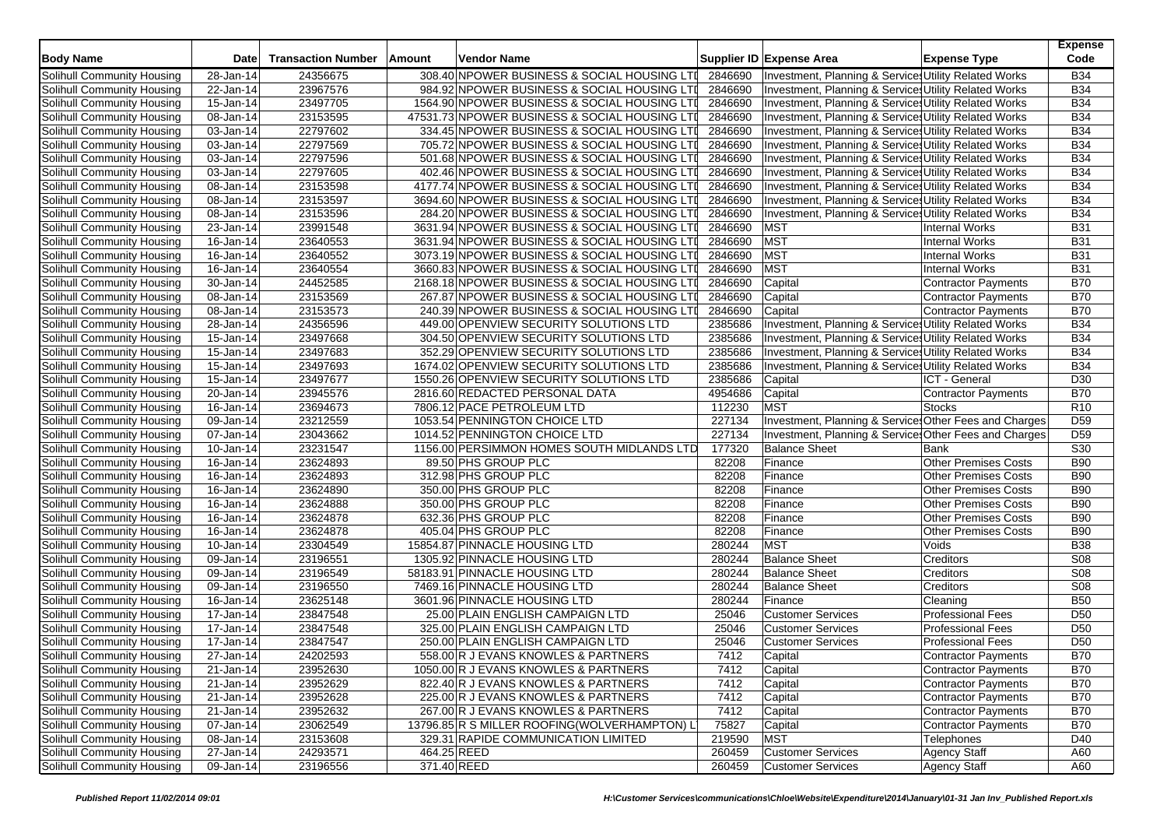| <b>Body Name</b>           | <b>Date</b>             | <b>Transaction Number</b> | Amount      | Vendor Name                             |                                               |         | Supplier ID Expense Area                                         | <b>Expense Type</b>         | <b>Expense</b><br>Code |
|----------------------------|-------------------------|---------------------------|-------------|-----------------------------------------|-----------------------------------------------|---------|------------------------------------------------------------------|-----------------------------|------------------------|
| Solihull Community Housing | 28-Jan-14               | 24356675                  |             |                                         | 308.40 NPOWER BUSINESS & SOCIAL HOUSING LTI   | 2846690 | Investment, Planning & Services Utility Related Works            |                             | <b>B34</b>             |
| Solihull Community Housing | 22-Jan-14               | 23967576                  |             |                                         | 984.92 NPOWER BUSINESS & SOCIAL HOUSING LTI   | 2846690 | Investment, Planning & Services Utility Related Works            |                             | <b>B34</b>             |
| Solihull Community Housing | 15-Jan-14               | 23497705                  |             |                                         | 1564.90 NPOWER BUSINESS & SOCIAL HOUSING LTI  | 2846690 | Investment, Planning & Services Utility Related Works            |                             | <b>B34</b>             |
| Solihull Community Housing | $08 - Jan-14$           | 23153595                  |             |                                         | 47531.73 NPOWER BUSINESS & SOCIAL HOUSING LTI | 2846690 | Investment, Planning & Services Utility Related Works            |                             | <b>B34</b>             |
| Solihull Community Housing | 03-Jan-14               | 22797602                  |             |                                         | 334.45 NPOWER BUSINESS & SOCIAL HOUSING LTI   | 2846690 | <b>Investment, Planning &amp; Services Utility Related Works</b> |                             | <b>B34</b>             |
| Solihull Community Housing | 03-Jan-14               | 22797569                  |             |                                         | 705.72 NPOWER BUSINESS & SOCIAL HOUSING LTI   | 2846690 | Investment, Planning & Services Utility Related Works            |                             | <b>B34</b>             |
| Solihull Community Housing | 03-Jan-14               | 22797596                  |             |                                         | 501.68 NPOWER BUSINESS & SOCIAL HOUSING LTI   | 2846690 | Investment, Planning & Services Utility Related Works            |                             | <b>B34</b>             |
| Solihull Community Housing | 03-Jan-14               | 22797605                  |             |                                         | 402.46 NPOWER BUSINESS & SOCIAL HOUSING LTI   | 2846690 | Investment, Planning & Services Utility Related Works            |                             | <b>B34</b>             |
| Solihull Community Housing | 08-Jan-14               | 23153598                  |             |                                         | 4177.74 NPOWER BUSINESS & SOCIAL HOUSING LTI  | 2846690 | Investment, Planning & Services Utility Related Works            |                             | <b>B34</b>             |
| Solihull Community Housing | 08-Jan-14               | 23153597                  |             |                                         | 3694.60 NPOWER BUSINESS & SOCIAL HOUSING LTI  | 2846690 | Investment, Planning & Services Utility Related Works            |                             | <b>B34</b>             |
| Solihull Community Housing | 08-Jan-14               | 23153596                  |             |                                         | 284.20 NPOWER BUSINESS & SOCIAL HOUSING LTI   | 2846690 | Investment, Planning & Services Utility Related Works            |                             | <b>B34</b>             |
| Solihull Community Housing | 23-Jan-14               | 23991548                  |             |                                         | 3631.94 NPOWER BUSINESS & SOCIAL HOUSING LTI  | 2846690 | <b>MST</b>                                                       | <b>Internal Works</b>       | <b>B31</b>             |
| Solihull Community Housing | 16-Jan-14               | 23640553                  |             |                                         | 3631.94 NPOWER BUSINESS & SOCIAL HOUSING LTI  | 2846690 | <b>MST</b>                                                       | Internal Works              | <b>B31</b>             |
| Solihull Community Housing | 16-Jan-14               | 23640552                  |             |                                         | 3073.19 NPOWER BUSINESS & SOCIAL HOUSING LTI  | 2846690 | <b>MST</b>                                                       | <b>Internal Works</b>       | <b>B31</b>             |
| Solihull Community Housing | 16-Jan-14               | 23640554                  |             |                                         | 3660.83 NPOWER BUSINESS & SOCIAL HOUSING LTI  | 2846690 | <b>MST</b>                                                       | <b>Internal Works</b>       | <b>B31</b>             |
| Solihull Community Housing | 30-Jan-14               | 24452585                  |             |                                         | 2168.18 NPOWER BUSINESS & SOCIAL HOUSING LTI  | 2846690 | Capital                                                          | <b>Contractor Payments</b>  | <b>B70</b>             |
| Solihull Community Housing | 08-Jan-14               | 23153569                  |             |                                         | 267.87 NPOWER BUSINESS & SOCIAL HOUSING LTI   | 2846690 | Capital                                                          | Contractor Payments         | <b>B70</b>             |
| Solihull Community Housing | 08-Jan-14               | 23153573                  |             |                                         | 240.39 NPOWER BUSINESS & SOCIAL HOUSING LTI   | 2846690 | Capital                                                          | <b>Contractor Payments</b>  | <b>B70</b>             |
| Solihull Community Housing | 28-Jan-14               | 24356596                  |             | 449.00 OPENVIEW SECURITY SOLUTIONS LTD  |                                               | 2385686 | Investment, Planning & Services Utility Related Works            |                             | <b>B34</b>             |
| Solihull Community Housing | 15-Jan-14               | 23497668                  |             | 304.50 OPENVIEW SECURITY SOLUTIONS LTD  |                                               | 2385686 | Investment, Planning & Services Utility Related Works            |                             | <b>B34</b>             |
| Solihull Community Housing | 15-Jan-14               | 23497683                  |             | 352.29 OPENVIEW SECURITY SOLUTIONS LTD  |                                               | 2385686 | Investment, Planning & Services Utility Related Works            |                             | <b>B34</b>             |
| Solihull Community Housing | $15 - Jan-14$           | 23497693                  |             | 1674.02 OPENVIEW SECURITY SOLUTIONS LTD |                                               | 2385686 | Investment, Planning & Services Utility Related Works            |                             | <b>B34</b>             |
| Solihull Community Housing | 15-Jan-14               | 23497677                  |             | 1550.26 OPENVIEW SECURITY SOLUTIONS LTD |                                               | 2385686 | Capital                                                          | ICT - General               | D30                    |
| Solihull Community Housing | 20-Jan-14               | 23945576                  |             | 2816.60 REDACTED PERSONAL DATA          |                                               | 4954686 | Capital                                                          | Contractor Payments         | <b>B70</b>             |
| Solihull Community Housing | 16-Jan-14               | 23694673                  |             | 7806.12 PACE PETROLEUM LTD              |                                               | 112230  | <b>MST</b>                                                       | <b>Stocks</b>               | R <sub>10</sub>        |
| Solihull Community Housing | 09-Jan-14               | 23212559                  |             | 1053.54 PENNINGTON CHOICE LTD           |                                               | 227134  | Investment, Planning & Services Other Fees and Charges           |                             | D <sub>59</sub>        |
| Solihull Community Housing | 07-Jan-14               | 23043662                  |             | 1014.52 PENNINGTON CHOICE LTD           |                                               | 227134  | Investment, Planning & Services Other Fees and Charges           |                             | D <sub>59</sub>        |
| Solihull Community Housing | 10-Jan-14               | 23231547                  |             |                                         | 1156.00 PERSIMMON HOMES SOUTH MIDLANDS LTD    | 177320  | <b>Balance Sheet</b>                                             | Bank                        | S30                    |
| Solihull Community Housing | 16-Jan-14               | 23624893                  |             | 89.50 PHS GROUP PLC                     |                                               | 82208   | Finance                                                          | <b>Other Premises Costs</b> | <b>B90</b>             |
| Solihull Community Housing | 16-Jan-14               | 23624893                  |             | 312.98 PHS GROUP PLC                    |                                               | 82208   | Finance                                                          | Other Premises Costs        | <b>B90</b>             |
| Solihull Community Housing | 16-Jan-14               | 23624890                  |             | 350.00 PHS GROUP PLC                    |                                               | 82208   | Finance                                                          | Other Premises Costs        | <b>B90</b>             |
| Solihull Community Housing | 16-Jan-14               | 23624888                  |             | 350.00 PHS GROUP PLC                    |                                               | 82208   | Finance                                                          | Other Premises Costs        | <b>B90</b>             |
| Solihull Community Housing | 16-Jan-14               | 23624878                  |             | 632.36 PHS GROUP PLC                    |                                               | 82208   | Finance                                                          | Other Premises Costs        | <b>B90</b>             |
| Solihull Community Housing | 16-Jan-14               | 23624878                  |             | 405.04 PHS GROUP PLC                    |                                               | 82208   | Finance                                                          | <b>Other Premises Costs</b> | <b>B90</b>             |
| Solihull Community Housing | 10-Jan-14               | 23304549                  |             | 15854.87 PINNACLE HOUSING LTD           |                                               | 280244  | <b>MST</b>                                                       | Voids                       | <b>B38</b>             |
| Solihull Community Housing | $\overline{09}$ -Jan-14 | 23196551                  |             | 1305.92 PINNACLE HOUSING LTD            |                                               | 280244  | <b>Balance Sheet</b>                                             | Creditors                   | S08                    |
| Solihull Community Housing | 09-Jan-14               | 23196549                  |             | 58183.91 PINNACLE HOUSING LTD           |                                               | 280244  | <b>Balance Sheet</b>                                             | Creditors                   | <b>S08</b>             |
| Solihull Community Housing | 09-Jan-14               | 23196550                  |             | 7469.16 PINNACLE HOUSING LTD            |                                               | 280244  | <b>Balance Sheet</b>                                             | <b>Creditors</b>            | S08                    |
| Solihull Community Housing | 16-Jan-14               | 23625148                  |             | 3601.96 PINNACLE HOUSING LTD            |                                               | 280244  | Finance                                                          | Cleaning                    | <b>B50</b>             |
| Solihull Community Housing | 17-Jan-14               | 23847548                  |             | 25.00 PLAIN ENGLISH CAMPAIGN LTD        |                                               | 25046   | <b>Customer Services</b>                                         | <b>Professional Fees</b>    | D <sub>50</sub>        |
| Solihull Community Housing | 17-Jan-14               | 23847548                  |             | 325.00 PLAIN ENGLISH CAMPAIGN LTD       |                                               | 25046   | <b>Customer Services</b>                                         | <b>Professional Fees</b>    | D <sub>50</sub>        |
| Solihull Community Housing | 17-Jan-14               | 23847547                  |             | 250.00 PLAIN ENGLISH CAMPAIGN LTD       |                                               | 25046   | <b>Customer Services</b>                                         | Professional Fees           | D <sub>50</sub>        |
| Solihull Community Housing | 27-Jan-14               | 24202593                  |             | 558.00 R J EVANS KNOWLES & PARTNERS     |                                               | 7412    | Capital                                                          | Contractor Payments         | <b>B70</b>             |
| Solihull Community Housing | 21-Jan-14               | 23952630                  |             | 1050.00 R J EVANS KNOWLES & PARTNERS    |                                               | 7412    | Capital                                                          | Contractor Payments         | <b>B70</b>             |
| Solihull Community Housing | 21-Jan-14               | 23952629                  |             | 822.40 R J EVANS KNOWLES & PARTNERS     |                                               | 7412    | Capital                                                          | Contractor Payments         | <b>B70</b>             |
| Solihull Community Housing | 21-Jan-14               | 23952628                  |             | 225.00 R J EVANS KNOWLES & PARTNERS     |                                               | 7412    | Capital                                                          | Contractor Payments         | <b>B70</b>             |
| Solihull Community Housing | 21-Jan-14               | 23952632                  |             | 267.00 R J EVANS KNOWLES & PARTNERS     |                                               | 7412    | Capital                                                          | Contractor Payments         | <b>B70</b>             |
| Solihull Community Housing | 07-Jan-14               | 23062549                  |             |                                         | 13796.85 R S MILLER ROOFING(WOLVERHAMPTON) L  | 75827   | Capital                                                          | Contractor Payments         | <b>B70</b>             |
| Solihull Community Housing | 08-Jan-14               | 23153608                  |             | 329.31 RAPIDE COMMUNICATION LIMITED     |                                               | 219590  | <b>MST</b>                                                       | Telephones                  | D40                    |
| Solihull Community Housing | 27-Jan-14               | 24293571                  | 464.25 REED |                                         |                                               | 260459  | <b>Customer Services</b>                                         | <b>Agency Staff</b>         | A60                    |
| Solihull Community Housing | 09-Jan-14               | 23196556                  | 371.40 REED |                                         |                                               | 260459  | Customer Services                                                | <b>Agency Staff</b>         | A60                    |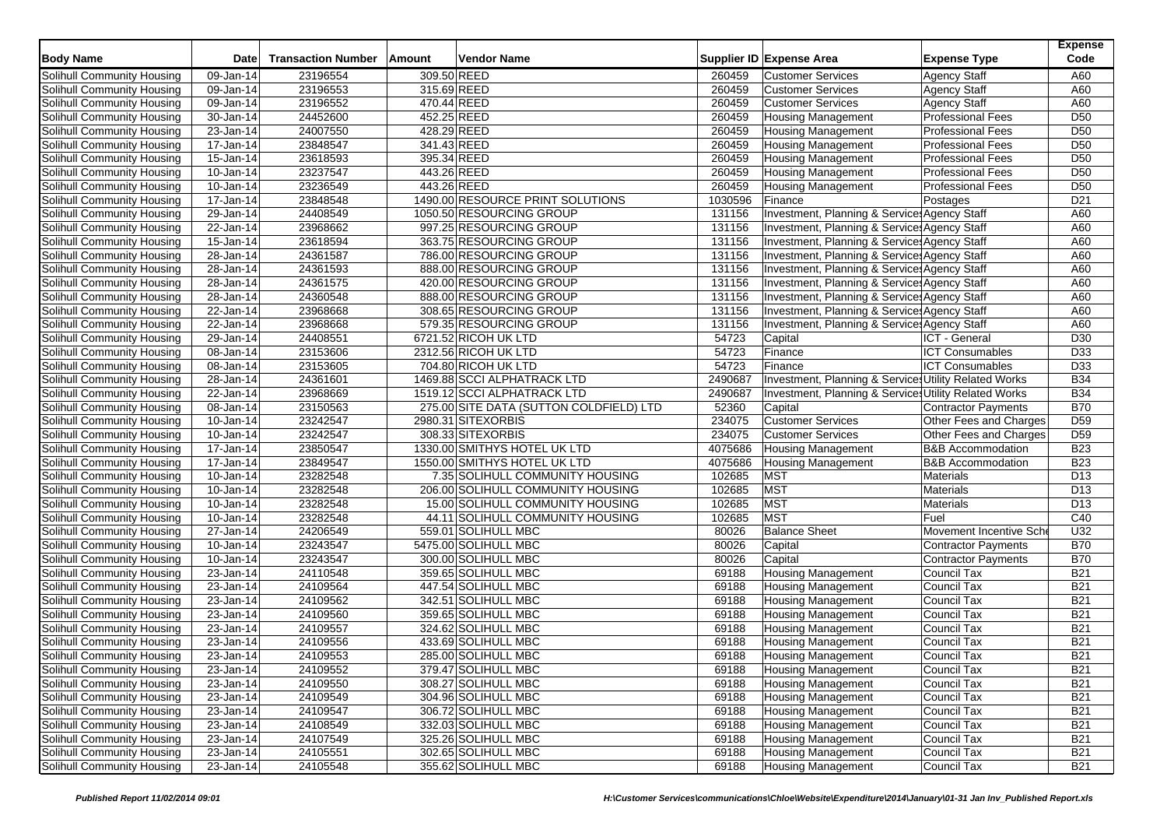| <b>Body Name</b>                  | <b>Date</b>   | <b>Transaction Number</b> | Amount      | <b>Vendor Name</b>                      |         | Supplier ID Expense Area                              | <b>Expense Type</b>          | <b>Expense</b><br>Code |
|-----------------------------------|---------------|---------------------------|-------------|-----------------------------------------|---------|-------------------------------------------------------|------------------------------|------------------------|
| Solihull Community Housing        | 09-Jan-14     | 23196554                  | 309.50 REED |                                         | 260459  | <b>Customer Services</b>                              | <b>Agency Staff</b>          | A60                    |
| Solihull Community Housing        | 09-Jan-14     | 23196553                  | 315.69 REED |                                         | 260459  | <b>Customer Services</b>                              | <b>Agency Staff</b>          | A60                    |
| Solihull Community Housing        | 09-Jan-14     | 23196552                  | 470.44 REED |                                         | 260459  | <b>Customer Services</b>                              | <b>Agency Staff</b>          | A60                    |
| Solihull Community Housing        | $30 - Jan-14$ | 24452600                  | 452.25 REED |                                         | 260459  | <b>Housing Management</b>                             | <b>Professional Fees</b>     | D <sub>50</sub>        |
| Solihull Community Housing        | 23-Jan-14     | 24007550                  | 428.29 REED |                                         | 260459  | <b>Housing Management</b>                             | <b>Professional Fees</b>     | D <sub>50</sub>        |
| Solihull Community Housing        | 17-Jan-14     | 23848547                  | 341.43 REED |                                         | 260459  | <b>Housing Management</b>                             | <b>Professional Fees</b>     | D <sub>50</sub>        |
| Solihull Community Housing        | 15-Jan-14     | 23618593                  |             | 395.34 REED                             | 260459  | <b>Housing Management</b>                             | <b>Professional Fees</b>     | D <sub>50</sub>        |
| Solihull Community Housing        | 10-Jan-14     | 23237547                  | 443.26 REED |                                         | 260459  | <b>Housing Management</b>                             | <b>Professional Fees</b>     | D <sub>50</sub>        |
| Solihull Community Housing        | 10-Jan-14     | 23236549                  | 443.26 REED |                                         | 260459  | <b>Housing Management</b>                             | <b>Professional Fees</b>     | D <sub>50</sub>        |
| Solihull Community Housing        | 17-Jan-14     | 23848548                  |             | 1490.00 RESOURCE PRINT SOLUTIONS        | 1030596 | Finance                                               | Postages                     | D <sub>21</sub>        |
| Solihull Community Housing        | 29-Jan-14     | 24408549                  |             | 1050.50 RESOURCING GROUP                | 131156  | Investment, Planning & Services Agency Staff          |                              | A60                    |
| Solihull Community Housing        | 22-Jan-14     | 23968662                  |             | 997.25 RESOURCING GROUP                 | 131156  | Investment, Planning & Services Agency Staff          |                              | A60                    |
| Solihull Community Housing        | 15-Jan-14     | 23618594                  |             | 363.75 RESOURCING GROUP                 | 131156  | Investment, Planning & Services Agency Staff          |                              | A60                    |
| Solihull Community Housing        | 28-Jan-14     | 24361587                  |             | 786.00 RESOURCING GROUP                 | 131156  | Investment, Planning & Services Agency Staff          |                              | A60                    |
| Solihull Community Housing        | 28-Jan-14     | 24361593                  |             | 888.00 RESOURCING GROUP                 | 131156  | Investment, Planning & Services Agency Staff          |                              | A60                    |
| Solihull Community Housing        | 28-Jan-14     | 24361575                  |             | 420.00 RESOURCING GROUP                 | 131156  | Investment, Planning & Services Agency Staff          |                              | A60                    |
| Solihull Community Housing        | 28-Jan-14     | 24360548                  |             | 888.00 RESOURCING GROUP                 | 131156  | Investment, Planning & Services Agency Staff          |                              | A60                    |
| Solihull Community Housing        | 22-Jan-14     | 23968668                  |             | 308.65 RESOURCING GROUP                 | 131156  | Investment, Planning & Services Agency Staff          |                              | A60                    |
| Solihull Community Housing        | 22-Jan-14     | 23968668                  |             | 579.35 RESOURCING GROUP                 | 131156  | Investment, Planning & Services Agency Staff          |                              | A60                    |
| Solihull Community Housing        | 29-Jan-14     | 24408551                  |             | 6721.52 RICOH UK LTD                    | 54723   | Capital                                               | ICT - General                | D30                    |
| Solihull Community Housing        | 08-Jan-14     | 23153606                  |             | 2312.56 RICOH UK LTD                    | 54723   | Finance                                               | <b>ICT Consumables</b>       | D33                    |
| <b>Solihull Community Housing</b> | 08-Jan-14     | 23153605                  |             | 704.80 RICOH UK LTD                     | 54723   | Finance                                               | <b>ICT Consumables</b>       | D33                    |
| Solihull Community Housing        | 28-Jan-14     | 24361601                  |             | 1469.88 SCCI ALPHATRACK LTD             | 2490687 | Investment, Planning & Services Utility Related Works |                              | <b>B34</b>             |
| Solihull Community Housing        | 22-Jan-14     | 23968669                  |             | 1519.12 SCCI ALPHATRACK LTD             | 2490687 | Investment, Planning & Services Utility Related Works |                              | <b>B34</b>             |
| Solihull Community Housing        | 08-Jan-14     | 23150563                  |             | 275.00 SITE DATA (SUTTON COLDFIELD) LTD | 52360   | Capital                                               | <b>Contractor Payments</b>   | <b>B70</b>             |
| Solihull Community Housing        | 10-Jan-14     | 23242547                  |             | 2980.31 SITEXORBIS                      | 234075  | <b>Customer Services</b>                              | Other Fees and Charges       | D <sub>59</sub>        |
| Solihull Community Housing        | 10-Jan-14     | 23242547                  |             | 308.33 SITEXORBIS                       | 234075  | <b>Customer Services</b>                              | Other Fees and Charges       | D <sub>59</sub>        |
| Solihull Community Housing        | 17-Jan-14     | 23850547                  |             | 1330.00 SMITHYS HOTEL UK LTD            | 4075686 | <b>Housing Management</b>                             | <b>B&amp;B Accommodation</b> | <b>B23</b>             |
| Solihull Community Housing        | 17-Jan-14     | 23849547                  |             | 1550.00 SMITHYS HOTEL UK LTD            | 4075686 | <b>Housing Management</b>                             | <b>B&amp;B Accommodation</b> | <b>B23</b>             |
| Solihull Community Housing        | 10-Jan-14     | 23282548                  |             | 7.35 SOLIHULL COMMUNITY HOUSING         | 102685  | <b>MST</b>                                            | <b>Materials</b>             | D <sub>13</sub>        |
| Solihull Community Housing        | 10-Jan-14     | 23282548                  |             | 206.00 SOLIHULL COMMUNITY HOUSING       | 102685  | <b>MST</b>                                            | Materials                    | D <sub>13</sub>        |
| Solihull Community Housing        | 10-Jan-14     | 23282548                  |             | 15.00 SOLIHULL COMMUNITY HOUSING        | 102685  | <b>MST</b>                                            | Materials                    | D <sub>13</sub>        |
| Solihull Community Housing        | 10-Jan-14     | 23282548                  |             | 44.11 SOLIHULL COMMUNITY HOUSING        | 102685  | <b>MST</b>                                            | Fuel                         | C40                    |
| Solihull Community Housing        | 27-Jan-14     | 24206549                  |             | 559.01 SOLIHULL MBC                     | 80026   | <b>Balance Sheet</b>                                  | Movement Incentive Sch       | U32                    |
| Solihull Community Housing        | 10-Jan-14     | 23243547                  |             | 5475.00 SOLIHULL MBC                    | 80026   | Capital                                               | <b>Contractor Payments</b>   | <b>B70</b>             |
| Solihull Community Housing        | 10-Jan-14     | 23243547                  |             | 300.00 SOLIHULL MBC                     | 80026   | Capital                                               | <b>Contractor Payments</b>   | <b>B70</b>             |
| Solihull Community Housing        | 23-Jan-14     | 24110548                  |             | 359.65 SOLIHULL MBC                     | 69188   | <b>Housing Management</b>                             | Council Tax                  | <b>B21</b>             |
| Solihull Community Housing        | 23-Jan-14     | 24109564                  |             | 447.54 SOLIHULL MBC                     | 69188   | <b>Housing Management</b>                             | Council Tax                  | <b>B21</b>             |
| Solihull Community Housing        | 23-Jan-14     | 24109562                  |             | 342.51 SOLIHULL MBC                     | 69188   | <b>Housing Management</b>                             | Council Tax                  | <b>B21</b>             |
| Solihull Community Housing        | 23-Jan-14     | 24109560                  |             | 359.65 SOLIHULL MBC                     | 69188   | <b>Housing Management</b>                             | Council Tax                  | <b>B21</b>             |
| Solihull Community Housing        | 23-Jan-14     | 24109557                  |             | 324.62 SOLIHULL MBC                     | 69188   | <b>Housing Management</b>                             | Council Tax                  | <b>B21</b>             |
| Solihull Community Housing        | 23-Jan-14     | 24109556                  |             | 433.69 SOLIHULL MBC                     | 69188   | <b>Housing Management</b>                             | <b>Council Tax</b>           | <b>B21</b>             |
| Solihull Community Housing        | 23-Jan-14     | 24109553                  |             | 285.00 SOLIHULL MBC                     | 69188   | Housing Management                                    | Council Tax                  | <b>B21</b>             |
| Solihull Community Housing        | 23-Jan-14     | 24109552                  |             | 379.47 SOLIHULL MBC                     | 69188   | <b>Housing Management</b>                             | Council Tax                  | <b>B21</b>             |
| Solihull Community Housing        | 23-Jan-14     | 24109550                  |             | 308.27 SOLIHULL MBC                     | 69188   | <b>Housing Management</b>                             | Council Tax                  | <b>B21</b>             |
| Solihull Community Housing        | 23-Jan-14     | 24109549                  |             | 304.96 SOLIHULL MBC                     | 69188   | <b>Housing Management</b>                             | Council Tax                  | <b>B21</b>             |
| Solihull Community Housing        | 23-Jan-14     | 24109547                  |             | 306.72 SOLIHULL MBC                     | 69188   | <b>Housing Management</b>                             | Council Tax                  | <b>B21</b>             |
| Solihull Community Housing        | 23-Jan-14     | 24108549                  |             | 332.03 SOLIHULL MBC                     | 69188   | <b>Housing Management</b>                             | Council Tax                  | <b>B21</b>             |
| Solihull Community Housing        | 23-Jan-14     | 24107549                  |             | 325.26 SOLIHULL MBC                     | 69188   | <b>Housing Management</b>                             | Council Tax                  | <b>B21</b>             |
| <b>Solihull Community Housing</b> | $23$ -Jan-14  | 24105551                  |             | 302.65 SOLIHULL MBC                     | 69188   | <b>Housing Management</b>                             | Council Tax                  | <b>B21</b>             |
| Solihull Community Housing        | $23$ -Jan-14  | 24105548                  |             | 355.62 SOLIHULL MBC                     | 69188   | <b>Housing Management</b>                             | Council Tax                  | <b>B21</b>             |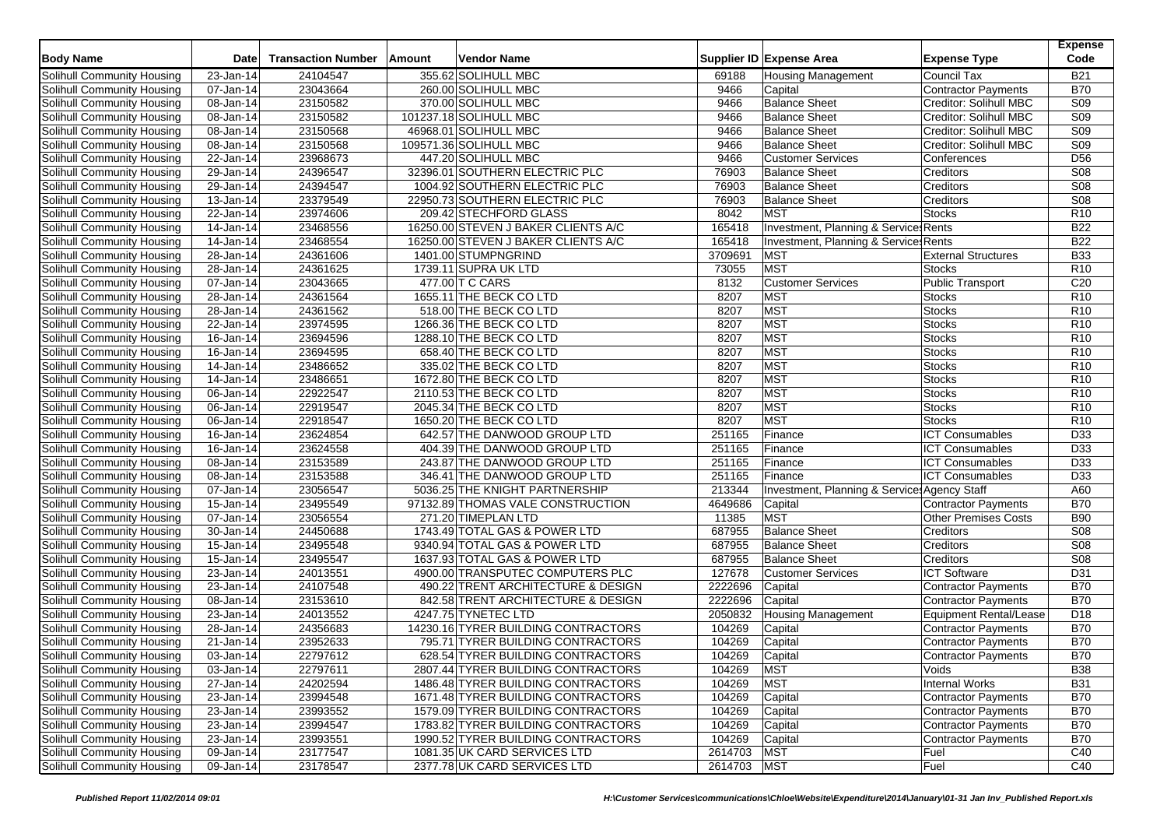| 355.62 SOLIHULL MBC<br>23-Jan-14<br>24104547<br><b>Housing Management</b><br>Council Tax<br><b>B21</b><br>69188<br><b>B70</b><br>Solihull Community Housing<br>07-Jan-14<br>23043664<br>260.00 SOLIHULL MBC<br>9466<br><b>Contractor Payments</b><br>Capital<br><b>Balance Sheet</b><br>S <sub>09</sub><br>23150582<br>370.00 SOLIHULL MBC<br>9466<br>Creditor: Solihull MBC<br>08-Jan-14<br>S09<br>$\overline{08}$ -Jan-14<br>23150582<br>101237.18 SOLIHULL MBC<br><b>Balance Sheet</b><br>Creditor: Solihull MBC<br>9466<br>46968.01 SOLIHULL MBC<br>S <sub>09</sub><br>23150568<br>9466<br><b>Balance Sheet</b><br>Creditor: Solihull MBC<br>08-Jan-14<br>23150568<br><b>Balance Sheet</b><br><b>S09</b><br>Solihull Community Housing<br>$08 - Jan - 14$<br>109571.36 SOLIHULL MBC<br>9466<br>Creditor: Solihull MBC<br>447.20 SOLIHULL MBC<br>D <sub>56</sub><br>22-Jan-14<br>23968673<br>9466<br><b>Customer Services</b><br>Conferences<br>S <sub>08</sub><br>24396547<br>32396.01 SOUTHERN ELECTRIC PLC<br>76903<br><b>Balance Sheet</b><br>Creditors<br>29-Jan-14<br>24394547<br>S08<br>29-Jan-14<br>1004.92 SOUTHERN ELECTRIC PLC<br>76903<br><b>Balance Sheet</b><br>Creditors<br>23379549<br>22950.73 SOUTHERN ELECTRIC PLC<br><b>Balance Sheet</b><br>S <sub>08</sub><br>13-Jan-14<br>76903<br>Creditors<br><b>MST</b><br>23974606<br>209.42 STECHFORD GLASS<br>8042<br>R <sub>10</sub><br>22-Jan-14<br>Stocks<br>23468556<br>165418<br><b>B22</b><br>14-Jan-14<br>16250.00 STEVEN J BAKER CLIENTS A/C<br>Investment, Planning & Services Rents<br>23468554<br><b>B22</b><br>14-Jan-14<br>16250.00 STEVEN J BAKER CLIENTS A/C<br>165418<br>Investment, Planning & Service: Rents<br>24361606<br>3709691<br><b>B33</b><br>1401.00 STUMPNGRIND<br><b>MST</b><br><b>External Structures</b><br>28-Jan-14<br><b>MST</b><br>24361625<br>73055<br>R <sub>10</sub><br>28-Jan-14<br>1739.11 SUPRA UK LTD<br><b>Stocks</b><br>23043665<br>8132<br>C20<br>Solihull Community Housing<br>07-Jan-14<br>477.00 T C CARS<br><b>Customer Services</b><br>Public Transport<br>24361564<br>8207<br>R <sub>10</sub><br>28-Jan-14<br>1655.11 THE BECK CO LTD<br><b>MST</b><br><b>Stocks</b><br>24361562<br>MST<br>518.00 THE BECK CO LTD<br>8207<br><b>Stocks</b><br>R <sub>10</sub><br>28-Jan-14<br>23974595<br>MST<br>R <sub>10</sub><br>Solihull Community Housing<br>22-Jan-14<br>1266.36 THE BECK CO LTD<br>8207<br>Stocks<br><b>MST</b><br>23694596<br>R10<br>Solihull Community Housing<br>1288.10 THE BECK CO LTD<br>8207<br><b>Stocks</b><br>16-Jan-14<br>MST<br>Solihull Community Housing<br>16-Jan-14<br>23694595<br>658.40 THE BECK CO LTD<br>8207<br><b>Stocks</b><br>R <sub>10</sub><br><b>MST</b><br>Solihull Community Housing<br>23486652<br>335.02 THE BECK CO LTD<br>8207<br><b>Stocks</b><br>R <sub>10</sub><br>14-Jan-14<br><b>MST</b><br>23486651<br>R10<br>Solihull Community Housing<br>1672.80 THE BECK CO LTD<br>8207<br>Stocks<br>14-Jan-14<br>22922547<br>MST<br>R <sub>10</sub><br>Solihull Community Housing<br>06-Jan-14<br>2110.53 THE BECK CO LTD<br>8207<br><b>Stocks</b><br><b>MST</b><br>22919547<br>R <sub>10</sub><br>Solihull Community Housing<br>06-Jan-14<br>2045.34 THE BECK CO LTD<br>8207<br><b>Stocks</b><br><b>MST</b><br>22918547<br>8207<br>R <sub>10</sub><br>Solihull Community Housing<br>06-Jan-14<br>1650.20 THE BECK CO LTD<br><b>Stocks</b><br>23624854<br>Solihull Community Housing<br>$16$ -Jan-14<br>642.57 THE DANWOOD GROUP LTD<br>251165<br>Finance<br><b>ICT Consumables</b><br>D33<br>251165<br>D <sub>33</sub><br>Solihull Community Housing<br>16-Jan-14<br>23624558<br>404.39 THE DANWOOD GROUP LTD<br>Finance<br><b>ICT Consumables</b><br>23153589<br>251165<br><b>ICT Consumables</b><br>D <sub>33</sub><br>243.87 THE DANWOOD GROUP LTD<br>Finance<br>Solihull Community Housing<br>08-Jan-14<br>23153588<br>251165<br><b>ICT Consumables</b><br>D33<br>Solihull Community Housing<br>08-Jan-14<br>346.41 THE DANWOOD GROUP LTD<br>Finance<br>23056547<br>A60<br>Solihull Community Housing<br>$\overline{07}$ -Jan-14<br>5036.25 THE KNIGHT PARTNERSHIP<br>213344<br>Investment, Planning & Service: Agency Staff<br>23495549<br>Solihull Community Housing<br>4649686<br>Capital<br>Contractor Payments<br><b>B70</b><br>15-Jan-14<br>97132.89 THOMAS VALE CONSTRUCTION<br><b>MST</b><br>23056554<br>11385<br><b>B90</b><br>Solihull Community Housing<br>07-Jan-14<br>271.20 TIMEPLAN LTD<br>Other Premises Costs<br><b>Balance Sheet</b><br><b>S08</b><br>Solihull Community Housing<br>24450688<br>1743.49 TOTAL GAS & POWER LTD<br>687955<br>30-Jan-14<br>Creditors<br>23495548<br>S <sub>08</sub><br>Solihull Community Housing<br>15-Jan-14<br>9340.94 TOTAL GAS & POWER LTD<br>687955<br><b>Balance Sheet</b><br>Creditors<br>23495547<br>687955<br>Creditors<br>S <sub>08</sub><br>Solihull Community Housing<br>15-Jan-14<br>1637.93 TOTAL GAS & POWER LTD<br><b>Balance Sheet</b><br>127678<br><b>ICT Software</b><br>D31<br>Solihull Community Housing<br>23-Jan-14<br>24013551<br>4900.00 TRANSPUTEC COMPUTERS PLC<br><b>Customer Services</b><br>24107548<br>Solihull Community Housing<br>23-Jan-14<br>490.22 TRENT ARCHITECTURE & DESIGN<br>2222696<br>Capital<br>Contractor Payments<br><b>B70</b><br>23153610<br>2222696<br><b>B70</b><br>Solihull Community Housing<br>08-Jan-14<br>842.58 TRENT ARCHITECTURE & DESIGN<br>Capital<br>Contractor Payments<br>D <sub>18</sub><br>Solihull Community Housing<br>23-Jan-14<br>24013552<br>4247.75 TYNETEC LTD<br>2050832<br><b>Housing Management</b><br>Equipment Rental/Lease<br>24356683<br>14230.16 TYRER BUILDING CONTRACTORS<br><b>B70</b><br>28-Jan-14<br>104269<br>Solihull Community Housing<br>Capital<br><b>Contractor Payments</b><br><b>B70</b><br>23952633<br>104269<br>Capital<br>Solihull Community Housing<br>21-Jan-14<br>795.71 TYRER BUILDING CONTRACTORS<br><b>Contractor Payments</b><br><b>B70</b><br>22797612<br>104269<br>Capital<br>Contractor Payments<br>Solihull Community Housing<br>03-Jan-14<br>628.54 TYRER BUILDING CONTRACTORS<br>Solihull Community Housing<br>22797611<br>2807.44 TYRER BUILDING CONTRACTORS<br><b>MST</b><br>Voids<br><b>B38</b><br>03-Jan-14<br>104269<br><b>MST</b><br><b>Internal Works</b><br>Solihull Community Housing<br>27-Jan-14<br>24202594<br>1486.48 TYRER BUILDING CONTRACTORS<br>104269<br><b>B31</b><br>Solihull Community Housing<br>23-Jan-14<br>23994548<br>1671.48 TYRER BUILDING CONTRACTORS<br>104269<br>Capital<br>Contractor Payments<br><b>B70</b><br>23993552<br>Solihull Community Housing<br>23-Jan-14<br>1579.09 TYRER BUILDING CONTRACTORS<br>104269<br>Capital<br><b>B70</b><br>Contractor Payments<br>Solihull Community Housing<br>23-Jan-14<br>23994547<br>1783.82 TYRER BUILDING CONTRACTORS<br>Contractor Payments<br><b>B70</b><br>104269<br>Capital<br>Solihull Community Housing<br>Contractor Payments<br><b>B70</b><br>23-Jan-14<br>23993551<br>1990.52 TYRER BUILDING CONTRACTORS<br>104269<br>Capital<br><b>MST</b><br><b>Solihull Community Housing</b><br>09-Jan-14<br>23177547<br>1081.35 UK CARD SERVICES LTD<br>2614703<br>C40<br>Fuel<br>23178547<br>C40<br>09-Jan-14<br>2377.78 UK CARD SERVICES LTD<br>2614703 MST<br>Fuel | <b>Body Name</b>                  | <b>Date</b> | <b>Transaction Number</b> | Amount | <b>Vendor Name</b> | Supplier ID Expense Area | <b>Expense Type</b> | <b>Expense</b><br>Code |
|------------------------------------------------------------------------------------------------------------------------------------------------------------------------------------------------------------------------------------------------------------------------------------------------------------------------------------------------------------------------------------------------------------------------------------------------------------------------------------------------------------------------------------------------------------------------------------------------------------------------------------------------------------------------------------------------------------------------------------------------------------------------------------------------------------------------------------------------------------------------------------------------------------------------------------------------------------------------------------------------------------------------------------------------------------------------------------------------------------------------------------------------------------------------------------------------------------------------------------------------------------------------------------------------------------------------------------------------------------------------------------------------------------------------------------------------------------------------------------------------------------------------------------------------------------------------------------------------------------------------------------------------------------------------------------------------------------------------------------------------------------------------------------------------------------------------------------------------------------------------------------------------------------------------------------------------------------------------------------------------------------------------------------------------------------------------------------------------------------------------------------------------------------------------------------------------------------------------------------------------------------------------------------------------------------------------------------------------------------------------------------------------------------------------------------------------------------------------------------------------------------------------------------------------------------------------------------------------------------------------------------------------------------------------------------------------------------------------------------------------------------------------------------------------------------------------------------------------------------------------------------------------------------------------------------------------------------------------------------------------------------------------------------------------------------------------------------------------------------------------------------------------------------------------------------------------------------------------------------------------------------------------------------------------------------------------------------------------------------------------------------------------------------------------------------------------------------------------------------------------------------------------------------------------------------------------------------------------------------------------------------------------------------------------------------------------------------------------------------------------------------------------------------------------------------------------------------------------------------------------------------------------------------------------------------------------------------------------------------------------------------------------------------------------------------------------------------------------------------------------------------------------------------------------------------------------------------------------------------------------------------------------------------------------------------------------------------------------------------------------------------------------------------------------------------------------------------------------------------------------------------------------------------------------------------------------------------------------------------------------------------------------------------------------------------------------------------------------------------------------------------------------------------------------------------------------------------------------------------------------------------------------------------------------------------------------------------------------------------------------------------------------------------------------------------------------------------------------------------------------------------------------------------------------------------------------------------------------------------------------------------------------------------------------------------------------------------------------------------------------------------------------------------------------------------------------------------------------------------------------------------------------------------------------------------------------------------------------------------------------------------------------------------------------------------------------------------------------------------------------------------------------------------------------------------------------------------------------------------------------------------------------------------------------------------------------------------------------------------------------------------------------------------------------------------------------------------------------------------------------------------------------------------------------------------------------------------------------------------------------------------------------------------------------------------------------------------------------------------------------------------------------------------------------------------------------------------------------------------------------------------------------------------------------------------------------------------------------------------------------------------------------------------------------------------------------------------------------------------------------------------------------------------------------------------------------------------------------------------------------------------------------------------------------------------------------------------------------------------------------------------------------------------------------------------------------------------------------------------------------------------------------------------------------------------------------------------------------------------------------------------------------|-----------------------------------|-------------|---------------------------|--------|--------------------|--------------------------|---------------------|------------------------|
|                                                                                                                                                                                                                                                                                                                                                                                                                                                                                                                                                                                                                                                                                                                                                                                                                                                                                                                                                                                                                                                                                                                                                                                                                                                                                                                                                                                                                                                                                                                                                                                                                                                                                                                                                                                                                                                                                                                                                                                                                                                                                                                                                                                                                                                                                                                                                                                                                                                                                                                                                                                                                                                                                                                                                                                                                                                                                                                                                                                                                                                                                                                                                                                                                                                                                                                                                                                                                                                                                                                                                                                                                                                                                                                                                                                                                                                                                                                                                                                                                                                                                                                                                                                                                                                                                                                                                                                                                                                                                                                                                                                                                                                                                                                                                                                                                                                                                                                                                                                                                                                                                                                                                                                                                                                                                                                                                                                                                                                                                                                                                                                                                                                                                                                                                                                                                                                                                                                                                                                                                                                                                                                                                                                                                                                                                                                                                                                                                                                                                                                                                                                                                                                                                                                                                                                                                                                                                                                                                                                                                                                                                                                                                                                                                                                                        | Solihull Community Housing        |             |                           |        |                    |                          |                     |                        |
|                                                                                                                                                                                                                                                                                                                                                                                                                                                                                                                                                                                                                                                                                                                                                                                                                                                                                                                                                                                                                                                                                                                                                                                                                                                                                                                                                                                                                                                                                                                                                                                                                                                                                                                                                                                                                                                                                                                                                                                                                                                                                                                                                                                                                                                                                                                                                                                                                                                                                                                                                                                                                                                                                                                                                                                                                                                                                                                                                                                                                                                                                                                                                                                                                                                                                                                                                                                                                                                                                                                                                                                                                                                                                                                                                                                                                                                                                                                                                                                                                                                                                                                                                                                                                                                                                                                                                                                                                                                                                                                                                                                                                                                                                                                                                                                                                                                                                                                                                                                                                                                                                                                                                                                                                                                                                                                                                                                                                                                                                                                                                                                                                                                                                                                                                                                                                                                                                                                                                                                                                                                                                                                                                                                                                                                                                                                                                                                                                                                                                                                                                                                                                                                                                                                                                                                                                                                                                                                                                                                                                                                                                                                                                                                                                                                                        |                                   |             |                           |        |                    |                          |                     |                        |
|                                                                                                                                                                                                                                                                                                                                                                                                                                                                                                                                                                                                                                                                                                                                                                                                                                                                                                                                                                                                                                                                                                                                                                                                                                                                                                                                                                                                                                                                                                                                                                                                                                                                                                                                                                                                                                                                                                                                                                                                                                                                                                                                                                                                                                                                                                                                                                                                                                                                                                                                                                                                                                                                                                                                                                                                                                                                                                                                                                                                                                                                                                                                                                                                                                                                                                                                                                                                                                                                                                                                                                                                                                                                                                                                                                                                                                                                                                                                                                                                                                                                                                                                                                                                                                                                                                                                                                                                                                                                                                                                                                                                                                                                                                                                                                                                                                                                                                                                                                                                                                                                                                                                                                                                                                                                                                                                                                                                                                                                                                                                                                                                                                                                                                                                                                                                                                                                                                                                                                                                                                                                                                                                                                                                                                                                                                                                                                                                                                                                                                                                                                                                                                                                                                                                                                                                                                                                                                                                                                                                                                                                                                                                                                                                                                                                        | Solihull Community Housing        |             |                           |        |                    |                          |                     |                        |
|                                                                                                                                                                                                                                                                                                                                                                                                                                                                                                                                                                                                                                                                                                                                                                                                                                                                                                                                                                                                                                                                                                                                                                                                                                                                                                                                                                                                                                                                                                                                                                                                                                                                                                                                                                                                                                                                                                                                                                                                                                                                                                                                                                                                                                                                                                                                                                                                                                                                                                                                                                                                                                                                                                                                                                                                                                                                                                                                                                                                                                                                                                                                                                                                                                                                                                                                                                                                                                                                                                                                                                                                                                                                                                                                                                                                                                                                                                                                                                                                                                                                                                                                                                                                                                                                                                                                                                                                                                                                                                                                                                                                                                                                                                                                                                                                                                                                                                                                                                                                                                                                                                                                                                                                                                                                                                                                                                                                                                                                                                                                                                                                                                                                                                                                                                                                                                                                                                                                                                                                                                                                                                                                                                                                                                                                                                                                                                                                                                                                                                                                                                                                                                                                                                                                                                                                                                                                                                                                                                                                                                                                                                                                                                                                                                                                        | Solihull Community Housing        |             |                           |        |                    |                          |                     |                        |
|                                                                                                                                                                                                                                                                                                                                                                                                                                                                                                                                                                                                                                                                                                                                                                                                                                                                                                                                                                                                                                                                                                                                                                                                                                                                                                                                                                                                                                                                                                                                                                                                                                                                                                                                                                                                                                                                                                                                                                                                                                                                                                                                                                                                                                                                                                                                                                                                                                                                                                                                                                                                                                                                                                                                                                                                                                                                                                                                                                                                                                                                                                                                                                                                                                                                                                                                                                                                                                                                                                                                                                                                                                                                                                                                                                                                                                                                                                                                                                                                                                                                                                                                                                                                                                                                                                                                                                                                                                                                                                                                                                                                                                                                                                                                                                                                                                                                                                                                                                                                                                                                                                                                                                                                                                                                                                                                                                                                                                                                                                                                                                                                                                                                                                                                                                                                                                                                                                                                                                                                                                                                                                                                                                                                                                                                                                                                                                                                                                                                                                                                                                                                                                                                                                                                                                                                                                                                                                                                                                                                                                                                                                                                                                                                                                                                        | Solihull Community Housing        |             |                           |        |                    |                          |                     |                        |
|                                                                                                                                                                                                                                                                                                                                                                                                                                                                                                                                                                                                                                                                                                                                                                                                                                                                                                                                                                                                                                                                                                                                                                                                                                                                                                                                                                                                                                                                                                                                                                                                                                                                                                                                                                                                                                                                                                                                                                                                                                                                                                                                                                                                                                                                                                                                                                                                                                                                                                                                                                                                                                                                                                                                                                                                                                                                                                                                                                                                                                                                                                                                                                                                                                                                                                                                                                                                                                                                                                                                                                                                                                                                                                                                                                                                                                                                                                                                                                                                                                                                                                                                                                                                                                                                                                                                                                                                                                                                                                                                                                                                                                                                                                                                                                                                                                                                                                                                                                                                                                                                                                                                                                                                                                                                                                                                                                                                                                                                                                                                                                                                                                                                                                                                                                                                                                                                                                                                                                                                                                                                                                                                                                                                                                                                                                                                                                                                                                                                                                                                                                                                                                                                                                                                                                                                                                                                                                                                                                                                                                                                                                                                                                                                                                                                        |                                   |             |                           |        |                    |                          |                     |                        |
|                                                                                                                                                                                                                                                                                                                                                                                                                                                                                                                                                                                                                                                                                                                                                                                                                                                                                                                                                                                                                                                                                                                                                                                                                                                                                                                                                                                                                                                                                                                                                                                                                                                                                                                                                                                                                                                                                                                                                                                                                                                                                                                                                                                                                                                                                                                                                                                                                                                                                                                                                                                                                                                                                                                                                                                                                                                                                                                                                                                                                                                                                                                                                                                                                                                                                                                                                                                                                                                                                                                                                                                                                                                                                                                                                                                                                                                                                                                                                                                                                                                                                                                                                                                                                                                                                                                                                                                                                                                                                                                                                                                                                                                                                                                                                                                                                                                                                                                                                                                                                                                                                                                                                                                                                                                                                                                                                                                                                                                                                                                                                                                                                                                                                                                                                                                                                                                                                                                                                                                                                                                                                                                                                                                                                                                                                                                                                                                                                                                                                                                                                                                                                                                                                                                                                                                                                                                                                                                                                                                                                                                                                                                                                                                                                                                                        | Solihull Community Housing        |             |                           |        |                    |                          |                     |                        |
|                                                                                                                                                                                                                                                                                                                                                                                                                                                                                                                                                                                                                                                                                                                                                                                                                                                                                                                                                                                                                                                                                                                                                                                                                                                                                                                                                                                                                                                                                                                                                                                                                                                                                                                                                                                                                                                                                                                                                                                                                                                                                                                                                                                                                                                                                                                                                                                                                                                                                                                                                                                                                                                                                                                                                                                                                                                                                                                                                                                                                                                                                                                                                                                                                                                                                                                                                                                                                                                                                                                                                                                                                                                                                                                                                                                                                                                                                                                                                                                                                                                                                                                                                                                                                                                                                                                                                                                                                                                                                                                                                                                                                                                                                                                                                                                                                                                                                                                                                                                                                                                                                                                                                                                                                                                                                                                                                                                                                                                                                                                                                                                                                                                                                                                                                                                                                                                                                                                                                                                                                                                                                                                                                                                                                                                                                                                                                                                                                                                                                                                                                                                                                                                                                                                                                                                                                                                                                                                                                                                                                                                                                                                                                                                                                                                                        | Solihull Community Housing        |             |                           |        |                    |                          |                     |                        |
|                                                                                                                                                                                                                                                                                                                                                                                                                                                                                                                                                                                                                                                                                                                                                                                                                                                                                                                                                                                                                                                                                                                                                                                                                                                                                                                                                                                                                                                                                                                                                                                                                                                                                                                                                                                                                                                                                                                                                                                                                                                                                                                                                                                                                                                                                                                                                                                                                                                                                                                                                                                                                                                                                                                                                                                                                                                                                                                                                                                                                                                                                                                                                                                                                                                                                                                                                                                                                                                                                                                                                                                                                                                                                                                                                                                                                                                                                                                                                                                                                                                                                                                                                                                                                                                                                                                                                                                                                                                                                                                                                                                                                                                                                                                                                                                                                                                                                                                                                                                                                                                                                                                                                                                                                                                                                                                                                                                                                                                                                                                                                                                                                                                                                                                                                                                                                                                                                                                                                                                                                                                                                                                                                                                                                                                                                                                                                                                                                                                                                                                                                                                                                                                                                                                                                                                                                                                                                                                                                                                                                                                                                                                                                                                                                                                                        | Solihull Community Housing        |             |                           |        |                    |                          |                     |                        |
|                                                                                                                                                                                                                                                                                                                                                                                                                                                                                                                                                                                                                                                                                                                                                                                                                                                                                                                                                                                                                                                                                                                                                                                                                                                                                                                                                                                                                                                                                                                                                                                                                                                                                                                                                                                                                                                                                                                                                                                                                                                                                                                                                                                                                                                                                                                                                                                                                                                                                                                                                                                                                                                                                                                                                                                                                                                                                                                                                                                                                                                                                                                                                                                                                                                                                                                                                                                                                                                                                                                                                                                                                                                                                                                                                                                                                                                                                                                                                                                                                                                                                                                                                                                                                                                                                                                                                                                                                                                                                                                                                                                                                                                                                                                                                                                                                                                                                                                                                                                                                                                                                                                                                                                                                                                                                                                                                                                                                                                                                                                                                                                                                                                                                                                                                                                                                                                                                                                                                                                                                                                                                                                                                                                                                                                                                                                                                                                                                                                                                                                                                                                                                                                                                                                                                                                                                                                                                                                                                                                                                                                                                                                                                                                                                                                                        | Solihull Community Housing        |             |                           |        |                    |                          |                     |                        |
|                                                                                                                                                                                                                                                                                                                                                                                                                                                                                                                                                                                                                                                                                                                                                                                                                                                                                                                                                                                                                                                                                                                                                                                                                                                                                                                                                                                                                                                                                                                                                                                                                                                                                                                                                                                                                                                                                                                                                                                                                                                                                                                                                                                                                                                                                                                                                                                                                                                                                                                                                                                                                                                                                                                                                                                                                                                                                                                                                                                                                                                                                                                                                                                                                                                                                                                                                                                                                                                                                                                                                                                                                                                                                                                                                                                                                                                                                                                                                                                                                                                                                                                                                                                                                                                                                                                                                                                                                                                                                                                                                                                                                                                                                                                                                                                                                                                                                                                                                                                                                                                                                                                                                                                                                                                                                                                                                                                                                                                                                                                                                                                                                                                                                                                                                                                                                                                                                                                                                                                                                                                                                                                                                                                                                                                                                                                                                                                                                                                                                                                                                                                                                                                                                                                                                                                                                                                                                                                                                                                                                                                                                                                                                                                                                                                                        | Solihull Community Housing        |             |                           |        |                    |                          |                     |                        |
|                                                                                                                                                                                                                                                                                                                                                                                                                                                                                                                                                                                                                                                                                                                                                                                                                                                                                                                                                                                                                                                                                                                                                                                                                                                                                                                                                                                                                                                                                                                                                                                                                                                                                                                                                                                                                                                                                                                                                                                                                                                                                                                                                                                                                                                                                                                                                                                                                                                                                                                                                                                                                                                                                                                                                                                                                                                                                                                                                                                                                                                                                                                                                                                                                                                                                                                                                                                                                                                                                                                                                                                                                                                                                                                                                                                                                                                                                                                                                                                                                                                                                                                                                                                                                                                                                                                                                                                                                                                                                                                                                                                                                                                                                                                                                                                                                                                                                                                                                                                                                                                                                                                                                                                                                                                                                                                                                                                                                                                                                                                                                                                                                                                                                                                                                                                                                                                                                                                                                                                                                                                                                                                                                                                                                                                                                                                                                                                                                                                                                                                                                                                                                                                                                                                                                                                                                                                                                                                                                                                                                                                                                                                                                                                                                                                                        | Solihull Community Housing        |             |                           |        |                    |                          |                     |                        |
|                                                                                                                                                                                                                                                                                                                                                                                                                                                                                                                                                                                                                                                                                                                                                                                                                                                                                                                                                                                                                                                                                                                                                                                                                                                                                                                                                                                                                                                                                                                                                                                                                                                                                                                                                                                                                                                                                                                                                                                                                                                                                                                                                                                                                                                                                                                                                                                                                                                                                                                                                                                                                                                                                                                                                                                                                                                                                                                                                                                                                                                                                                                                                                                                                                                                                                                                                                                                                                                                                                                                                                                                                                                                                                                                                                                                                                                                                                                                                                                                                                                                                                                                                                                                                                                                                                                                                                                                                                                                                                                                                                                                                                                                                                                                                                                                                                                                                                                                                                                                                                                                                                                                                                                                                                                                                                                                                                                                                                                                                                                                                                                                                                                                                                                                                                                                                                                                                                                                                                                                                                                                                                                                                                                                                                                                                                                                                                                                                                                                                                                                                                                                                                                                                                                                                                                                                                                                                                                                                                                                                                                                                                                                                                                                                                                                        | Solihull Community Housing        |             |                           |        |                    |                          |                     |                        |
|                                                                                                                                                                                                                                                                                                                                                                                                                                                                                                                                                                                                                                                                                                                                                                                                                                                                                                                                                                                                                                                                                                                                                                                                                                                                                                                                                                                                                                                                                                                                                                                                                                                                                                                                                                                                                                                                                                                                                                                                                                                                                                                                                                                                                                                                                                                                                                                                                                                                                                                                                                                                                                                                                                                                                                                                                                                                                                                                                                                                                                                                                                                                                                                                                                                                                                                                                                                                                                                                                                                                                                                                                                                                                                                                                                                                                                                                                                                                                                                                                                                                                                                                                                                                                                                                                                                                                                                                                                                                                                                                                                                                                                                                                                                                                                                                                                                                                                                                                                                                                                                                                                                                                                                                                                                                                                                                                                                                                                                                                                                                                                                                                                                                                                                                                                                                                                                                                                                                                                                                                                                                                                                                                                                                                                                                                                                                                                                                                                                                                                                                                                                                                                                                                                                                                                                                                                                                                                                                                                                                                                                                                                                                                                                                                                                                        | Solihull Community Housing        |             |                           |        |                    |                          |                     |                        |
|                                                                                                                                                                                                                                                                                                                                                                                                                                                                                                                                                                                                                                                                                                                                                                                                                                                                                                                                                                                                                                                                                                                                                                                                                                                                                                                                                                                                                                                                                                                                                                                                                                                                                                                                                                                                                                                                                                                                                                                                                                                                                                                                                                                                                                                                                                                                                                                                                                                                                                                                                                                                                                                                                                                                                                                                                                                                                                                                                                                                                                                                                                                                                                                                                                                                                                                                                                                                                                                                                                                                                                                                                                                                                                                                                                                                                                                                                                                                                                                                                                                                                                                                                                                                                                                                                                                                                                                                                                                                                                                                                                                                                                                                                                                                                                                                                                                                                                                                                                                                                                                                                                                                                                                                                                                                                                                                                                                                                                                                                                                                                                                                                                                                                                                                                                                                                                                                                                                                                                                                                                                                                                                                                                                                                                                                                                                                                                                                                                                                                                                                                                                                                                                                                                                                                                                                                                                                                                                                                                                                                                                                                                                                                                                                                                                                        | <b>Solihull Community Housing</b> |             |                           |        |                    |                          |                     |                        |
|                                                                                                                                                                                                                                                                                                                                                                                                                                                                                                                                                                                                                                                                                                                                                                                                                                                                                                                                                                                                                                                                                                                                                                                                                                                                                                                                                                                                                                                                                                                                                                                                                                                                                                                                                                                                                                                                                                                                                                                                                                                                                                                                                                                                                                                                                                                                                                                                                                                                                                                                                                                                                                                                                                                                                                                                                                                                                                                                                                                                                                                                                                                                                                                                                                                                                                                                                                                                                                                                                                                                                                                                                                                                                                                                                                                                                                                                                                                                                                                                                                                                                                                                                                                                                                                                                                                                                                                                                                                                                                                                                                                                                                                                                                                                                                                                                                                                                                                                                                                                                                                                                                                                                                                                                                                                                                                                                                                                                                                                                                                                                                                                                                                                                                                                                                                                                                                                                                                                                                                                                                                                                                                                                                                                                                                                                                                                                                                                                                                                                                                                                                                                                                                                                                                                                                                                                                                                                                                                                                                                                                                                                                                                                                                                                                                                        |                                   |             |                           |        |                    |                          |                     |                        |
|                                                                                                                                                                                                                                                                                                                                                                                                                                                                                                                                                                                                                                                                                                                                                                                                                                                                                                                                                                                                                                                                                                                                                                                                                                                                                                                                                                                                                                                                                                                                                                                                                                                                                                                                                                                                                                                                                                                                                                                                                                                                                                                                                                                                                                                                                                                                                                                                                                                                                                                                                                                                                                                                                                                                                                                                                                                                                                                                                                                                                                                                                                                                                                                                                                                                                                                                                                                                                                                                                                                                                                                                                                                                                                                                                                                                                                                                                                                                                                                                                                                                                                                                                                                                                                                                                                                                                                                                                                                                                                                                                                                                                                                                                                                                                                                                                                                                                                                                                                                                                                                                                                                                                                                                                                                                                                                                                                                                                                                                                                                                                                                                                                                                                                                                                                                                                                                                                                                                                                                                                                                                                                                                                                                                                                                                                                                                                                                                                                                                                                                                                                                                                                                                                                                                                                                                                                                                                                                                                                                                                                                                                                                                                                                                                                                                        | Solihull Community Housing        |             |                           |        |                    |                          |                     |                        |
|                                                                                                                                                                                                                                                                                                                                                                                                                                                                                                                                                                                                                                                                                                                                                                                                                                                                                                                                                                                                                                                                                                                                                                                                                                                                                                                                                                                                                                                                                                                                                                                                                                                                                                                                                                                                                                                                                                                                                                                                                                                                                                                                                                                                                                                                                                                                                                                                                                                                                                                                                                                                                                                                                                                                                                                                                                                                                                                                                                                                                                                                                                                                                                                                                                                                                                                                                                                                                                                                                                                                                                                                                                                                                                                                                                                                                                                                                                                                                                                                                                                                                                                                                                                                                                                                                                                                                                                                                                                                                                                                                                                                                                                                                                                                                                                                                                                                                                                                                                                                                                                                                                                                                                                                                                                                                                                                                                                                                                                                                                                                                                                                                                                                                                                                                                                                                                                                                                                                                                                                                                                                                                                                                                                                                                                                                                                                                                                                                                                                                                                                                                                                                                                                                                                                                                                                                                                                                                                                                                                                                                                                                                                                                                                                                                                                        | Solihull Community Housing        |             |                           |        |                    |                          |                     |                        |
|                                                                                                                                                                                                                                                                                                                                                                                                                                                                                                                                                                                                                                                                                                                                                                                                                                                                                                                                                                                                                                                                                                                                                                                                                                                                                                                                                                                                                                                                                                                                                                                                                                                                                                                                                                                                                                                                                                                                                                                                                                                                                                                                                                                                                                                                                                                                                                                                                                                                                                                                                                                                                                                                                                                                                                                                                                                                                                                                                                                                                                                                                                                                                                                                                                                                                                                                                                                                                                                                                                                                                                                                                                                                                                                                                                                                                                                                                                                                                                                                                                                                                                                                                                                                                                                                                                                                                                                                                                                                                                                                                                                                                                                                                                                                                                                                                                                                                                                                                                                                                                                                                                                                                                                                                                                                                                                                                                                                                                                                                                                                                                                                                                                                                                                                                                                                                                                                                                                                                                                                                                                                                                                                                                                                                                                                                                                                                                                                                                                                                                                                                                                                                                                                                                                                                                                                                                                                                                                                                                                                                                                                                                                                                                                                                                                                        |                                   |             |                           |        |                    |                          |                     |                        |
|                                                                                                                                                                                                                                                                                                                                                                                                                                                                                                                                                                                                                                                                                                                                                                                                                                                                                                                                                                                                                                                                                                                                                                                                                                                                                                                                                                                                                                                                                                                                                                                                                                                                                                                                                                                                                                                                                                                                                                                                                                                                                                                                                                                                                                                                                                                                                                                                                                                                                                                                                                                                                                                                                                                                                                                                                                                                                                                                                                                                                                                                                                                                                                                                                                                                                                                                                                                                                                                                                                                                                                                                                                                                                                                                                                                                                                                                                                                                                                                                                                                                                                                                                                                                                                                                                                                                                                                                                                                                                                                                                                                                                                                                                                                                                                                                                                                                                                                                                                                                                                                                                                                                                                                                                                                                                                                                                                                                                                                                                                                                                                                                                                                                                                                                                                                                                                                                                                                                                                                                                                                                                                                                                                                                                                                                                                                                                                                                                                                                                                                                                                                                                                                                                                                                                                                                                                                                                                                                                                                                                                                                                                                                                                                                                                                                        |                                   |             |                           |        |                    |                          |                     |                        |
|                                                                                                                                                                                                                                                                                                                                                                                                                                                                                                                                                                                                                                                                                                                                                                                                                                                                                                                                                                                                                                                                                                                                                                                                                                                                                                                                                                                                                                                                                                                                                                                                                                                                                                                                                                                                                                                                                                                                                                                                                                                                                                                                                                                                                                                                                                                                                                                                                                                                                                                                                                                                                                                                                                                                                                                                                                                                                                                                                                                                                                                                                                                                                                                                                                                                                                                                                                                                                                                                                                                                                                                                                                                                                                                                                                                                                                                                                                                                                                                                                                                                                                                                                                                                                                                                                                                                                                                                                                                                                                                                                                                                                                                                                                                                                                                                                                                                                                                                                                                                                                                                                                                                                                                                                                                                                                                                                                                                                                                                                                                                                                                                                                                                                                                                                                                                                                                                                                                                                                                                                                                                                                                                                                                                                                                                                                                                                                                                                                                                                                                                                                                                                                                                                                                                                                                                                                                                                                                                                                                                                                                                                                                                                                                                                                                                        |                                   |             |                           |        |                    |                          |                     |                        |
|                                                                                                                                                                                                                                                                                                                                                                                                                                                                                                                                                                                                                                                                                                                                                                                                                                                                                                                                                                                                                                                                                                                                                                                                                                                                                                                                                                                                                                                                                                                                                                                                                                                                                                                                                                                                                                                                                                                                                                                                                                                                                                                                                                                                                                                                                                                                                                                                                                                                                                                                                                                                                                                                                                                                                                                                                                                                                                                                                                                                                                                                                                                                                                                                                                                                                                                                                                                                                                                                                                                                                                                                                                                                                                                                                                                                                                                                                                                                                                                                                                                                                                                                                                                                                                                                                                                                                                                                                                                                                                                                                                                                                                                                                                                                                                                                                                                                                                                                                                                                                                                                                                                                                                                                                                                                                                                                                                                                                                                                                                                                                                                                                                                                                                                                                                                                                                                                                                                                                                                                                                                                                                                                                                                                                                                                                                                                                                                                                                                                                                                                                                                                                                                                                                                                                                                                                                                                                                                                                                                                                                                                                                                                                                                                                                                                        |                                   |             |                           |        |                    |                          |                     |                        |
|                                                                                                                                                                                                                                                                                                                                                                                                                                                                                                                                                                                                                                                                                                                                                                                                                                                                                                                                                                                                                                                                                                                                                                                                                                                                                                                                                                                                                                                                                                                                                                                                                                                                                                                                                                                                                                                                                                                                                                                                                                                                                                                                                                                                                                                                                                                                                                                                                                                                                                                                                                                                                                                                                                                                                                                                                                                                                                                                                                                                                                                                                                                                                                                                                                                                                                                                                                                                                                                                                                                                                                                                                                                                                                                                                                                                                                                                                                                                                                                                                                                                                                                                                                                                                                                                                                                                                                                                                                                                                                                                                                                                                                                                                                                                                                                                                                                                                                                                                                                                                                                                                                                                                                                                                                                                                                                                                                                                                                                                                                                                                                                                                                                                                                                                                                                                                                                                                                                                                                                                                                                                                                                                                                                                                                                                                                                                                                                                                                                                                                                                                                                                                                                                                                                                                                                                                                                                                                                                                                                                                                                                                                                                                                                                                                                                        |                                   |             |                           |        |                    |                          |                     |                        |
|                                                                                                                                                                                                                                                                                                                                                                                                                                                                                                                                                                                                                                                                                                                                                                                                                                                                                                                                                                                                                                                                                                                                                                                                                                                                                                                                                                                                                                                                                                                                                                                                                                                                                                                                                                                                                                                                                                                                                                                                                                                                                                                                                                                                                                                                                                                                                                                                                                                                                                                                                                                                                                                                                                                                                                                                                                                                                                                                                                                                                                                                                                                                                                                                                                                                                                                                                                                                                                                                                                                                                                                                                                                                                                                                                                                                                                                                                                                                                                                                                                                                                                                                                                                                                                                                                                                                                                                                                                                                                                                                                                                                                                                                                                                                                                                                                                                                                                                                                                                                                                                                                                                                                                                                                                                                                                                                                                                                                                                                                                                                                                                                                                                                                                                                                                                                                                                                                                                                                                                                                                                                                                                                                                                                                                                                                                                                                                                                                                                                                                                                                                                                                                                                                                                                                                                                                                                                                                                                                                                                                                                                                                                                                                                                                                                                        |                                   |             |                           |        |                    |                          |                     |                        |
|                                                                                                                                                                                                                                                                                                                                                                                                                                                                                                                                                                                                                                                                                                                                                                                                                                                                                                                                                                                                                                                                                                                                                                                                                                                                                                                                                                                                                                                                                                                                                                                                                                                                                                                                                                                                                                                                                                                                                                                                                                                                                                                                                                                                                                                                                                                                                                                                                                                                                                                                                                                                                                                                                                                                                                                                                                                                                                                                                                                                                                                                                                                                                                                                                                                                                                                                                                                                                                                                                                                                                                                                                                                                                                                                                                                                                                                                                                                                                                                                                                                                                                                                                                                                                                                                                                                                                                                                                                                                                                                                                                                                                                                                                                                                                                                                                                                                                                                                                                                                                                                                                                                                                                                                                                                                                                                                                                                                                                                                                                                                                                                                                                                                                                                                                                                                                                                                                                                                                                                                                                                                                                                                                                                                                                                                                                                                                                                                                                                                                                                                                                                                                                                                                                                                                                                                                                                                                                                                                                                                                                                                                                                                                                                                                                                                        |                                   |             |                           |        |                    |                          |                     |                        |
|                                                                                                                                                                                                                                                                                                                                                                                                                                                                                                                                                                                                                                                                                                                                                                                                                                                                                                                                                                                                                                                                                                                                                                                                                                                                                                                                                                                                                                                                                                                                                                                                                                                                                                                                                                                                                                                                                                                                                                                                                                                                                                                                                                                                                                                                                                                                                                                                                                                                                                                                                                                                                                                                                                                                                                                                                                                                                                                                                                                                                                                                                                                                                                                                                                                                                                                                                                                                                                                                                                                                                                                                                                                                                                                                                                                                                                                                                                                                                                                                                                                                                                                                                                                                                                                                                                                                                                                                                                                                                                                                                                                                                                                                                                                                                                                                                                                                                                                                                                                                                                                                                                                                                                                                                                                                                                                                                                                                                                                                                                                                                                                                                                                                                                                                                                                                                                                                                                                                                                                                                                                                                                                                                                                                                                                                                                                                                                                                                                                                                                                                                                                                                                                                                                                                                                                                                                                                                                                                                                                                                                                                                                                                                                                                                                                                        |                                   |             |                           |        |                    |                          |                     |                        |
|                                                                                                                                                                                                                                                                                                                                                                                                                                                                                                                                                                                                                                                                                                                                                                                                                                                                                                                                                                                                                                                                                                                                                                                                                                                                                                                                                                                                                                                                                                                                                                                                                                                                                                                                                                                                                                                                                                                                                                                                                                                                                                                                                                                                                                                                                                                                                                                                                                                                                                                                                                                                                                                                                                                                                                                                                                                                                                                                                                                                                                                                                                                                                                                                                                                                                                                                                                                                                                                                                                                                                                                                                                                                                                                                                                                                                                                                                                                                                                                                                                                                                                                                                                                                                                                                                                                                                                                                                                                                                                                                                                                                                                                                                                                                                                                                                                                                                                                                                                                                                                                                                                                                                                                                                                                                                                                                                                                                                                                                                                                                                                                                                                                                                                                                                                                                                                                                                                                                                                                                                                                                                                                                                                                                                                                                                                                                                                                                                                                                                                                                                                                                                                                                                                                                                                                                                                                                                                                                                                                                                                                                                                                                                                                                                                                                        |                                   |             |                           |        |                    |                          |                     |                        |
|                                                                                                                                                                                                                                                                                                                                                                                                                                                                                                                                                                                                                                                                                                                                                                                                                                                                                                                                                                                                                                                                                                                                                                                                                                                                                                                                                                                                                                                                                                                                                                                                                                                                                                                                                                                                                                                                                                                                                                                                                                                                                                                                                                                                                                                                                                                                                                                                                                                                                                                                                                                                                                                                                                                                                                                                                                                                                                                                                                                                                                                                                                                                                                                                                                                                                                                                                                                                                                                                                                                                                                                                                                                                                                                                                                                                                                                                                                                                                                                                                                                                                                                                                                                                                                                                                                                                                                                                                                                                                                                                                                                                                                                                                                                                                                                                                                                                                                                                                                                                                                                                                                                                                                                                                                                                                                                                                                                                                                                                                                                                                                                                                                                                                                                                                                                                                                                                                                                                                                                                                                                                                                                                                                                                                                                                                                                                                                                                                                                                                                                                                                                                                                                                                                                                                                                                                                                                                                                                                                                                                                                                                                                                                                                                                                                                        |                                   |             |                           |        |                    |                          |                     |                        |
|                                                                                                                                                                                                                                                                                                                                                                                                                                                                                                                                                                                                                                                                                                                                                                                                                                                                                                                                                                                                                                                                                                                                                                                                                                                                                                                                                                                                                                                                                                                                                                                                                                                                                                                                                                                                                                                                                                                                                                                                                                                                                                                                                                                                                                                                                                                                                                                                                                                                                                                                                                                                                                                                                                                                                                                                                                                                                                                                                                                                                                                                                                                                                                                                                                                                                                                                                                                                                                                                                                                                                                                                                                                                                                                                                                                                                                                                                                                                                                                                                                                                                                                                                                                                                                                                                                                                                                                                                                                                                                                                                                                                                                                                                                                                                                                                                                                                                                                                                                                                                                                                                                                                                                                                                                                                                                                                                                                                                                                                                                                                                                                                                                                                                                                                                                                                                                                                                                                                                                                                                                                                                                                                                                                                                                                                                                                                                                                                                                                                                                                                                                                                                                                                                                                                                                                                                                                                                                                                                                                                                                                                                                                                                                                                                                                                        |                                   |             |                           |        |                    |                          |                     |                        |
|                                                                                                                                                                                                                                                                                                                                                                                                                                                                                                                                                                                                                                                                                                                                                                                                                                                                                                                                                                                                                                                                                                                                                                                                                                                                                                                                                                                                                                                                                                                                                                                                                                                                                                                                                                                                                                                                                                                                                                                                                                                                                                                                                                                                                                                                                                                                                                                                                                                                                                                                                                                                                                                                                                                                                                                                                                                                                                                                                                                                                                                                                                                                                                                                                                                                                                                                                                                                                                                                                                                                                                                                                                                                                                                                                                                                                                                                                                                                                                                                                                                                                                                                                                                                                                                                                                                                                                                                                                                                                                                                                                                                                                                                                                                                                                                                                                                                                                                                                                                                                                                                                                                                                                                                                                                                                                                                                                                                                                                                                                                                                                                                                                                                                                                                                                                                                                                                                                                                                                                                                                                                                                                                                                                                                                                                                                                                                                                                                                                                                                                                                                                                                                                                                                                                                                                                                                                                                                                                                                                                                                                                                                                                                                                                                                                                        |                                   |             |                           |        |                    |                          |                     |                        |
|                                                                                                                                                                                                                                                                                                                                                                                                                                                                                                                                                                                                                                                                                                                                                                                                                                                                                                                                                                                                                                                                                                                                                                                                                                                                                                                                                                                                                                                                                                                                                                                                                                                                                                                                                                                                                                                                                                                                                                                                                                                                                                                                                                                                                                                                                                                                                                                                                                                                                                                                                                                                                                                                                                                                                                                                                                                                                                                                                                                                                                                                                                                                                                                                                                                                                                                                                                                                                                                                                                                                                                                                                                                                                                                                                                                                                                                                                                                                                                                                                                                                                                                                                                                                                                                                                                                                                                                                                                                                                                                                                                                                                                                                                                                                                                                                                                                                                                                                                                                                                                                                                                                                                                                                                                                                                                                                                                                                                                                                                                                                                                                                                                                                                                                                                                                                                                                                                                                                                                                                                                                                                                                                                                                                                                                                                                                                                                                                                                                                                                                                                                                                                                                                                                                                                                                                                                                                                                                                                                                                                                                                                                                                                                                                                                                                        |                                   |             |                           |        |                    |                          |                     |                        |
|                                                                                                                                                                                                                                                                                                                                                                                                                                                                                                                                                                                                                                                                                                                                                                                                                                                                                                                                                                                                                                                                                                                                                                                                                                                                                                                                                                                                                                                                                                                                                                                                                                                                                                                                                                                                                                                                                                                                                                                                                                                                                                                                                                                                                                                                                                                                                                                                                                                                                                                                                                                                                                                                                                                                                                                                                                                                                                                                                                                                                                                                                                                                                                                                                                                                                                                                                                                                                                                                                                                                                                                                                                                                                                                                                                                                                                                                                                                                                                                                                                                                                                                                                                                                                                                                                                                                                                                                                                                                                                                                                                                                                                                                                                                                                                                                                                                                                                                                                                                                                                                                                                                                                                                                                                                                                                                                                                                                                                                                                                                                                                                                                                                                                                                                                                                                                                                                                                                                                                                                                                                                                                                                                                                                                                                                                                                                                                                                                                                                                                                                                                                                                                                                                                                                                                                                                                                                                                                                                                                                                                                                                                                                                                                                                                                                        |                                   |             |                           |        |                    |                          |                     |                        |
|                                                                                                                                                                                                                                                                                                                                                                                                                                                                                                                                                                                                                                                                                                                                                                                                                                                                                                                                                                                                                                                                                                                                                                                                                                                                                                                                                                                                                                                                                                                                                                                                                                                                                                                                                                                                                                                                                                                                                                                                                                                                                                                                                                                                                                                                                                                                                                                                                                                                                                                                                                                                                                                                                                                                                                                                                                                                                                                                                                                                                                                                                                                                                                                                                                                                                                                                                                                                                                                                                                                                                                                                                                                                                                                                                                                                                                                                                                                                                                                                                                                                                                                                                                                                                                                                                                                                                                                                                                                                                                                                                                                                                                                                                                                                                                                                                                                                                                                                                                                                                                                                                                                                                                                                                                                                                                                                                                                                                                                                                                                                                                                                                                                                                                                                                                                                                                                                                                                                                                                                                                                                                                                                                                                                                                                                                                                                                                                                                                                                                                                                                                                                                                                                                                                                                                                                                                                                                                                                                                                                                                                                                                                                                                                                                                                                        |                                   |             |                           |        |                    |                          |                     |                        |
|                                                                                                                                                                                                                                                                                                                                                                                                                                                                                                                                                                                                                                                                                                                                                                                                                                                                                                                                                                                                                                                                                                                                                                                                                                                                                                                                                                                                                                                                                                                                                                                                                                                                                                                                                                                                                                                                                                                                                                                                                                                                                                                                                                                                                                                                                                                                                                                                                                                                                                                                                                                                                                                                                                                                                                                                                                                                                                                                                                                                                                                                                                                                                                                                                                                                                                                                                                                                                                                                                                                                                                                                                                                                                                                                                                                                                                                                                                                                                                                                                                                                                                                                                                                                                                                                                                                                                                                                                                                                                                                                                                                                                                                                                                                                                                                                                                                                                                                                                                                                                                                                                                                                                                                                                                                                                                                                                                                                                                                                                                                                                                                                                                                                                                                                                                                                                                                                                                                                                                                                                                                                                                                                                                                                                                                                                                                                                                                                                                                                                                                                                                                                                                                                                                                                                                                                                                                                                                                                                                                                                                                                                                                                                                                                                                                                        |                                   |             |                           |        |                    |                          |                     |                        |
|                                                                                                                                                                                                                                                                                                                                                                                                                                                                                                                                                                                                                                                                                                                                                                                                                                                                                                                                                                                                                                                                                                                                                                                                                                                                                                                                                                                                                                                                                                                                                                                                                                                                                                                                                                                                                                                                                                                                                                                                                                                                                                                                                                                                                                                                                                                                                                                                                                                                                                                                                                                                                                                                                                                                                                                                                                                                                                                                                                                                                                                                                                                                                                                                                                                                                                                                                                                                                                                                                                                                                                                                                                                                                                                                                                                                                                                                                                                                                                                                                                                                                                                                                                                                                                                                                                                                                                                                                                                                                                                                                                                                                                                                                                                                                                                                                                                                                                                                                                                                                                                                                                                                                                                                                                                                                                                                                                                                                                                                                                                                                                                                                                                                                                                                                                                                                                                                                                                                                                                                                                                                                                                                                                                                                                                                                                                                                                                                                                                                                                                                                                                                                                                                                                                                                                                                                                                                                                                                                                                                                                                                                                                                                                                                                                                                        |                                   |             |                           |        |                    |                          |                     |                        |
|                                                                                                                                                                                                                                                                                                                                                                                                                                                                                                                                                                                                                                                                                                                                                                                                                                                                                                                                                                                                                                                                                                                                                                                                                                                                                                                                                                                                                                                                                                                                                                                                                                                                                                                                                                                                                                                                                                                                                                                                                                                                                                                                                                                                                                                                                                                                                                                                                                                                                                                                                                                                                                                                                                                                                                                                                                                                                                                                                                                                                                                                                                                                                                                                                                                                                                                                                                                                                                                                                                                                                                                                                                                                                                                                                                                                                                                                                                                                                                                                                                                                                                                                                                                                                                                                                                                                                                                                                                                                                                                                                                                                                                                                                                                                                                                                                                                                                                                                                                                                                                                                                                                                                                                                                                                                                                                                                                                                                                                                                                                                                                                                                                                                                                                                                                                                                                                                                                                                                                                                                                                                                                                                                                                                                                                                                                                                                                                                                                                                                                                                                                                                                                                                                                                                                                                                                                                                                                                                                                                                                                                                                                                                                                                                                                                                        |                                   |             |                           |        |                    |                          |                     |                        |
|                                                                                                                                                                                                                                                                                                                                                                                                                                                                                                                                                                                                                                                                                                                                                                                                                                                                                                                                                                                                                                                                                                                                                                                                                                                                                                                                                                                                                                                                                                                                                                                                                                                                                                                                                                                                                                                                                                                                                                                                                                                                                                                                                                                                                                                                                                                                                                                                                                                                                                                                                                                                                                                                                                                                                                                                                                                                                                                                                                                                                                                                                                                                                                                                                                                                                                                                                                                                                                                                                                                                                                                                                                                                                                                                                                                                                                                                                                                                                                                                                                                                                                                                                                                                                                                                                                                                                                                                                                                                                                                                                                                                                                                                                                                                                                                                                                                                                                                                                                                                                                                                                                                                                                                                                                                                                                                                                                                                                                                                                                                                                                                                                                                                                                                                                                                                                                                                                                                                                                                                                                                                                                                                                                                                                                                                                                                                                                                                                                                                                                                                                                                                                                                                                                                                                                                                                                                                                                                                                                                                                                                                                                                                                                                                                                                                        |                                   |             |                           |        |                    |                          |                     |                        |
|                                                                                                                                                                                                                                                                                                                                                                                                                                                                                                                                                                                                                                                                                                                                                                                                                                                                                                                                                                                                                                                                                                                                                                                                                                                                                                                                                                                                                                                                                                                                                                                                                                                                                                                                                                                                                                                                                                                                                                                                                                                                                                                                                                                                                                                                                                                                                                                                                                                                                                                                                                                                                                                                                                                                                                                                                                                                                                                                                                                                                                                                                                                                                                                                                                                                                                                                                                                                                                                                                                                                                                                                                                                                                                                                                                                                                                                                                                                                                                                                                                                                                                                                                                                                                                                                                                                                                                                                                                                                                                                                                                                                                                                                                                                                                                                                                                                                                                                                                                                                                                                                                                                                                                                                                                                                                                                                                                                                                                                                                                                                                                                                                                                                                                                                                                                                                                                                                                                                                                                                                                                                                                                                                                                                                                                                                                                                                                                                                                                                                                                                                                                                                                                                                                                                                                                                                                                                                                                                                                                                                                                                                                                                                                                                                                                                        |                                   |             |                           |        |                    |                          |                     |                        |
|                                                                                                                                                                                                                                                                                                                                                                                                                                                                                                                                                                                                                                                                                                                                                                                                                                                                                                                                                                                                                                                                                                                                                                                                                                                                                                                                                                                                                                                                                                                                                                                                                                                                                                                                                                                                                                                                                                                                                                                                                                                                                                                                                                                                                                                                                                                                                                                                                                                                                                                                                                                                                                                                                                                                                                                                                                                                                                                                                                                                                                                                                                                                                                                                                                                                                                                                                                                                                                                                                                                                                                                                                                                                                                                                                                                                                                                                                                                                                                                                                                                                                                                                                                                                                                                                                                                                                                                                                                                                                                                                                                                                                                                                                                                                                                                                                                                                                                                                                                                                                                                                                                                                                                                                                                                                                                                                                                                                                                                                                                                                                                                                                                                                                                                                                                                                                                                                                                                                                                                                                                                                                                                                                                                                                                                                                                                                                                                                                                                                                                                                                                                                                                                                                                                                                                                                                                                                                                                                                                                                                                                                                                                                                                                                                                                                        |                                   |             |                           |        |                    |                          |                     |                        |
|                                                                                                                                                                                                                                                                                                                                                                                                                                                                                                                                                                                                                                                                                                                                                                                                                                                                                                                                                                                                                                                                                                                                                                                                                                                                                                                                                                                                                                                                                                                                                                                                                                                                                                                                                                                                                                                                                                                                                                                                                                                                                                                                                                                                                                                                                                                                                                                                                                                                                                                                                                                                                                                                                                                                                                                                                                                                                                                                                                                                                                                                                                                                                                                                                                                                                                                                                                                                                                                                                                                                                                                                                                                                                                                                                                                                                                                                                                                                                                                                                                                                                                                                                                                                                                                                                                                                                                                                                                                                                                                                                                                                                                                                                                                                                                                                                                                                                                                                                                                                                                                                                                                                                                                                                                                                                                                                                                                                                                                                                                                                                                                                                                                                                                                                                                                                                                                                                                                                                                                                                                                                                                                                                                                                                                                                                                                                                                                                                                                                                                                                                                                                                                                                                                                                                                                                                                                                                                                                                                                                                                                                                                                                                                                                                                                                        |                                   |             |                           |        |                    |                          |                     |                        |
|                                                                                                                                                                                                                                                                                                                                                                                                                                                                                                                                                                                                                                                                                                                                                                                                                                                                                                                                                                                                                                                                                                                                                                                                                                                                                                                                                                                                                                                                                                                                                                                                                                                                                                                                                                                                                                                                                                                                                                                                                                                                                                                                                                                                                                                                                                                                                                                                                                                                                                                                                                                                                                                                                                                                                                                                                                                                                                                                                                                                                                                                                                                                                                                                                                                                                                                                                                                                                                                                                                                                                                                                                                                                                                                                                                                                                                                                                                                                                                                                                                                                                                                                                                                                                                                                                                                                                                                                                                                                                                                                                                                                                                                                                                                                                                                                                                                                                                                                                                                                                                                                                                                                                                                                                                                                                                                                                                                                                                                                                                                                                                                                                                                                                                                                                                                                                                                                                                                                                                                                                                                                                                                                                                                                                                                                                                                                                                                                                                                                                                                                                                                                                                                                                                                                                                                                                                                                                                                                                                                                                                                                                                                                                                                                                                                                        |                                   |             |                           |        |                    |                          |                     |                        |
|                                                                                                                                                                                                                                                                                                                                                                                                                                                                                                                                                                                                                                                                                                                                                                                                                                                                                                                                                                                                                                                                                                                                                                                                                                                                                                                                                                                                                                                                                                                                                                                                                                                                                                                                                                                                                                                                                                                                                                                                                                                                                                                                                                                                                                                                                                                                                                                                                                                                                                                                                                                                                                                                                                                                                                                                                                                                                                                                                                                                                                                                                                                                                                                                                                                                                                                                                                                                                                                                                                                                                                                                                                                                                                                                                                                                                                                                                                                                                                                                                                                                                                                                                                                                                                                                                                                                                                                                                                                                                                                                                                                                                                                                                                                                                                                                                                                                                                                                                                                                                                                                                                                                                                                                                                                                                                                                                                                                                                                                                                                                                                                                                                                                                                                                                                                                                                                                                                                                                                                                                                                                                                                                                                                                                                                                                                                                                                                                                                                                                                                                                                                                                                                                                                                                                                                                                                                                                                                                                                                                                                                                                                                                                                                                                                                                        |                                   |             |                           |        |                    |                          |                     |                        |
|                                                                                                                                                                                                                                                                                                                                                                                                                                                                                                                                                                                                                                                                                                                                                                                                                                                                                                                                                                                                                                                                                                                                                                                                                                                                                                                                                                                                                                                                                                                                                                                                                                                                                                                                                                                                                                                                                                                                                                                                                                                                                                                                                                                                                                                                                                                                                                                                                                                                                                                                                                                                                                                                                                                                                                                                                                                                                                                                                                                                                                                                                                                                                                                                                                                                                                                                                                                                                                                                                                                                                                                                                                                                                                                                                                                                                                                                                                                                                                                                                                                                                                                                                                                                                                                                                                                                                                                                                                                                                                                                                                                                                                                                                                                                                                                                                                                                                                                                                                                                                                                                                                                                                                                                                                                                                                                                                                                                                                                                                                                                                                                                                                                                                                                                                                                                                                                                                                                                                                                                                                                                                                                                                                                                                                                                                                                                                                                                                                                                                                                                                                                                                                                                                                                                                                                                                                                                                                                                                                                                                                                                                                                                                                                                                                                                        |                                   |             |                           |        |                    |                          |                     |                        |
|                                                                                                                                                                                                                                                                                                                                                                                                                                                                                                                                                                                                                                                                                                                                                                                                                                                                                                                                                                                                                                                                                                                                                                                                                                                                                                                                                                                                                                                                                                                                                                                                                                                                                                                                                                                                                                                                                                                                                                                                                                                                                                                                                                                                                                                                                                                                                                                                                                                                                                                                                                                                                                                                                                                                                                                                                                                                                                                                                                                                                                                                                                                                                                                                                                                                                                                                                                                                                                                                                                                                                                                                                                                                                                                                                                                                                                                                                                                                                                                                                                                                                                                                                                                                                                                                                                                                                                                                                                                                                                                                                                                                                                                                                                                                                                                                                                                                                                                                                                                                                                                                                                                                                                                                                                                                                                                                                                                                                                                                                                                                                                                                                                                                                                                                                                                                                                                                                                                                                                                                                                                                                                                                                                                                                                                                                                                                                                                                                                                                                                                                                                                                                                                                                                                                                                                                                                                                                                                                                                                                                                                                                                                                                                                                                                                                        |                                   |             |                           |        |                    |                          |                     |                        |
|                                                                                                                                                                                                                                                                                                                                                                                                                                                                                                                                                                                                                                                                                                                                                                                                                                                                                                                                                                                                                                                                                                                                                                                                                                                                                                                                                                                                                                                                                                                                                                                                                                                                                                                                                                                                                                                                                                                                                                                                                                                                                                                                                                                                                                                                                                                                                                                                                                                                                                                                                                                                                                                                                                                                                                                                                                                                                                                                                                                                                                                                                                                                                                                                                                                                                                                                                                                                                                                                                                                                                                                                                                                                                                                                                                                                                                                                                                                                                                                                                                                                                                                                                                                                                                                                                                                                                                                                                                                                                                                                                                                                                                                                                                                                                                                                                                                                                                                                                                                                                                                                                                                                                                                                                                                                                                                                                                                                                                                                                                                                                                                                                                                                                                                                                                                                                                                                                                                                                                                                                                                                                                                                                                                                                                                                                                                                                                                                                                                                                                                                                                                                                                                                                                                                                                                                                                                                                                                                                                                                                                                                                                                                                                                                                                                                        |                                   |             |                           |        |                    |                          |                     |                        |
|                                                                                                                                                                                                                                                                                                                                                                                                                                                                                                                                                                                                                                                                                                                                                                                                                                                                                                                                                                                                                                                                                                                                                                                                                                                                                                                                                                                                                                                                                                                                                                                                                                                                                                                                                                                                                                                                                                                                                                                                                                                                                                                                                                                                                                                                                                                                                                                                                                                                                                                                                                                                                                                                                                                                                                                                                                                                                                                                                                                                                                                                                                                                                                                                                                                                                                                                                                                                                                                                                                                                                                                                                                                                                                                                                                                                                                                                                                                                                                                                                                                                                                                                                                                                                                                                                                                                                                                                                                                                                                                                                                                                                                                                                                                                                                                                                                                                                                                                                                                                                                                                                                                                                                                                                                                                                                                                                                                                                                                                                                                                                                                                                                                                                                                                                                                                                                                                                                                                                                                                                                                                                                                                                                                                                                                                                                                                                                                                                                                                                                                                                                                                                                                                                                                                                                                                                                                                                                                                                                                                                                                                                                                                                                                                                                                                        |                                   |             |                           |        |                    |                          |                     |                        |
|                                                                                                                                                                                                                                                                                                                                                                                                                                                                                                                                                                                                                                                                                                                                                                                                                                                                                                                                                                                                                                                                                                                                                                                                                                                                                                                                                                                                                                                                                                                                                                                                                                                                                                                                                                                                                                                                                                                                                                                                                                                                                                                                                                                                                                                                                                                                                                                                                                                                                                                                                                                                                                                                                                                                                                                                                                                                                                                                                                                                                                                                                                                                                                                                                                                                                                                                                                                                                                                                                                                                                                                                                                                                                                                                                                                                                                                                                                                                                                                                                                                                                                                                                                                                                                                                                                                                                                                                                                                                                                                                                                                                                                                                                                                                                                                                                                                                                                                                                                                                                                                                                                                                                                                                                                                                                                                                                                                                                                                                                                                                                                                                                                                                                                                                                                                                                                                                                                                                                                                                                                                                                                                                                                                                                                                                                                                                                                                                                                                                                                                                                                                                                                                                                                                                                                                                                                                                                                                                                                                                                                                                                                                                                                                                                                                                        |                                   |             |                           |        |                    |                          |                     |                        |
|                                                                                                                                                                                                                                                                                                                                                                                                                                                                                                                                                                                                                                                                                                                                                                                                                                                                                                                                                                                                                                                                                                                                                                                                                                                                                                                                                                                                                                                                                                                                                                                                                                                                                                                                                                                                                                                                                                                                                                                                                                                                                                                                                                                                                                                                                                                                                                                                                                                                                                                                                                                                                                                                                                                                                                                                                                                                                                                                                                                                                                                                                                                                                                                                                                                                                                                                                                                                                                                                                                                                                                                                                                                                                                                                                                                                                                                                                                                                                                                                                                                                                                                                                                                                                                                                                                                                                                                                                                                                                                                                                                                                                                                                                                                                                                                                                                                                                                                                                                                                                                                                                                                                                                                                                                                                                                                                                                                                                                                                                                                                                                                                                                                                                                                                                                                                                                                                                                                                                                                                                                                                                                                                                                                                                                                                                                                                                                                                                                                                                                                                                                                                                                                                                                                                                                                                                                                                                                                                                                                                                                                                                                                                                                                                                                                                        |                                   |             |                           |        |                    |                          |                     |                        |
|                                                                                                                                                                                                                                                                                                                                                                                                                                                                                                                                                                                                                                                                                                                                                                                                                                                                                                                                                                                                                                                                                                                                                                                                                                                                                                                                                                                                                                                                                                                                                                                                                                                                                                                                                                                                                                                                                                                                                                                                                                                                                                                                                                                                                                                                                                                                                                                                                                                                                                                                                                                                                                                                                                                                                                                                                                                                                                                                                                                                                                                                                                                                                                                                                                                                                                                                                                                                                                                                                                                                                                                                                                                                                                                                                                                                                                                                                                                                                                                                                                                                                                                                                                                                                                                                                                                                                                                                                                                                                                                                                                                                                                                                                                                                                                                                                                                                                                                                                                                                                                                                                                                                                                                                                                                                                                                                                                                                                                                                                                                                                                                                                                                                                                                                                                                                                                                                                                                                                                                                                                                                                                                                                                                                                                                                                                                                                                                                                                                                                                                                                                                                                                                                                                                                                                                                                                                                                                                                                                                                                                                                                                                                                                                                                                                                        |                                   |             |                           |        |                    |                          |                     |                        |
|                                                                                                                                                                                                                                                                                                                                                                                                                                                                                                                                                                                                                                                                                                                                                                                                                                                                                                                                                                                                                                                                                                                                                                                                                                                                                                                                                                                                                                                                                                                                                                                                                                                                                                                                                                                                                                                                                                                                                                                                                                                                                                                                                                                                                                                                                                                                                                                                                                                                                                                                                                                                                                                                                                                                                                                                                                                                                                                                                                                                                                                                                                                                                                                                                                                                                                                                                                                                                                                                                                                                                                                                                                                                                                                                                                                                                                                                                                                                                                                                                                                                                                                                                                                                                                                                                                                                                                                                                                                                                                                                                                                                                                                                                                                                                                                                                                                                                                                                                                                                                                                                                                                                                                                                                                                                                                                                                                                                                                                                                                                                                                                                                                                                                                                                                                                                                                                                                                                                                                                                                                                                                                                                                                                                                                                                                                                                                                                                                                                                                                                                                                                                                                                                                                                                                                                                                                                                                                                                                                                                                                                                                                                                                                                                                                                                        |                                   |             |                           |        |                    |                          |                     |                        |
|                                                                                                                                                                                                                                                                                                                                                                                                                                                                                                                                                                                                                                                                                                                                                                                                                                                                                                                                                                                                                                                                                                                                                                                                                                                                                                                                                                                                                                                                                                                                                                                                                                                                                                                                                                                                                                                                                                                                                                                                                                                                                                                                                                                                                                                                                                                                                                                                                                                                                                                                                                                                                                                                                                                                                                                                                                                                                                                                                                                                                                                                                                                                                                                                                                                                                                                                                                                                                                                                                                                                                                                                                                                                                                                                                                                                                                                                                                                                                                                                                                                                                                                                                                                                                                                                                                                                                                                                                                                                                                                                                                                                                                                                                                                                                                                                                                                                                                                                                                                                                                                                                                                                                                                                                                                                                                                                                                                                                                                                                                                                                                                                                                                                                                                                                                                                                                                                                                                                                                                                                                                                                                                                                                                                                                                                                                                                                                                                                                                                                                                                                                                                                                                                                                                                                                                                                                                                                                                                                                                                                                                                                                                                                                                                                                                                        | Solihull Community Housing        |             |                           |        |                    |                          |                     |                        |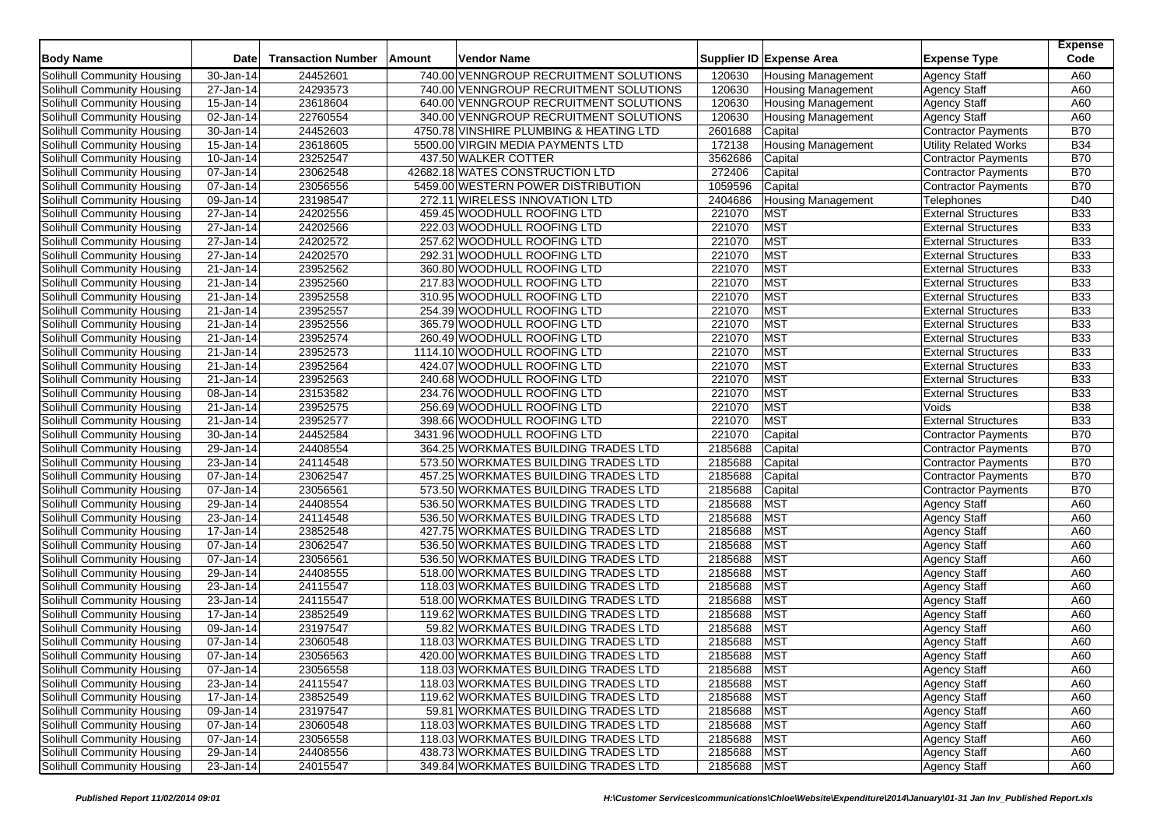| <b>Body Name</b>           | Date                    | <b>Transaction Number</b> | Amount | <b>Vendor Name</b>                      |             | Supplier ID Expense Area  | <b>Expense Type</b>          | <b>Expense</b><br>Code |
|----------------------------|-------------------------|---------------------------|--------|-----------------------------------------|-------------|---------------------------|------------------------------|------------------------|
| Solihull Community Housing | 30-Jan-14               | 24452601                  |        | 740.00 VENNGROUP RECRUITMENT SOLUTIONS  | 120630      | <b>Housing Management</b> | <b>Agency Staff</b>          | A60                    |
| Solihull Community Housing | 27-Jan-14               | 24293573                  |        | 740.00 VENNGROUP RECRUITMENT SOLUTIONS  | 120630      | <b>Housing Management</b> | <b>Agency Staff</b>          | A60                    |
| Solihull Community Housing | 15-Jan-14               | 23618604                  |        | 640.00 VENNGROUP RECRUITMENT SOLUTIONS  | 120630      | <b>Housing Management</b> | <b>Agency Staff</b>          | A60                    |
| Solihull Community Housing | 02-Jan-14               | 22760554                  |        | 340.00 VENNGROUP RECRUITMENT SOLUTIONS  | 120630      | <b>Housing Management</b> | <b>Agency Staff</b>          | A60                    |
| Solihull Community Housing | 30-Jan-14               | 24452603                  |        | 4750.78 VINSHIRE PLUMBING & HEATING LTD | 2601688     | Capital                   | <b>Contractor Payments</b>   | <b>B70</b>             |
| Solihull Community Housing | 15-Jan-14               | 23618605                  |        | 5500.00 VIRGIN MEDIA PAYMENTS LTD       | 172138      | <b>Housing Management</b> | <b>Utility Related Works</b> | <b>B34</b>             |
| Solihull Community Housing | 10-Jan-14               | 23252547                  |        | 437.50 WALKER COTTER                    | 3562686     | Capital                   | Contractor Payments          | <b>B70</b>             |
| Solihull Community Housing | 07-Jan-14               | 23062548                  |        | 42682.18 WATES CONSTRUCTION LTD         | 272406      | Capital                   | <b>Contractor Payments</b>   | <b>B70</b>             |
| Solihull Community Housing | 07-Jan-14               | 23056556                  |        | 5459.00 WESTERN POWER DISTRIBUTION      | 1059596     | Capital                   | <b>Contractor Payments</b>   | <b>B70</b>             |
| Solihull Community Housing | 09-Jan-14               | 23198547                  |        | 272.11 WIRELESS INNOVATION LTD          | 2404686     | <b>Housing Management</b> | Telephones                   | D40                    |
| Solihull Community Housing | 27-Jan-14               | 24202556                  |        | 459.45 WOODHULL ROOFING LTD             | 221070      | <b>MST</b>                | <b>External Structures</b>   | <b>B33</b>             |
| Solihull Community Housing | 27-Jan-14               | 24202566                  |        | 222.03 WOODHULL ROOFING LTD             | 221070      | <b>MST</b>                | <b>External Structures</b>   | <b>B33</b>             |
| Solihull Community Housing | 27-Jan-14               | 24202572                  |        | 257.62 WOODHULL ROOFING LTD             | 221070      | <b>MST</b>                | <b>External Structures</b>   | <b>B33</b>             |
| Solihull Community Housing | 27-Jan-14               | 24202570                  |        | 292.31 WOODHULL ROOFING LTD             | 221070      | <b>MST</b>                | <b>External Structures</b>   | <b>B33</b>             |
| Solihull Community Housing | 21-Jan-14               | 23952562                  |        | 360.80 WOODHULL ROOFING LTD             | 221070      | <b>MST</b>                | <b>External Structures</b>   | <b>B33</b>             |
| Solihull Community Housing | 21-Jan-14               | 23952560                  |        | 217.83 WOODHULL ROOFING LTD             | 221070      | <b>MST</b>                | <b>External Structures</b>   | <b>B33</b>             |
| Solihull Community Housing | 21-Jan-14               | 23952558                  |        | 310.95 WOODHULL ROOFING LTD             | 221070      | <b>MST</b>                | <b>External Structures</b>   | <b>B33</b>             |
| Solihull Community Housing | 21-Jan-14               | 23952557                  |        | 254.39 WOODHULL ROOFING LTD             | 221070      | <b>MST</b>                | <b>External Structures</b>   | <b>B33</b>             |
| Solihull Community Housing | 21-Jan-14               | 23952556                  |        | 365.79 WOODHULL ROOFING LTD             | 221070      | <b>MST</b>                | <b>External Structures</b>   | <b>B33</b>             |
| Solihull Community Housing | 21-Jan-14               | 23952574                  |        | 260.49 WOODHULL ROOFING LTD             | 221070      | <b>MST</b>                | <b>External Structures</b>   | <b>B33</b>             |
| Solihull Community Housing | 21-Jan-14               | 23952573                  |        | 1114.10 WOODHULL ROOFING LTD            | 221070      | <b>MST</b>                | <b>External Structures</b>   | <b>B33</b>             |
| Solihull Community Housing | 21-Jan-14               | 23952564                  |        | 424.07 WOODHULL ROOFING LTD             | 221070      | <b>MST</b>                | <b>External Structures</b>   | <b>B33</b>             |
| Solihull Community Housing | 21-Jan-14               | 23952563                  |        | 240.68 WOODHULL ROOFING LTD             | 221070      | <b>MST</b>                | <b>External Structures</b>   | <b>B33</b>             |
| Solihull Community Housing | 08-Jan-14               | 23153582                  |        | 234.76 WOODHULL ROOFING LTD             | 221070      | <b>MST</b>                | <b>External Structures</b>   | <b>B33</b>             |
| Solihull Community Housing | 21-Jan-14               | 23952575                  |        | 256.69 WOODHULL ROOFING LTD             | 221070      | <b>MST</b>                | Voids                        | <b>B</b> 38            |
| Solihull Community Housing | 21-Jan-14               | 23952577                  |        | 398.66 WOODHULL ROOFING LTD             | 221070      | <b>MST</b>                | <b>External Structures</b>   | <b>B33</b>             |
| Solihull Community Housing | 30-Jan-14               | 24452584                  |        | 3431.96 WOODHULL ROOFING LTD            | 221070      | Capital                   | Contractor Payments          | <b>B70</b>             |
| Solihull Community Housing | 29-Jan-14               | 24408554                  |        | 364.25 WORKMATES BUILDING TRADES LTD    | 2185688     | Capital                   | Contractor Payments          | <b>B70</b>             |
| Solihull Community Housing | 23-Jan-14               | 24114548                  |        | 573.50 WORKMATES BUILDING TRADES LTD    | 2185688     | Capital                   | Contractor Payments          | <b>B70</b>             |
| Solihull Community Housing | 07-Jan-14               | 23062547                  |        | 457.25 WORKMATES BUILDING TRADES LTD    | 2185688     | Capital                   | <b>Contractor Payments</b>   | <b>B70</b>             |
| Solihull Community Housing | 07-Jan-14               | 23056561                  |        | 573.50 WORKMATES BUILDING TRADES LTD    | 2185688     | Capital                   | <b>Contractor Payments</b>   | <b>B70</b>             |
| Solihull Community Housing | 29-Jan-14               | 24408554                  |        | 536.50 WORKMATES BUILDING TRADES LTD    | 2185688     | <b>MST</b>                | <b>Agency Staff</b>          | A60                    |
| Solihull Community Housing | $\overline{23}$ -Jan-14 | 24114548                  |        | 536.50 WORKMATES BUILDING TRADES LTD    | 2185688     | <b>MST</b>                | <b>Agency Staff</b>          | A60                    |
| Solihull Community Housing | 17-Jan-14               | 23852548                  |        | 427.75 WORKMATES BUILDING TRADES LTD    | 2185688     | <b>MST</b>                | <b>Agency Staff</b>          | A60                    |
| Solihull Community Housing | 07-Jan-14               | 23062547                  |        | 536.50 WORKMATES BUILDING TRADES LTD    | 2185688     | <b>MST</b>                | <b>Agency Staff</b>          | A60                    |
| Solihull Community Housing | 07-Jan-14               | 23056561                  |        | 536.50 WORKMATES BUILDING TRADES LTD    | 2185688     | <b>MST</b>                | <b>Agency Staff</b>          | A60                    |
| Solihull Community Housing | 29-Jan-14               | 24408555                  |        | 518.00 WORKMATES BUILDING TRADES LTD    | 2185688     | <b>MST</b>                | <b>Agency Staff</b>          | A60                    |
| Solihull Community Housing | 23-Jan-14               | 24115547                  |        | 118.03 WORKMATES BUILDING TRADES LTD    | 2185688     | <b>MST</b>                | <b>Agency Staff</b>          | A60                    |
| Solihull Community Housing | 23-Jan-14               | 24115547                  |        | 518.00 WORKMATES BUILDING TRADES LTD    | 2185688     | <b>MST</b>                | <b>Agency Staff</b>          | A60                    |
| Solihull Community Housing | 17-Jan-14               | 23852549                  |        | 119.62 WORKMATES BUILDING TRADES LTD    | 2185688     | <b>MST</b>                | <b>Agency Staff</b>          | A60                    |
| Solihull Community Housing | 09-Jan-14               | 23197547                  |        | 59.82 WORKMATES BUILDING TRADES LTD     | 2185688     | <b>MST</b>                | <b>Agency Staff</b>          | A60                    |
| Solihull Community Housing | 07-Jan-14               | 23060548                  |        | 118.03 WORKMATES BUILDING TRADES LTD    | 2185688     | <b>MST</b>                | <b>Agency Staff</b>          | A60                    |
| Solihull Community Housing | 07-Jan-14               | 23056563                  |        | 420.00 WORKMATES BUILDING TRADES LTD    | 2185688     | <b>MST</b>                | <b>Agency Staff</b>          | A60                    |
| Solihull Community Housing | 07-Jan-14               | 23056558                  |        | 118.03 WORKMATES BUILDING TRADES LTD    | 2185688 MST |                           | <b>Agency Staff</b>          | A60                    |
| Solihull Community Housing | 23-Jan-14               | 24115547                  |        | 118.03 WORKMATES BUILDING TRADES LTD    | 2185688     | <b>MST</b>                | <b>Agency Staff</b>          | A60                    |
| Solihull Community Housing | 17-Jan-14               | 23852549                  |        | 119.62 WORKMATES BUILDING TRADES LTD    | 2185688     | <b>MST</b>                | <b>Agency Staff</b>          | A60                    |
| Solihull Community Housing | 09-Jan-14               | 23197547                  |        | 59.81 WORKMATES BUILDING TRADES LTD     | 2185688     | <b>MST</b>                | <b>Agency Staff</b>          | A60                    |
| Solihull Community Housing | 07-Jan-14               | 23060548                  |        | 118.03 WORKMATES BUILDING TRADES LTD    | 2185688     | <b>MST</b>                | <b>Agency Staff</b>          | A60                    |
| Solihull Community Housing | $\overline{07}$ -Jan-14 | 23056558                  |        | 118.03 WORKMATES BUILDING TRADES LTD    | 2185688     | MST                       | <b>Agency Staff</b>          | A60                    |
| Solihull Community Housing | 29-Jan-14               | 24408556                  |        | 438.73 WORKMATES BUILDING TRADES LTD    | 2185688 MST |                           | <b>Agency Staff</b>          | A60                    |
| Solihull Community Housing | 23-Jan-14               | 24015547                  |        | 349.84 WORKMATES BUILDING TRADES LTD    | 2185688 MST |                           | <b>Agency Staff</b>          | A60                    |